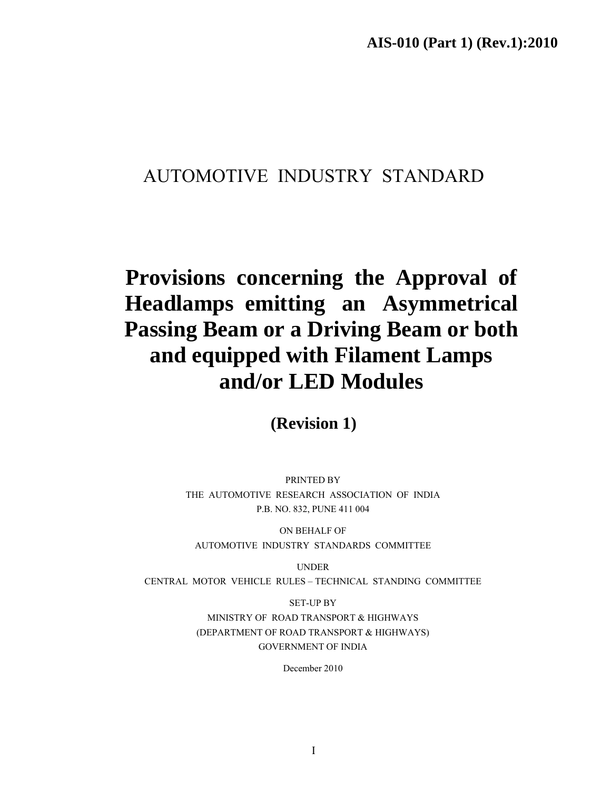# AUTOMOTIVE INDUSTRY STANDARD

# **Provisions concerning the Approval of Headlamps emitting an Asymmetrical Passing Beam or a Driving Beam or both and equipped with Filament Lamps and/or LED Modules**

**(Revision 1)** 

PRINTED BY THE AUTOMOTIVE RESEARCH ASSOCIATION OF INDIA P.B. NO. 832, PUNE 411 004

ON BEHALF OF AUTOMOTIVE INDUSTRY STANDARDS COMMITTEE

UNDER

CENTRAL MOTOR VEHICLE RULES – TECHNICAL STANDING COMMITTEE

SET-UP BY MINISTRY OF ROAD TRANSPORT & HIGHWAYS (DEPARTMENT OF ROAD TRANSPORT & HIGHWAYS) GOVERNMENT OF INDIA

December 2010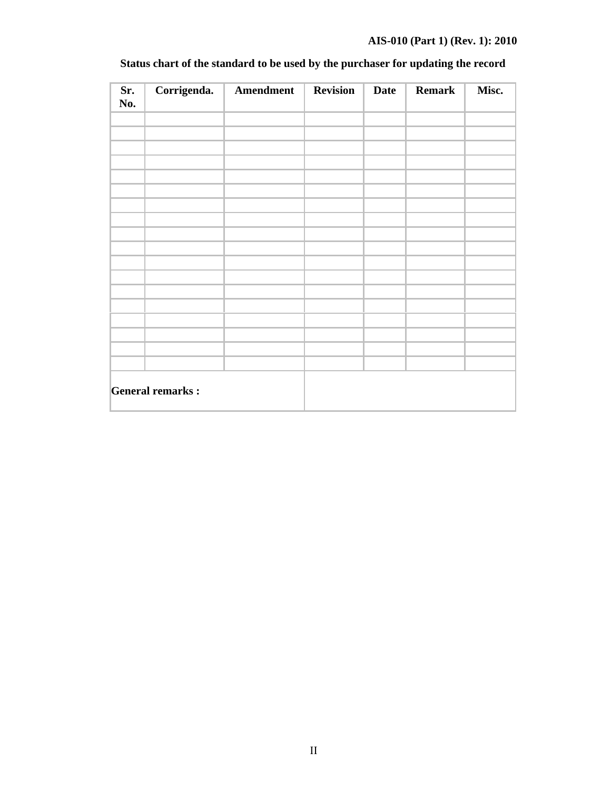# **AIS-010 (Part 1) (Rev. 1): 2010**

| Sr.<br>No.              | Corrigenda. | Amendment | <b>Revision</b> | <b>Date</b> | <b>Remark</b> | Misc. |
|-------------------------|-------------|-----------|-----------------|-------------|---------------|-------|
|                         |             |           |                 |             |               |       |
|                         |             |           |                 |             |               |       |
|                         |             |           |                 |             |               |       |
|                         |             |           |                 |             |               |       |
|                         |             |           |                 |             |               |       |
|                         |             |           |                 |             |               |       |
|                         |             |           |                 |             |               |       |
|                         |             |           |                 |             |               |       |
|                         |             |           |                 |             |               |       |
|                         |             |           |                 |             |               |       |
|                         |             |           |                 |             |               |       |
|                         |             |           |                 |             |               |       |
| <b>General remarks:</b> |             |           |                 |             |               |       |

# **Status chart of the standard to be used by the purchaser for updating the record**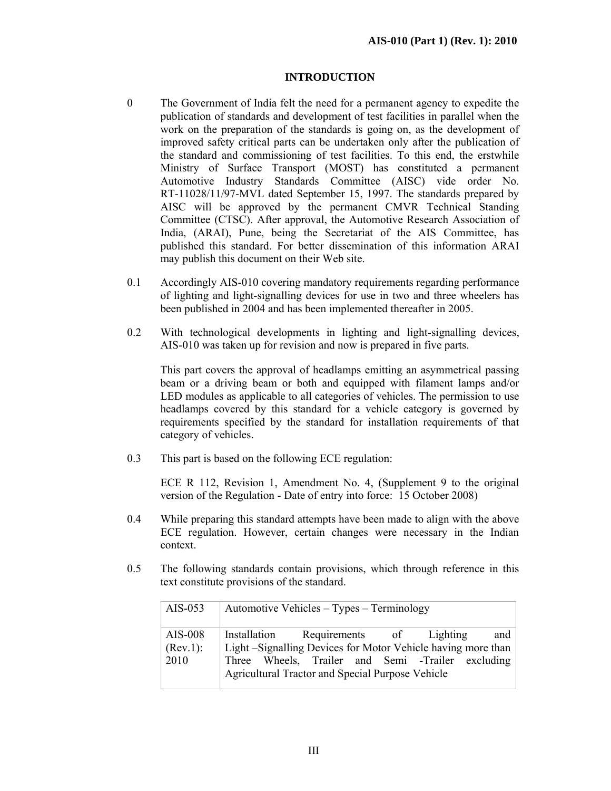#### **INTRODUCTION**

- 0 The Government of India felt the need for a permanent agency to expedite the publication of standards and development of test facilities in parallel when the work on the preparation of the standards is going on, as the development of improved safety critical parts can be undertaken only after the publication of the standard and commissioning of test facilities. To this end, the erstwhile Ministry of Surface Transport (MOST) has constituted a permanent Automotive Industry Standards Committee (AISC) vide order No. RT-11028/11/97-MVL dated September 15, 1997. The standards prepared by AISC will be approved by the permanent CMVR Technical Standing Committee (CTSC). After approval, the Automotive Research Association of India, (ARAI), Pune, being the Secretariat of the AIS Committee, has published this standard. For better dissemination of this information ARAI may publish this document on their Web site.
- 0.1 Accordingly AIS-010 covering mandatory requirements regarding performance of lighting and light-signalling devices for use in two and three wheelers has been published in 2004 and has been implemented thereafter in 2005.
- 0.2 With technological developments in lighting and light-signalling devices, AIS-010 was taken up for revision and now is prepared in five parts.

This part covers the approval of headlamps emitting an asymmetrical passing beam or a driving beam or both and equipped with filament lamps and/or LED modules as applicable to all categories of vehicles. The permission to use headlamps covered by this standard for a vehicle category is governed by requirements specified by the standard for installation requirements of that category of vehicles.

0.3 This part is based on the following ECE regulation:

 ECE R 112, Revision 1, Amendment No. 4, (Supplement 9 to the original version of the Regulation - Date of entry into force: 15 October 2008)

- 0.4 While preparing this standard attempts have been made to align with the above ECE regulation. However, certain changes were necessary in the Indian context.
- 0.5 The following standards contain provisions, which through reference in this text constitute provisions of the standard.

| AIS-053                     | Automotive Vehicles – Types – Terminology                                                                                                                                                                             |  |  |  |  |  |  |  |  |  |  |
|-----------------------------|-----------------------------------------------------------------------------------------------------------------------------------------------------------------------------------------------------------------------|--|--|--|--|--|--|--|--|--|--|
| AIS-008<br>(Rev.1):<br>2010 | Installation Requirements of Lighting<br>and<br>Light -Signalling Devices for Motor Vehicle having more than<br>Three Wheels, Trailer and Semi -Trailer excluding<br>Agricultural Tractor and Special Purpose Vehicle |  |  |  |  |  |  |  |  |  |  |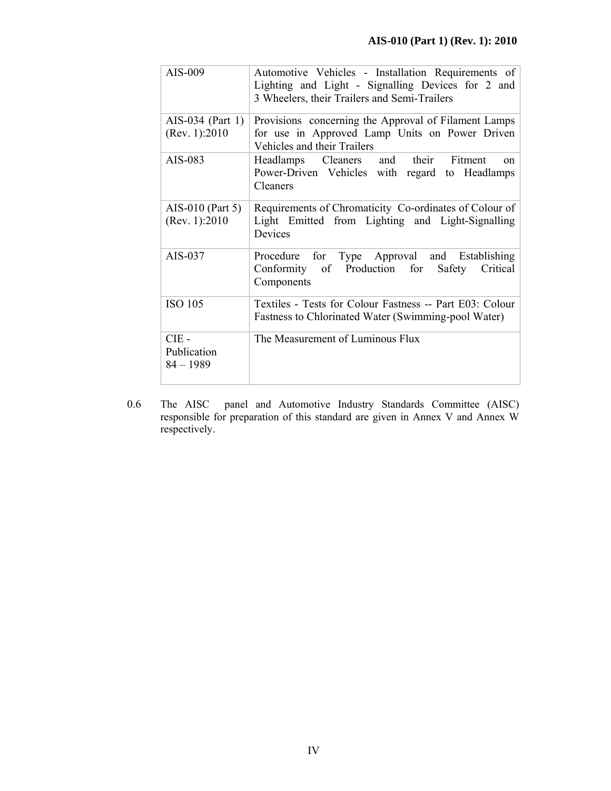| AIS-009                               | Automotive Vehicles - Installation Requirements of                                                               |
|---------------------------------------|------------------------------------------------------------------------------------------------------------------|
|                                       | Lighting and Light - Signalling Devices for 2 and                                                                |
|                                       | 3 Wheelers, their Trailers and Semi-Trailers                                                                     |
| AIS-034 (Part 1)                      | Provisions concerning the Approval of Filament Lamps                                                             |
| (Rev. 1): 2010                        | for use in Approved Lamp Units on Power Driven<br>Vehicles and their Trailers                                    |
| AIS-083                               | Headlamps Cleaners and their Fitment<br>$^{on}$                                                                  |
|                                       | Power-Driven Vehicles with regard to Headlamps<br>Cleaners                                                       |
| AIS-010 (Part 5)                      | Requirements of Chromaticity Co-ordinates of Colour of                                                           |
| (Rev. 1): 2010                        | Light Emitted from Lighting and Light-Signalling<br>Devices                                                      |
| AIS-037                               | Procedure for Type Approval and Establishing<br>Conformity of Production for<br>Safety<br>Critical<br>Components |
| <b>ISO 105</b>                        | Textiles - Tests for Colour Fastness -- Part E03: Colour<br>Fastness to Chlorinated Water (Swimming-pool Water)  |
| $CIE$ -<br>Publication<br>$84 - 1989$ | The Measurement of Luminous Flux                                                                                 |

0.6 The AISC panel and Automotive Industry Standards Committee (AISC) responsible for preparation of this standard are given in Annex V and Annex W respectively.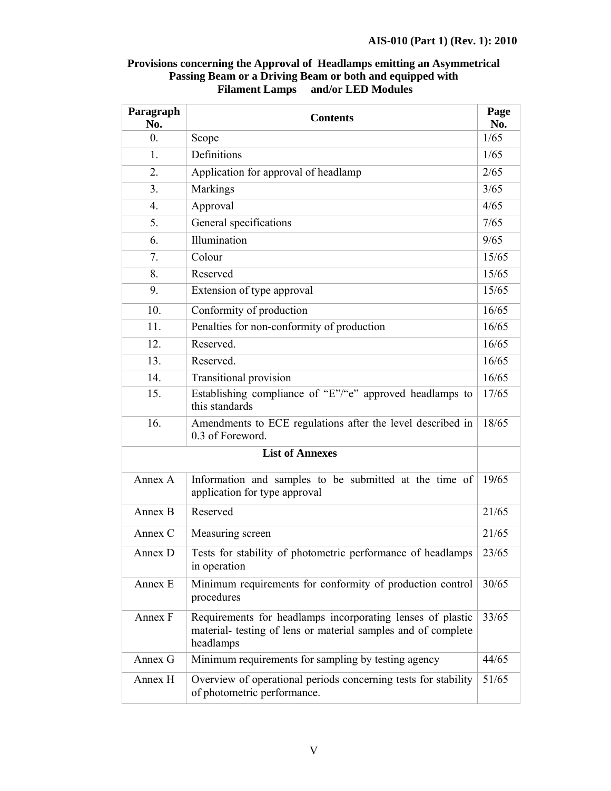| Provisions concerning the Approval of Headlamps emitting an Asymmetrical |
|--------------------------------------------------------------------------|
| Passing Beam or a Driving Beam or both and equipped with                 |
| and/or LED Modules<br><b>Filament Lamps</b>                              |

 $\blacksquare$ 

| Paragraph<br>No. | <b>Contents</b>                                                                                                                          |             |  |  |  |
|------------------|------------------------------------------------------------------------------------------------------------------------------------------|-------------|--|--|--|
| $\overline{0}$ . | Scope                                                                                                                                    | No.<br>1/65 |  |  |  |
| 1.               | Definitions                                                                                                                              | 1/65        |  |  |  |
| 2.               | Application for approval of headlamp                                                                                                     | 2/65        |  |  |  |
| 3.               | Markings                                                                                                                                 | 3/65        |  |  |  |
| $\overline{4}$ . | Approval                                                                                                                                 | 4/65        |  |  |  |
| 5.               | General specifications                                                                                                                   | 7/65        |  |  |  |
| 6.               | Illumination                                                                                                                             | 9/65        |  |  |  |
| 7.               | Colour                                                                                                                                   | 15/65       |  |  |  |
| 8.               | Reserved                                                                                                                                 | 15/65       |  |  |  |
| 9.               | Extension of type approval                                                                                                               | 15/65       |  |  |  |
| 10.              | Conformity of production                                                                                                                 | 16/65       |  |  |  |
| 11.              | Penalties for non-conformity of production                                                                                               | 16/65       |  |  |  |
| 12.              | Reserved.                                                                                                                                | 16/65       |  |  |  |
| 13.              | Reserved.                                                                                                                                | 16/65       |  |  |  |
| 14.              | <b>Transitional provision</b>                                                                                                            | 16/65       |  |  |  |
| 15.              | Establishing compliance of "E"/"e" approved headlamps to<br>this standards                                                               | 17/65       |  |  |  |
| 16.              | Amendments to ECE regulations after the level described in<br>0.3 of Foreword.                                                           | 18/65       |  |  |  |
|                  | <b>List of Annexes</b>                                                                                                                   |             |  |  |  |
| Annex A          | Information and samples to be submitted at the time of<br>application for type approval                                                  | 19/65       |  |  |  |
| Annex B          | Reserved                                                                                                                                 | 21/65       |  |  |  |
| Annex C          | Measuring screen                                                                                                                         | 21/65       |  |  |  |
| Annex D          | Tests for stability of photometric performance of headlamps<br>in operation                                                              | 23/65       |  |  |  |
| Annex E          | Minimum requirements for conformity of production control<br>procedures                                                                  | 30/65       |  |  |  |
| Annex F          | Requirements for headlamps incorporating lenses of plastic<br>material- testing of lens or material samples and of complete<br>headlamps | 33/65       |  |  |  |
| Annex G          | Minimum requirements for sampling by testing agency                                                                                      | 44/65       |  |  |  |
| Annex H          | Overview of operational periods concerning tests for stability<br>of photometric performance.                                            | 51/65       |  |  |  |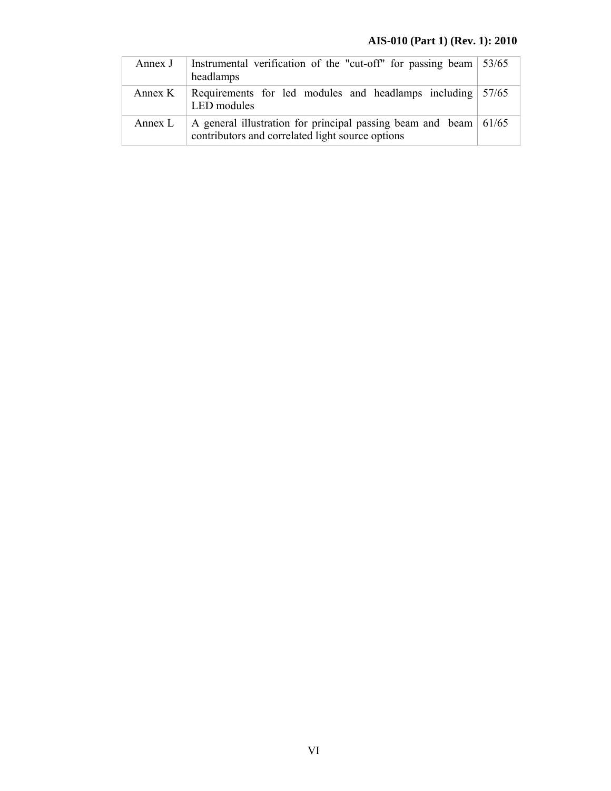# **AIS-010 (Part 1) (Rev. 1): 2010**

| Annex J   | Instrumental verification of the "cut-off" for passing beam $\frac{53}{65}$<br>headlamps                                     |  |  |  |  |
|-----------|------------------------------------------------------------------------------------------------------------------------------|--|--|--|--|
| Annex $K$ | Requirements for led modules and headlamps including 57/65<br>LED modules                                                    |  |  |  |  |
| Annex L   | A general illustration for principal passing beam and beam $\vert$ 61/65<br>contributors and correlated light source options |  |  |  |  |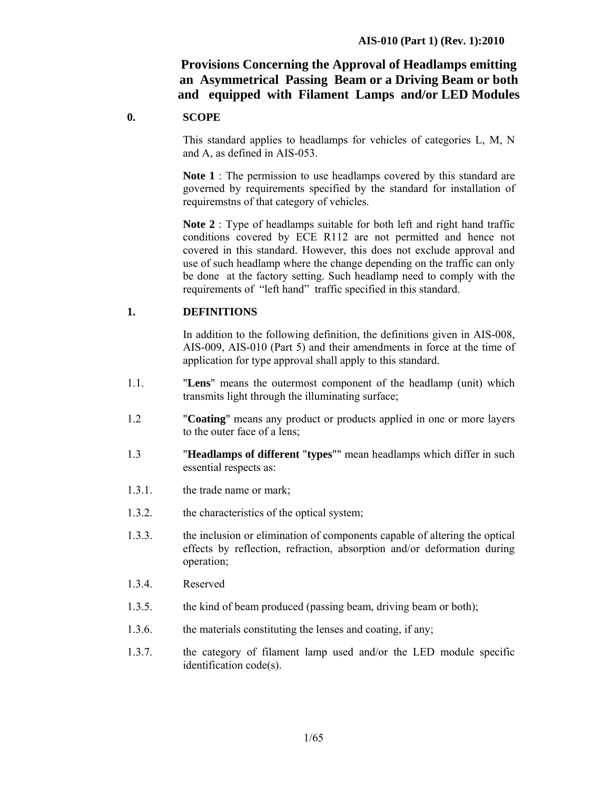# **Provisions Concerning the Approval of Headlamps emitting an Asymmetrical Passing Beam or a Driving Beam or both and equipped with Filament Lamps and/or LED Modules**

#### **0. SCOPE**

 This standard applies to headlamps for vehicles of categories L, M, N and A, as defined in AIS-053.

**Note 1** : The permission to use headlamps covered by this standard are governed by requirements specified by the standard for installation of requiremstns of that category of vehicles.

**Note 2** : Type of headlamps suitable for both left and right hand traffic conditions covered by ECE R112 are not permitted and hence not covered in this standard. However, this does not exclude approval and use of such headlamp where the change depending on the traffic can only be done at the factory setting. Such headlamp need to comply with the requirements of "left hand" traffic specified in this standard.

#### **1. DEFINITIONS**

In addition to the following definition, the definitions given in AIS-008, AIS-009, AIS-010 (Part 5) and their amendments in force at the time of application for type approval shall apply to this standard.

- 1.1. "**Lens**" means the outermost component of the headlamp (unit) which transmits light through the illuminating surface;
- 1.2 "**Coating**" means any product or products applied in one or more layers to the outer face of a lens;
- 1.3 "**Headlamps of different** "**types**"" mean headlamps which differ in such essential respects as:
- 1.3.1. the trade name or mark;
- 1.3.2. the characteristics of the optical system;
- 1.3.3. the inclusion or elimination of components capable of altering the optical effects by reflection, refraction, absorption and/or deformation during operation;
- 1.3.4. Reserved
- 1.3.5. the kind of beam produced (passing beam, driving beam or both);
- 1.3.6. the materials constituting the lenses and coating, if any;
- 1.3.7. the category of filament lamp used and/or the LED module specific identification code(s).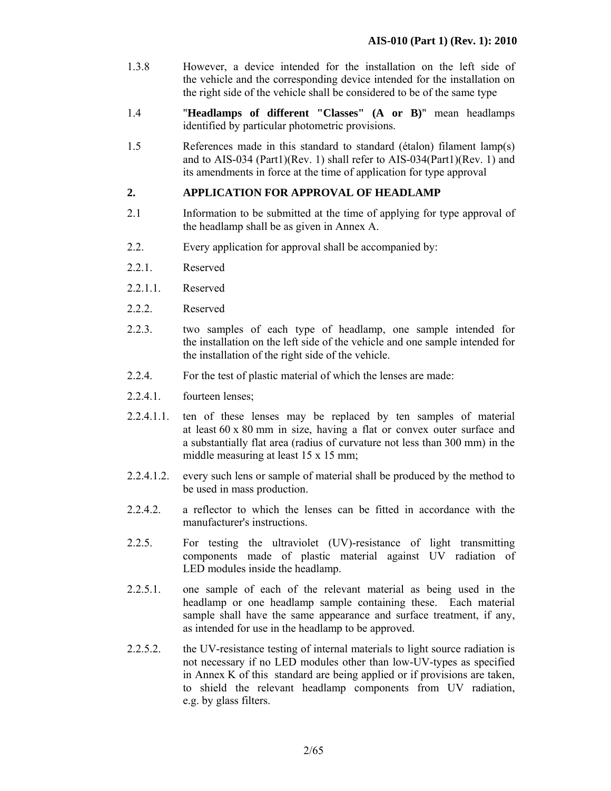- 1.3.8 However, a device intended for the installation on the left side of the vehicle and the corresponding device intended for the installation on the right side of the vehicle shall be considered to be of the same type
- 1.4 "**Headlamps of different "Classes" (A or B)**" mean headlamps identified by particular photometric provisions.
- 1.5 References made in this standard to standard (étalon) filament lamp(s) and to AIS-034 (Part1)(Rev. 1) shall refer to AIS-034(Part1)(Rev. 1) and its amendments in force at the time of application for type approval

#### **2. APPLICATION FOR APPROVAL OF HEADLAMP**

- 2.1 Information to be submitted at the time of applying for type approval of the headlamp shall be as given in Annex A.
- 2.2. Every application for approval shall be accompanied by:
- 2.2.1. Reserved
- 2.2.1.1 Reserved
- 2.2.2. Reserved
- 2.2.3. two samples of each type of headlamp, one sample intended for the installation on the left side of the vehicle and one sample intended for the installation of the right side of the vehicle.
- 2.2.4. For the test of plastic material of which the lenses are made:
- 2.2.4.1. fourteen lenses;
- 2.2.4.1.1. ten of these lenses may be replaced by ten samples of material at least 60 x 80 mm in size, having a flat or convex outer surface and a substantially flat area (radius of curvature not less than 300 mm) in the middle measuring at least 15 x 15 mm;
- 2.2.4.1.2. every such lens or sample of material shall be produced by the method to be used in mass production.
- 2.2.4.2. a reflector to which the lenses can be fitted in accordance with the manufacturer's instructions.
- 2.2.5. For testing the ultraviolet (UV)-resistance of light transmitting components made of plastic material against UV radiation of LED modules inside the headlamp.
- 2.2.5.1. one sample of each of the relevant material as being used in the headlamp or one headlamp sample containing these. Each material sample shall have the same appearance and surface treatment, if any, as intended for use in the headlamp to be approved.
- 2.2.5.2. the UV-resistance testing of internal materials to light source radiation is not necessary if no LED modules other than low-UV-types as specified in Annex K of this standard are being applied or if provisions are taken, to shield the relevant headlamp components from UV radiation, e.g. by glass filters.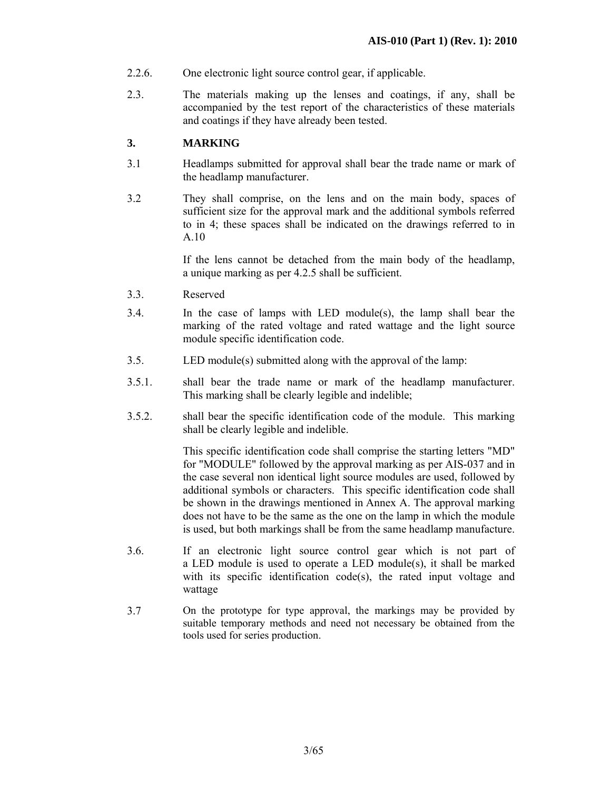- 2.2.6. One electronic light source control gear, if applicable.
- 2.3. The materials making up the lenses and coatings, if any, shall be accompanied by the test report of the characteristics of these materials and coatings if they have already been tested.

#### **3. MARKING**

- 3.1 Headlamps submitted for approval shall bear the trade name or mark of the headlamp manufacturer.
- 3.2 They shall comprise, on the lens and on the main body, spaces of sufficient size for the approval mark and the additional symbols referred to in 4; these spaces shall be indicated on the drawings referred to in A.10

If the lens cannot be detached from the main body of the headlamp, a unique marking as per 4.2.5 shall be sufficient.

- 3.3. Reserved
- 3.4. In the case of lamps with LED module(s), the lamp shall bear the marking of the rated voltage and rated wattage and the light source module specific identification code.
- 3.5. LED module(s) submitted along with the approval of the lamp:
- 3.5.1. shall bear the trade name or mark of the headlamp manufacturer. This marking shall be clearly legible and indelible;
- 3.5.2. shall bear the specific identification code of the module. This marking shall be clearly legible and indelible.

 This specific identification code shall comprise the starting letters "MD" for "MODULE" followed by the approval marking as per AIS-037 and in the case several non identical light source modules are used, followed by additional symbols or characters. This specific identification code shall be shown in the drawings mentioned in Annex A. The approval marking does not have to be the same as the one on the lamp in which the module is used, but both markings shall be from the same headlamp manufacture.

- 3.6. If an electronic light source control gear which is not part of a LED module is used to operate a LED module(s), it shall be marked with its specific identification code(s), the rated input voltage and wattage
- 3.7 On the prototype for type approval, the markings may be provided by suitable temporary methods and need not necessary be obtained from the tools used for series production.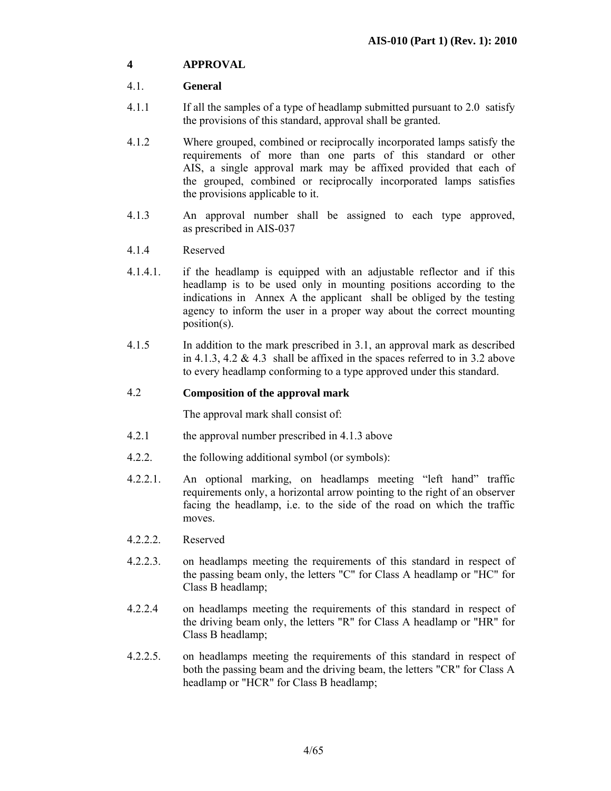# **4 APPROVAL**

#### 4.1. **General**

- 4.1.1 If all the samples of a type of headlamp submitted pursuant to 2.0 satisfy the provisions of this standard, approval shall be granted.
- 4.1.2 Where grouped, combined or reciprocally incorporated lamps satisfy the requirements of more than one parts of this standard or other AIS, a single approval mark may be affixed provided that each of the grouped, combined or reciprocally incorporated lamps satisfies the provisions applicable to it.
- 4.1.3 An approval number shall be assigned to each type approved, as prescribed in AIS-037
- 4.1.4 Reserved
- 4.1.4.1. if the headlamp is equipped with an adjustable reflector and if this headlamp is to be used only in mounting positions according to the indications in Annex A the applicant shall be obliged by the testing agency to inform the user in a proper way about the correct mounting position(s).
- 4.1.5 In addition to the mark prescribed in 3.1, an approval mark as described in 4.1.3, 4.2  $\&$  4.3 shall be affixed in the spaces referred to in 3.2 above to every headlamp conforming to a type approved under this standard.

#### 4.2 **Composition of the approval mark**

The approval mark shall consist of:

- 4.2.1 the approval number prescribed in 4.1.3 above
- 4.2.2. the following additional symbol (or symbols):
- 4.2.2.1. An optional marking, on headlamps meeting "left hand" traffic requirements only, a horizontal arrow pointing to the right of an observer facing the headlamp, i.e. to the side of the road on which the traffic moves.
- 4.2.2.2. Reserved
- 4.2.2.3. on headlamps meeting the requirements of this standard in respect of the passing beam only, the letters "C" for Class A headlamp or "HC" for Class B headlamp;
- 4.2.2.4 on headlamps meeting the requirements of this standard in respect of the driving beam only, the letters "R" for Class A headlamp or "HR" for Class B headlamp;
- 4.2.2.5. on headlamps meeting the requirements of this standard in respect of both the passing beam and the driving beam, the letters "CR" for Class A headlamp or "HCR" for Class B headlamp;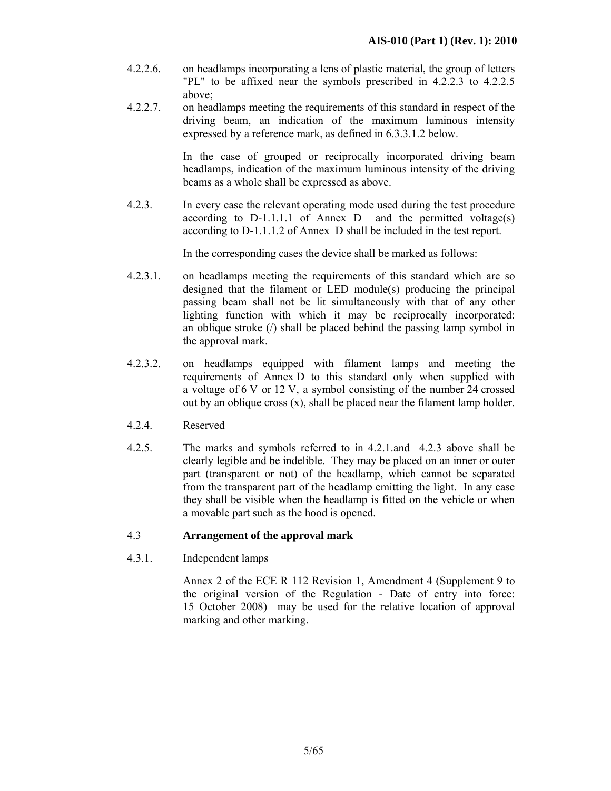- 4.2.2.6. on headlamps incorporating a lens of plastic material, the group of letters "PL" to be affixed near the symbols prescribed in 4.2.2.3 to 4.2.2.5 above;
- 4.2.2.7. on headlamps meeting the requirements of this standard in respect of the driving beam, an indication of the maximum luminous intensity expressed by a reference mark, as defined in 6.3.3.1.2 below.

 In the case of grouped or reciprocally incorporated driving beam headlamps, indication of the maximum luminous intensity of the driving beams as a whole shall be expressed as above.

4.2.3. In every case the relevant operating mode used during the test procedure according to  $D-1.1.1.1$  of Annex D and the permitted voltage(s) according to D-1.1.1.2 of Annex D shall be included in the test report.

In the corresponding cases the device shall be marked as follows:

- 4.2.3.1. on headlamps meeting the requirements of this standard which are so designed that the filament or LED module(s) producing the principal passing beam shall not be lit simultaneously with that of any other lighting function with which it may be reciprocally incorporated: an oblique stroke (/) shall be placed behind the passing lamp symbol in the approval mark.
- 4.2.3.2. on headlamps equipped with filament lamps and meeting the requirements of Annex D to this standard only when supplied with a voltage of 6 V or 12 V, a symbol consisting of the number 24 crossed out by an oblique cross (x), shall be placed near the filament lamp holder.
- 4.2.4. Reserved
- 4.2.5. The marks and symbols referred to in 4.2.1.and 4.2.3 above shall be clearly legible and be indelible. They may be placed on an inner or outer part (transparent or not) of the headlamp, which cannot be separated from the transparent part of the headlamp emitting the light. In any case they shall be visible when the headlamp is fitted on the vehicle or when a movable part such as the hood is opened.

#### 4.3 **Arrangement of the approval mark**

4.3.1. Independent lamps

 Annex 2 of the ECE R 112 Revision 1, Amendment 4 (Supplement 9 to the original version of the Regulation - Date of entry into force: 15 October 2008) may be used for the relative location of approval marking and other marking.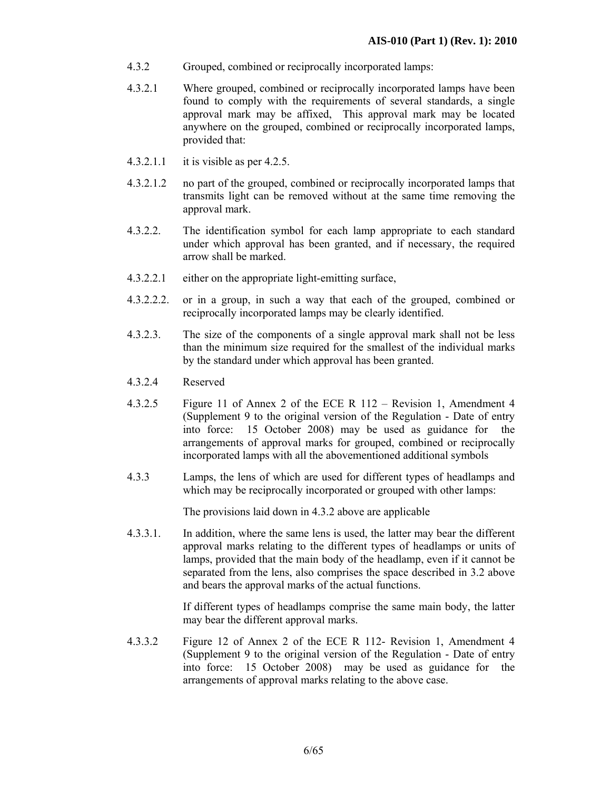- 4.3.2 Grouped, combined or reciprocally incorporated lamps:
- 4.3.2.1 Where grouped, combined or reciprocally incorporated lamps have been found to comply with the requirements of several standards, a single approval mark may be affixed, This approval mark may be located anywhere on the grouped, combined or reciprocally incorporated lamps, provided that:
- 4.3.2.1.1 it is visible as per 4.2.5.
- 4.3.2.1.2 no part of the grouped, combined or reciprocally incorporated lamps that transmits light can be removed without at the same time removing the approval mark.
- 4.3.2.2. The identification symbol for each lamp appropriate to each standard under which approval has been granted, and if necessary, the required arrow shall be marked.
- 4.3.2.2.1 either on the appropriate light-emitting surface,
- 4.3.2.2.2. or in a group, in such a way that each of the grouped, combined or reciprocally incorporated lamps may be clearly identified.
- 4.3.2.3. The size of the components of a single approval mark shall not be less than the minimum size required for the smallest of the individual marks by the standard under which approval has been granted.
- 4.3.2.4 Reserved
- 4.3.2.5 Figure 11 of Annex 2 of the ECE R 112 Revision 1, Amendment 4 (Supplement 9 to the original version of the Regulation - Date of entry into force: 15 October 2008) may be used as guidance for the arrangements of approval marks for grouped, combined or reciprocally incorporated lamps with all the abovementioned additional symbols
- 4.3.3 Lamps, the lens of which are used for different types of headlamps and which may be reciprocally incorporated or grouped with other lamps:

The provisions laid down in 4.3.2 above are applicable

4.3.3.1. In addition, where the same lens is used, the latter may bear the different approval marks relating to the different types of headlamps or units of lamps, provided that the main body of the headlamp, even if it cannot be separated from the lens, also comprises the space described in 3.2 above and bears the approval marks of the actual functions.

> If different types of headlamps comprise the same main body, the latter may bear the different approval marks.

4.3.3.2 Figure 12 of Annex 2 of the ECE R 112- Revision 1, Amendment 4 (Supplement 9 to the original version of the Regulation - Date of entry into force: 15 October 2008) may be used as guidance for the arrangements of approval marks relating to the above case.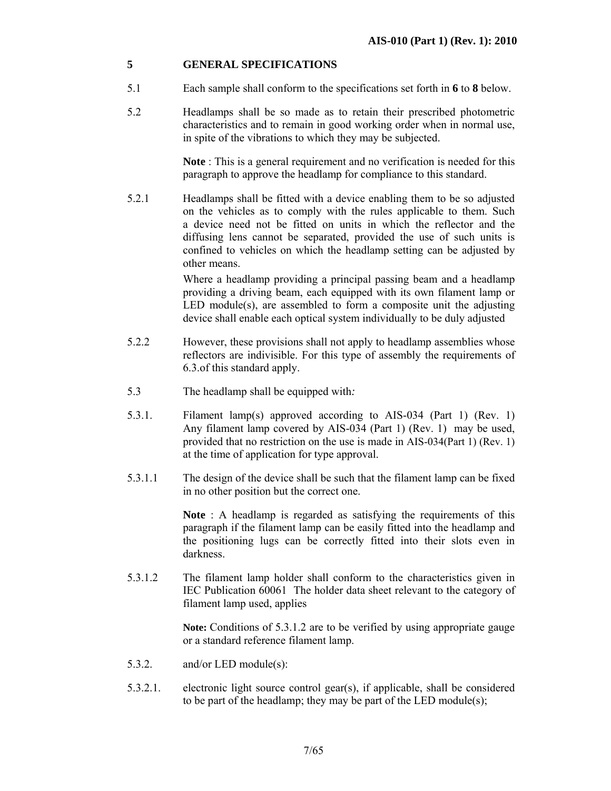#### **5 GENERAL SPECIFICATIONS**

- 5.1 Each sample shall conform to the specifications set forth in **6** to **8** below.
- 5.2 Headlamps shall be so made as to retain their prescribed photometric characteristics and to remain in good working order when in normal use, in spite of the vibrations to which they may be subjected.

**Note** : This is a general requirement and no verification is needed for this paragraph to approve the headlamp for compliance to this standard.

5.2.1 Headlamps shall be fitted with a device enabling them to be so adjusted on the vehicles as to comply with the rules applicable to them. Such a device need not be fitted on units in which the reflector and the diffusing lens cannot be separated, provided the use of such units is confined to vehicles on which the headlamp setting can be adjusted by other means.

> Where a headlamp providing a principal passing beam and a headlamp providing a driving beam, each equipped with its own filament lamp or LED module(s), are assembled to form a composite unit the adjusting device shall enable each optical system individually to be duly adjusted

- 5.2.2 However, these provisions shall not apply to headlamp assemblies whose reflectors are indivisible. For this type of assembly the requirements of 6.3.of this standard apply.
- 5.3 The headlamp shall be equipped with*:*
- 5.3.1. Filament lamp(s) approved according to AIS-034 (Part 1) (Rev. 1) Any filament lamp covered by AIS-034 (Part 1) (Rev. 1) may be used, provided that no restriction on the use is made in AIS-034(Part 1) (Rev. 1) at the time of application for type approval.
- 5.3.1.1 The design of the device shall be such that the filament lamp can be fixed in no other position but the correct one.

**Note** : A headlamp is regarded as satisfying the requirements of this paragraph if the filament lamp can be easily fitted into the headlamp and the positioning lugs can be correctly fitted into their slots even in darkness.

5.3.1.2 The filament lamp holder shall conform to the characteristics given in IEC Publication 60061 The holder data sheet relevant to the category of filament lamp used, applies

> **Note:** Conditions of 5.3.1.2 are to be verified by using appropriate gauge or a standard reference filament lamp.

- 5.3.2. and/or LED module(s):
- 5.3.2.1. electronic light source control gear(s), if applicable, shall be considered to be part of the headlamp; they may be part of the LED module(s);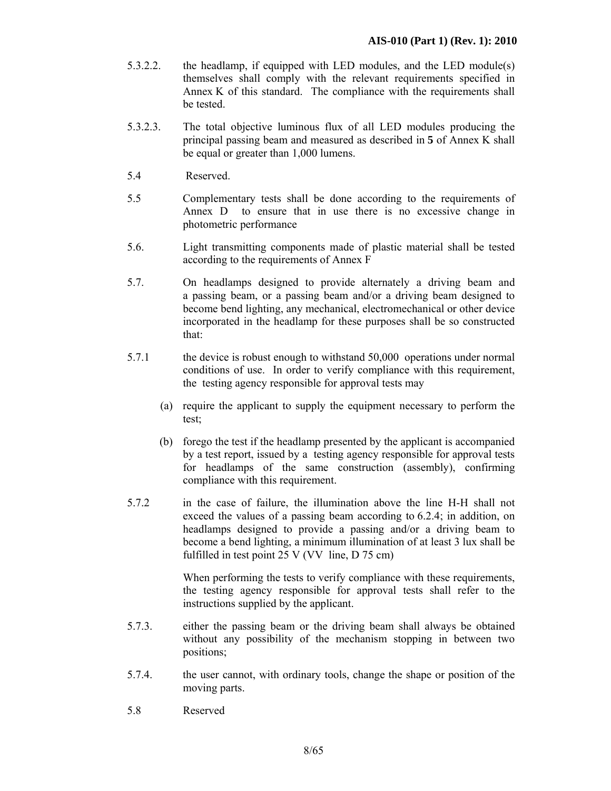- 5.3.2.2. the headlamp, if equipped with LED modules, and the LED module(s) themselves shall comply with the relevant requirements specified in Annex K of this standard. The compliance with the requirements shall be tested.
- 5.3.2.3. The total objective luminous flux of all LED modules producing the principal passing beam and measured as described in **5** of Annex K shall be equal or greater than 1,000 lumens.
- 5.4 Reserved.
- 5.5 Complementary tests shall be done according to the requirements of Annex D to ensure that in use there is no excessive change in photometric performance
- 5.6. Light transmitting components made of plastic material shall be tested according to the requirements of Annex F
- 5.7. On headlamps designed to provide alternately a driving beam and a passing beam, or a passing beam and/or a driving beam designed to become bend lighting, any mechanical, electromechanical or other device incorporated in the headlamp for these purposes shall be so constructed that:
- 5.7.1 the device is robust enough to withstand 50,000 operations under normal conditions of use. In order to verify compliance with this requirement, the testing agency responsible for approval tests may
	- (a) require the applicant to supply the equipment necessary to perform the test;
	- (b) forego the test if the headlamp presented by the applicant is accompanied by a test report, issued by a testing agency responsible for approval tests for headlamps of the same construction (assembly), confirming compliance with this requirement.
- 5.7.2 in the case of failure, the illumination above the line H-H shall not exceed the values of a passing beam according to 6.2.4; in addition, on headlamps designed to provide a passing and/or a driving beam to become a bend lighting, a minimum illumination of at least 3 lux shall be fulfilled in test point 25 V (VV line, D 75 cm)

 When performing the tests to verify compliance with these requirements, the testing agency responsible for approval tests shall refer to the instructions supplied by the applicant.

- 5.7.3. either the passing beam or the driving beam shall always be obtained without any possibility of the mechanism stopping in between two positions;
- 5.7.4. the user cannot, with ordinary tools, change the shape or position of the moving parts.
- 5.8 Reserved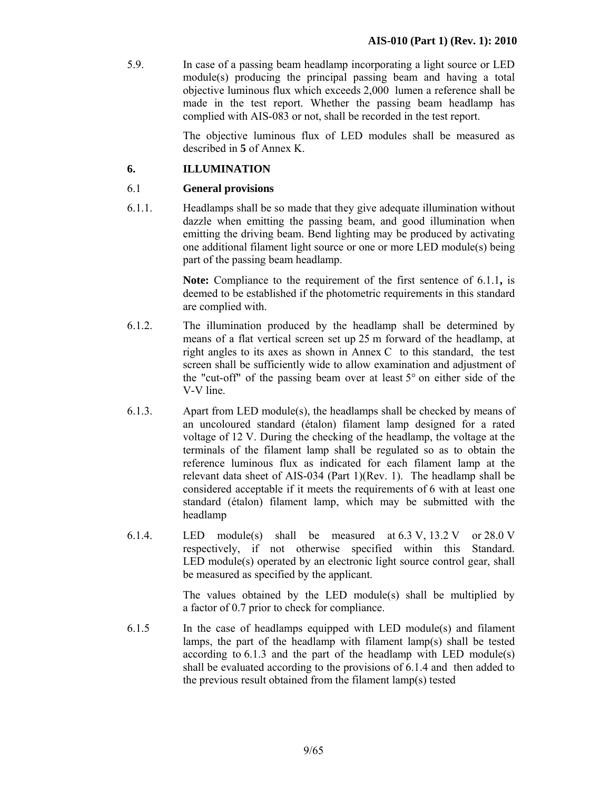5.9. In case of a passing beam headlamp incorporating a light source or LED module(s) producing the principal passing beam and having a total objective luminous flux which exceeds 2,000 lumen a reference shall be made in the test report. Whether the passing beam headlamp has complied with AIS-083 or not, shall be recorded in the test report.

> The objective luminous flux of LED modules shall be measured as described in **5** of Annex K.

## **6. ILLUMINATION**

#### 6.1 **General provisions**

6.1.1. Headlamps shall be so made that they give adequate illumination without dazzle when emitting the passing beam, and good illumination when emitting the driving beam. Bend lighting may be produced by activating one additional filament light source or one or more LED module(s) being part of the passing beam headlamp.

> **Note:** Compliance to the requirement of the first sentence of 6.1.1**,** is deemed to be established if the photometric requirements in this standard are complied with.

- 6.1.2. The illumination produced by the headlamp shall be determined by means of a flat vertical screen set up 25 m forward of the headlamp, at right angles to its axes as shown in Annex C to this standard, the test screen shall be sufficiently wide to allow examination and adjustment of the "cut-off" of the passing beam over at least 5° on either side of the V-V line.
- 6.1.3. Apart from LED module(s), the headlamps shall be checked by means of an uncoloured standard (étalon) filament lamp designed for a rated voltage of 12 V. During the checking of the headlamp, the voltage at the terminals of the filament lamp shall be regulated so as to obtain the reference luminous flux as indicated for each filament lamp at the relevant data sheet of AIS-034 (Part 1)(Rev. 1). The headlamp shall be considered acceptable if it meets the requirements of 6 with at least one standard (étalon) filament lamp, which may be submitted with the headlamp
- 6.1.4. LED module(s) shall be measured at  $6.3 \text{ V}$ ,  $13.2 \text{ V}$  or  $28.0 \text{ V}$ respectively, if not otherwise specified within this Standard. LED module(s) operated by an electronic light source control gear, shall be measured as specified by the applicant.

The values obtained by the LED module(s) shall be multiplied by a factor of 0.7 prior to check for compliance.

6.1.5 In the case of headlamps equipped with LED module(s) and filament lamps, the part of the headlamp with filament lamp(s) shall be tested according to  $6.1.3$  and the part of the headlamp with LED module(s) shall be evaluated according to the provisions of 6.1.4 and then added to the previous result obtained from the filament lamp(s) tested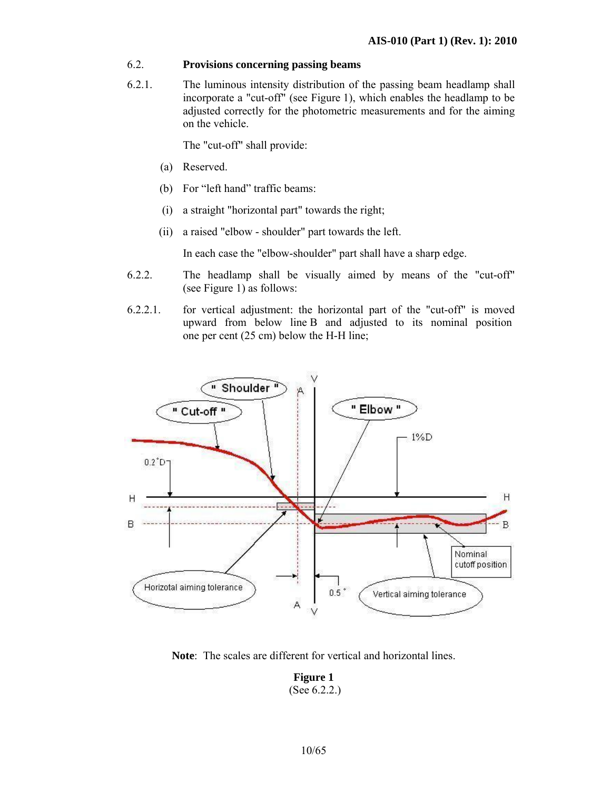#### 6.2. **Provisions concerning passing beams**

6.2.1. The luminous intensity distribution of the passing beam headlamp shall incorporate a "cut-off" (see Figure 1), which enables the headlamp to be adjusted correctly for the photometric measurements and for the aiming on the vehicle.

The "cut-off" shall provide:

- (a) Reserved.
- (b) For "left hand" traffic beams:
- (i) a straight "horizontal part" towards the right;
- (ii) a raised "elbow shoulder" part towards the left.

In each case the "elbow-shoulder" part shall have a sharp edge.

- 6.2.2. The headlamp shall be visually aimed by means of the "cut-off" (see Figure 1) as follows:
- 6.2.2.1. for vertical adjustment: the horizontal part of the "cut-off" is moved upward from below line B and adjusted to its nominal position one per cent (25 cm) below the H-H line;



**Note**: The scales are different for vertical and horizontal lines.

#### **Figure 1**  (See 6.2.2.)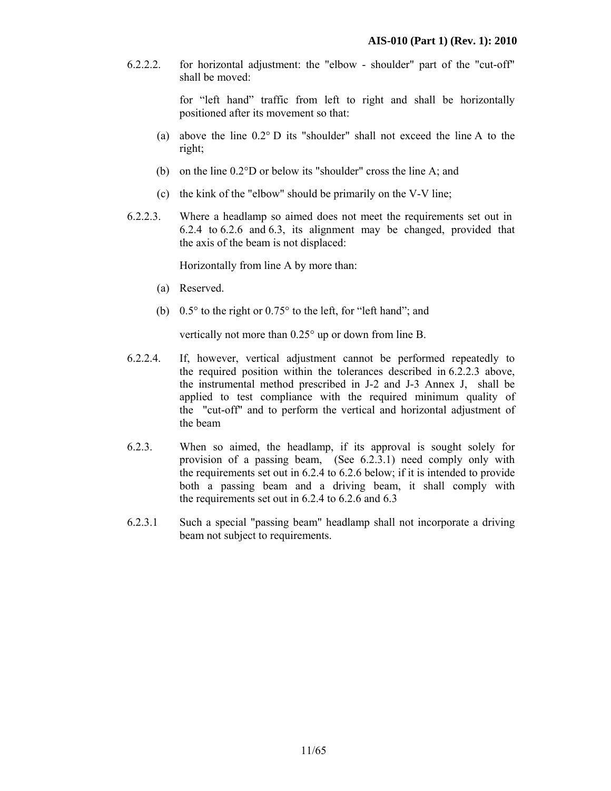6.2.2.2. for horizontal adjustment: the "elbow - shoulder" part of the "cut-off" shall be moved:

> for "left hand" traffic from left to right and shall be horizontally positioned after its movement so that:

- (a) above the line 0.2° D its "shoulder" shall not exceed the line A to the right;
- (b) on the line 0.2°D or below its "shoulder" cross the line A; and
- (c) the kink of the "elbow" should be primarily on the V-V line;
- 6.2.2.3. Where a headlamp so aimed does not meet the requirements set out in 6.2.4 to 6.2.6 and 6.3, its alignment may be changed, provided that the axis of the beam is not displaced:

Horizontally from line A by more than:

- (a) Reserved.
- (b) 0.5° to the right or 0.75° to the left, for "left hand"; and

vertically not more than 0.25° up or down from line B.

- 6.2.2.4. If, however, vertical adjustment cannot be performed repeatedly to the required position within the tolerances described in 6.2.2.3 above, the instrumental method prescribed in J-2 and J-3 Annex J, shall be applied to test compliance with the required minimum quality of the "cut-off" and to perform the vertical and horizontal adjustment of the beam
- 6.2.3. When so aimed, the headlamp, if its approval is sought solely for provision of a passing beam, (See 6.2.3.1) need comply only with the requirements set out in 6.2.4 to 6.2.6 below; if it is intended to provide both a passing beam and a driving beam, it shall comply with the requirements set out in 6.2.4 to 6.2.6 and 6.3
- 6.2.3.1 Such a special "passing beam" headlamp shall not incorporate a driving beam not subject to requirements.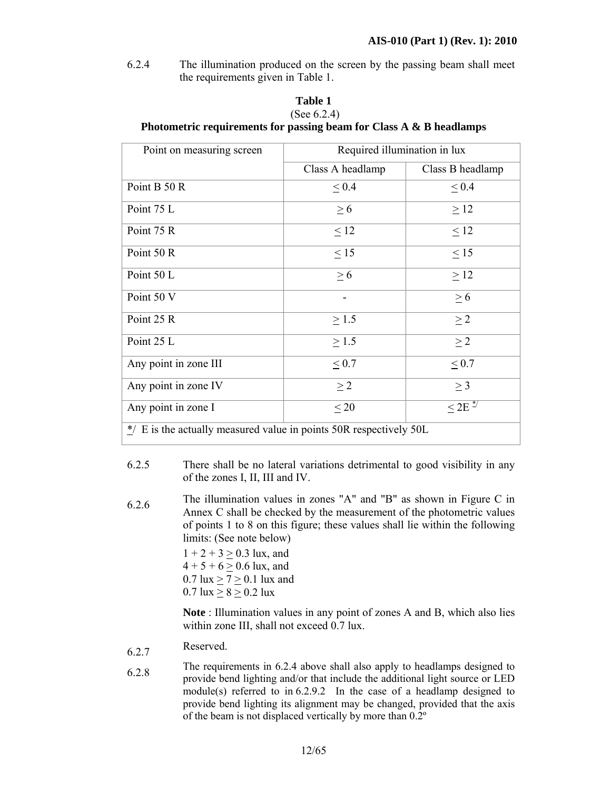6.2.4 The illumination produced on the screen by the passing beam shall meet the requirements given in Table 1.

#### **Table 1**  (See 6.2.4)

#### **Photometric requirements for passing beam for Class A & B headlamps**

| Point on measuring screen                                                        | Required illumination in lux |                                       |  |  |  |  |  |  |
|----------------------------------------------------------------------------------|------------------------------|---------------------------------------|--|--|--|--|--|--|
|                                                                                  | Class A headlamp             | Class B headlamp                      |  |  |  |  |  |  |
| Point B 50 R                                                                     | $\leq 0.4$                   | $\leq 0.4$                            |  |  |  |  |  |  |
| Point 75 L                                                                       | $\geq 6$                     | $\geq$ 12                             |  |  |  |  |  |  |
| Point 75 R                                                                       | $\leq 12$                    | $\leq 12$                             |  |  |  |  |  |  |
| Point 50 R                                                                       | $\leq$ 15                    | $\leq$ 15                             |  |  |  |  |  |  |
| Point 50 L                                                                       | $\geq 6$                     | $\geq$ 12                             |  |  |  |  |  |  |
| Point 50 V                                                                       |                              | $\geq 6$                              |  |  |  |  |  |  |
| Point 25 R                                                                       | $\geq$ 1.5                   | $\geq$ 2                              |  |  |  |  |  |  |
| Point 25 L                                                                       | $\geq$ 1.5                   | $\geq$ 2                              |  |  |  |  |  |  |
| Any point in zone III                                                            | $\leq 0.7$                   | $\leq 0.7$                            |  |  |  |  |  |  |
| Any point in zone IV                                                             | $\geq 2$                     | > 3                                   |  |  |  |  |  |  |
| Any point in zone I                                                              | $\leq 20$                    | $\rm{~11} < 2E$ $\rm{~^{\ast}\prime}$ |  |  |  |  |  |  |
| $\frac{*}{\ell}$ E is the actually measured value in points 50R respectively 50L |                              |                                       |  |  |  |  |  |  |

- 6.2.5 There shall be no lateral variations detrimental to good visibility in any of the zones I, II, III and IV.
- 6.2.6 The illumination values in zones "A" and "B" as shown in Figure C in Annex C shall be checked by the measurement of the photometric values of points 1 to 8 on this figure; these values shall lie within the following limits: (See note below)

 $1 + 2 + 3 \ge 0.3$  lux, and  $4 + 5 + 6 > 0.6$  lux, and  $0.7$  lux  $\geq 7 \geq 0.1$  lux and  $0.7$  lux  $> 8 > 0.2$  lux

**Note** : Illumination values in any point of zones A and B, which also lies within zone III, shall not exceed 0.7 lux.

- 6.2.7 Reserved.
- 6.2.8 The requirements in 6.2.4 above shall also apply to headlamps designed to provide bend lighting and/or that include the additional light source or LED module(s) referred to in 6.2.9.2 In the case of a headlamp designed to provide bend lighting its alignment may be changed, provided that the axis of the beam is not displaced vertically by more than 0.2º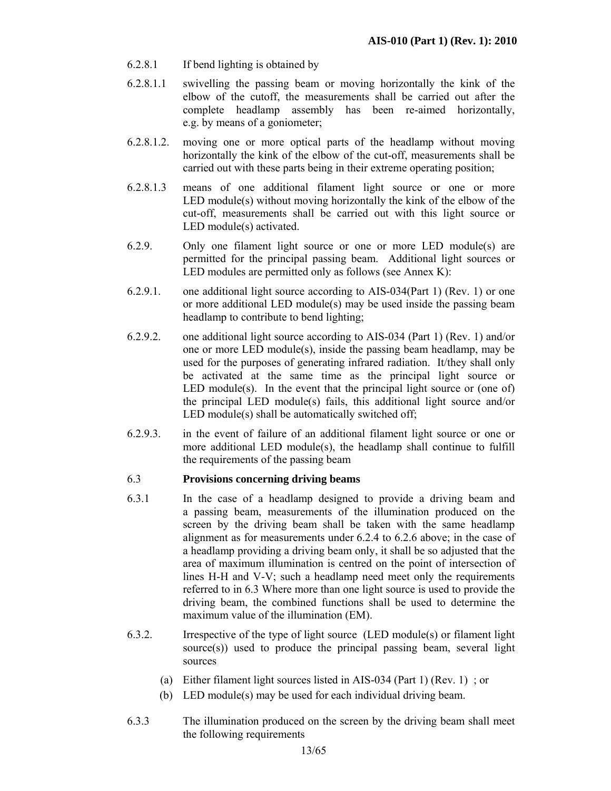- 6.2.8.1 If bend lighting is obtained by
- 6.2.8.1.1 swivelling the passing beam or moving horizontally the kink of the elbow of the cutoff, the measurements shall be carried out after the complete headlamp assembly has been re-aimed horizontally, e.g. by means of a goniometer;
- 6.2.8.1.2. moving one or more optical parts of the headlamp without moving horizontally the kink of the elbow of the cut-off, measurements shall be carried out with these parts being in their extreme operating position;
- 6.2.8.1.3 means of one additional filament light source or one or more LED module(s) without moving horizontally the kink of the elbow of the cut-off, measurements shall be carried out with this light source or LED module(s) activated.
- 6.2.9. Only one filament light source or one or more LED module(s) are permitted for the principal passing beam. Additional light sources or LED modules are permitted only as follows (see Annex K):
- 6.2.9.1. one additional light source according to AIS-034(Part 1) (Rev. 1) or one or more additional LED module(s) may be used inside the passing beam headlamp to contribute to bend lighting;
- 6.2.9.2. one additional light source according to AIS-034 (Part 1) (Rev. 1) and/or one or more LED module(s), inside the passing beam headlamp, may be used for the purposes of generating infrared radiation. It/they shall only be activated at the same time as the principal light source or LED module(s). In the event that the principal light source or (one of) the principal LED module(s) fails, this additional light source and/or LED module(s) shall be automatically switched off;
- 6.2.9.3. in the event of failure of an additional filament light source or one or more additional LED module(s), the headlamp shall continue to fulfill the requirements of the passing beam

#### 6.3 **Provisions concerning driving beams**

- 6.3.1 In the case of a headlamp designed to provide a driving beam and a passing beam, measurements of the illumination produced on the screen by the driving beam shall be taken with the same headlamp alignment as for measurements under 6.2.4 to 6.2.6 above; in the case of a headlamp providing a driving beam only, it shall be so adjusted that the area of maximum illumination is centred on the point of intersection of lines H-H and V-V; such a headlamp need meet only the requirements referred to in 6.3 Where more than one light source is used to provide the driving beam, the combined functions shall be used to determine the maximum value of the illumination (EM).
- 6.3.2. Irrespective of the type of light source (LED module(s) or filament light source(s)) used to produce the principal passing beam, several light sources
	- (a) Either filament light sources listed in AIS-034 (Part 1) (Rev. 1) ; or
	- (b) LED module(s) may be used for each individual driving beam.
- 6.3.3 The illumination produced on the screen by the driving beam shall meet the following requirements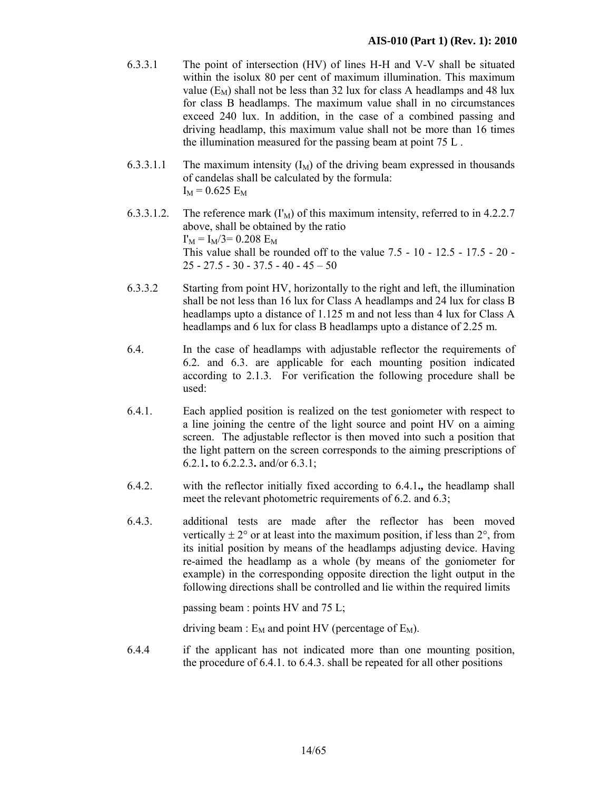- 6.3.3.1 The point of intersection (HV) of lines H-H and V-V shall be situated within the isolux 80 per cent of maximum illumination. This maximum value  $(E_M)$  shall not be less than 32 lux for class A headlamps and 48 lux for class B headlamps. The maximum value shall in no circumstances exceed 240 lux. In addition, in the case of a combined passing and driving headlamp, this maximum value shall not be more than 16 times the illumination measured for the passing beam at point 75 L .
- 6.3.3.1.1 The maximum intensity  $(I_M)$  of the driving beam expressed in thousands of candelas shall be calculated by the formula:  $I_M = 0.625 E_M$
- 6.3.3.1.2. The reference mark  $(\Gamma_M)$  of this maximum intensity, referred to in 4.2.2.7 above, shall be obtained by the ratio  $I'_M = I_M/3 = 0.208$  E<sub>M</sub> This value shall be rounded off to the value 7.5 - 10 - 12.5 - 17.5 - 20 -  $25 - 27.5 - 30 - 37.5 - 40 - 45 - 50$
- 6.3.3.2 Starting from point HV, horizontally to the right and left, the illumination shall be not less than 16 lux for Class A headlamps and 24 lux for class B headlamps upto a distance of 1.125 m and not less than 4 lux for Class A headlamps and 6 lux for class B headlamps upto a distance of 2.25 m.
- 6.4. In the case of headlamps with adjustable reflector the requirements of 6.2. and 6.3. are applicable for each mounting position indicated according to 2.1.3. For verification the following procedure shall be used:
- 6.4.1. Each applied position is realized on the test goniometer with respect to a line joining the centre of the light source and point HV on a aiming screen. The adjustable reflector is then moved into such a position that the light pattern on the screen corresponds to the aiming prescriptions of 6.2.1**.** to 6.2.2.3**.** and/or 6.3.1;
- 6.4.2. with the reflector initially fixed according to 6.4.1**.,** the headlamp shall meet the relevant photometric requirements of 6.2. and 6.3;
- 6.4.3. additional tests are made after the reflector has been moved vertically  $\pm 2^{\circ}$  or at least into the maximum position, if less than  $2^{\circ}$ , from its initial position by means of the headlamps adjusting device. Having re-aimed the headlamp as a whole (by means of the goniometer for example) in the corresponding opposite direction the light output in the following directions shall be controlled and lie within the required limits

passing beam : points HV and 75 L;

driving beam :  $E_M$  and point HV (percentage of  $E_M$ ).

6.4.4 if the applicant has not indicated more than one mounting position, the procedure of 6.4.1. to 6.4.3. shall be repeated for all other positions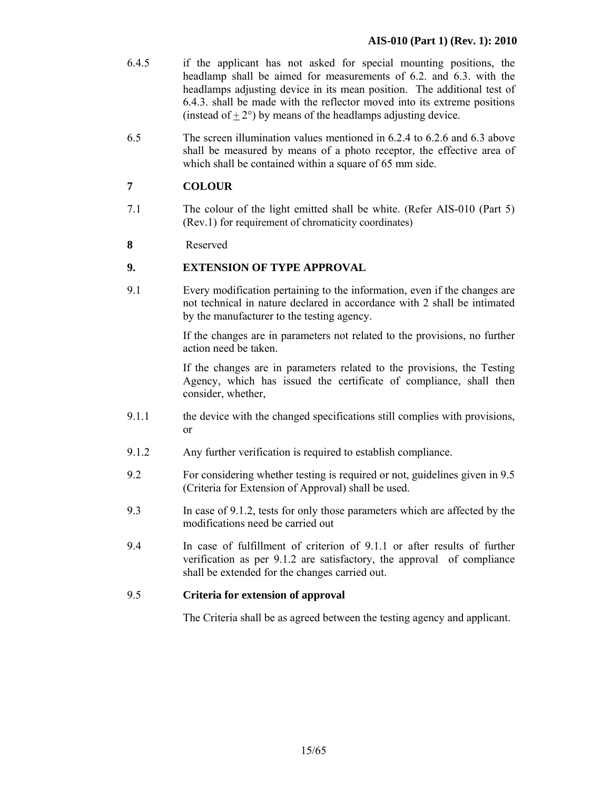- 6.4.5 if the applicant has not asked for special mounting positions, the headlamp shall be aimed for measurements of 6.2. and 6.3. with the headlamps adjusting device in its mean position. The additional test of 6.4.3. shall be made with the reflector moved into its extreme positions (instead of  $+2^{\circ}$ ) by means of the headlamps adjusting device.
- 6.5 The screen illumination values mentioned in 6.2.4 to 6.2.6 and 6.3 above shall be measured by means of a photo receptor, the effective area of which shall be contained within a square of 65 mm side.

# **7 COLOUR**

- 7.1 The colour of the light emitted shall be white. (Refer AIS-010 (Part 5) (Rev.1) for requirement of chromaticity coordinates)
- **8** Reserved

#### **9. EXTENSION OF TYPE APPROVAL**

9.1 Every modification pertaining to the information, even if the changes are not technical in nature declared in accordance with 2 shall be intimated by the manufacturer to the testing agency.

> If the changes are in parameters not related to the provisions, no further action need be taken.

> If the changes are in parameters related to the provisions, the Testing Agency, which has issued the certificate of compliance, shall then consider, whether,

- 9.1.1 the device with the changed specifications still complies with provisions, or
- 9.1.2 Any further verification is required to establish compliance.
- 9.2 For considering whether testing is required or not, guidelines given in 9.5 (Criteria for Extension of Approval) shall be used.
- 9.3 In case of 9.1.2, tests for only those parameters which are affected by the modifications need be carried out
- 9.4 In case of fulfillment of criterion of 9.1.1 or after results of further verification as per 9.1.2 are satisfactory, the approval of compliance shall be extended for the changes carried out.

#### 9.5 **Criteria for extension of approval**

The Criteria shall be as agreed between the testing agency and applicant.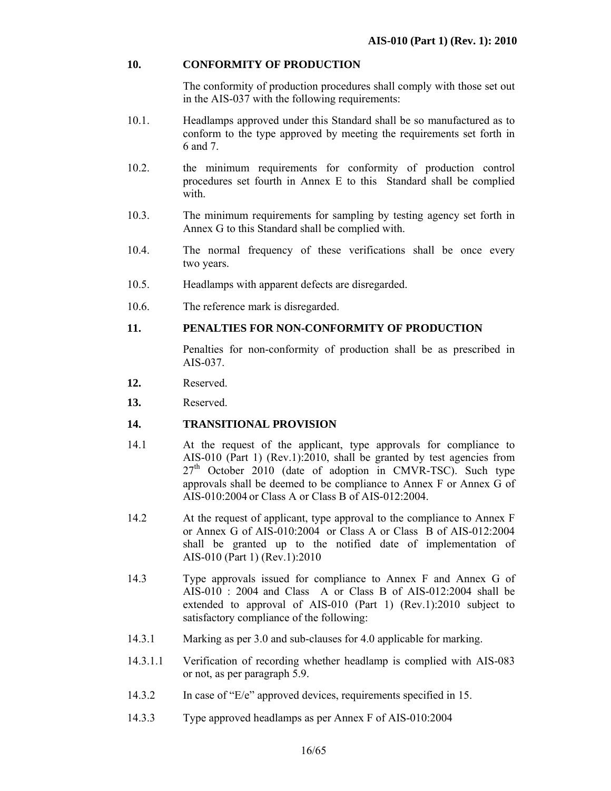#### **10. CONFORMITY OF PRODUCTION**

The conformity of production procedures shall comply with those set out in the AIS-037 with the following requirements:

- 10.1. Headlamps approved under this Standard shall be so manufactured as to conform to the type approved by meeting the requirements set forth in 6 and 7.
- 10.2. the minimum requirements for conformity of production control procedures set fourth in Annex E to this Standard shall be complied with.
- 10.3. The minimum requirements for sampling by testing agency set forth in Annex G to this Standard shall be complied with.
- 10.4. The normal frequency of these verifications shall be once every two years.
- 10.5. Headlamps with apparent defects are disregarded.
- 10.6. The reference mark is disregarded.

#### **11. PENALTIES FOR NON-CONFORMITY OF PRODUCTION**

Penalties for non-conformity of production shall be as prescribed in AIS-037.

- **12.** Reserved.
- **13.** Reserved.

#### **14. TRANSITIONAL PROVISION**

- 14.1 At the request of the applicant, type approvals for compliance to AIS-010 (Part 1) (Rev.1):2010, shall be granted by test agencies from  $27<sup>th</sup>$  October 2010 (date of adoption in CMVR-TSC). Such type approvals shall be deemed to be compliance to Annex F or Annex G of AIS-010:2004 or Class A or Class B of AIS-012:2004.
- 14.2 At the request of applicant, type approval to the compliance to Annex F or Annex G of AIS-010:2004 or Class A or Class B of AIS-012:2004 shall be granted up to the notified date of implementation of AIS-010 (Part 1) (Rev.1):2010
- 14.3 Type approvals issued for compliance to Annex F and Annex G of AIS-010 : 2004 and Class A or Class B of AIS-012:2004 shall be extended to approval of AIS-010 (Part 1) (Rev.1):2010 subject to satisfactory compliance of the following:
- 14.3.1 Marking as per 3.0 and sub-clauses for 4.0 applicable for marking.
- 14.3.1.1 Verification of recording whether headlamp is complied with AIS-083 or not, as per paragraph 5.9.
- 14.3.2 In case of "E/e" approved devices, requirements specified in 15.
- 14.3.3 Type approved headlamps as per Annex F of AIS-010:2004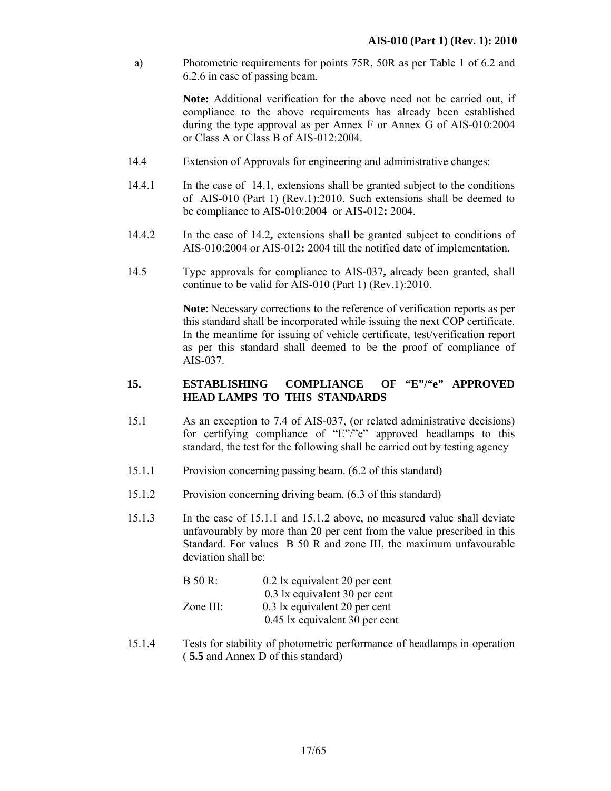a) Photometric requirements for points 75R, 50R as per Table 1 of 6.2 and 6.2.6 in case of passing beam.

> **Note:** Additional verification for the above need not be carried out, if compliance to the above requirements has already been established during the type approval as per Annex F or Annex G of AIS-010:2004 or Class A or Class B of AIS-012:2004.

- 14.4 Extension of Approvals for engineering and administrative changes:
- 14.4.1 In the case of 14.1, extensions shall be granted subject to the conditions of AIS-010 (Part 1) (Rev.1):2010. Such extensions shall be deemed to be compliance to AIS-010:2004 or AIS-012**:** 2004.
- 14.4.2 In the case of 14.2**,** extensions shall be granted subject to conditions of AIS-010:2004 or AIS-012**:** 2004 till the notified date of implementation.
- 14.5 Type approvals for compliance to AIS-037**,** already been granted, shall continue to be valid for AIS-010 (Part 1) (Rev.1):2010.

**Note**: Necessary corrections to the reference of verification reports as per this standard shall be incorporated while issuing the next COP certificate. In the meantime for issuing of vehicle certificate, test/verification report as per this standard shall deemed to be the proof of compliance of AIS-037.

#### **15. ESTABLISHING COMPLIANCE OF "E"/"e" APPROVED HEAD LAMPS TO THIS STANDARDS**

- 15.1 As an exception to 7.4 of AIS-037, (or related administrative decisions) for certifying compliance of "E"/"e" approved headlamps to this standard, the test for the following shall be carried out by testing agency
- 15.1.1 Provision concerning passing beam. (6.2 of this standard)
- 15.1.2 Provision concerning driving beam. (6.3 of this standard)
- 15.1.3 In the case of 15.1.1 and 15.1.2 above, no measured value shall deviate unfavourably by more than 20 per cent from the value prescribed in this Standard. For values B 50 R and zone III, the maximum unfavourable deviation shall be:

| B 50 R:   | 0.2 lx equivalent 20 per cent  |
|-----------|--------------------------------|
|           | 0.3 lx equivalent 30 per cent  |
| Zone III: | 0.3 lx equivalent 20 per cent  |
|           | 0.45 lx equivalent 30 per cent |

15.1.4 Tests for stability of photometric performance of headlamps in operation ( **5.5** and Annex D of this standard)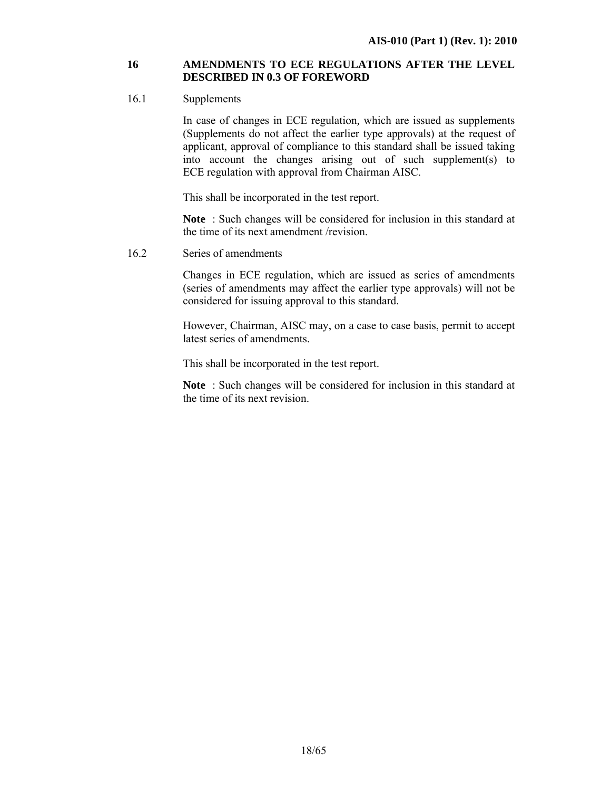#### **16 AMENDMENTS TO ECE REGULATIONS AFTER THE LEVEL DESCRIBED IN 0.3 OF FOREWORD**

#### 16.1 Supplements

 In case of changes in ECE regulation*,* which are issued as supplements (Supplements do not affect the earlier type approvals) at the request of applicant, approval of compliance to this standard shall be issued taking into account the changes arising out of such supplement(s) to ECE regulation with approval from Chairman AISC.

This shall be incorporated in the test report.

**Note** : Such changes will be considered for inclusion in this standard at the time of its next amendment /revision.

16.2 Series of amendments

 Changes in ECE regulation, which are issued as series of amendments (series of amendments may affect the earlier type approvals) will not be considered for issuing approval to this standard.

However, Chairman, AISC may, on a case to case basis, permit to accept latest series of amendments.

This shall be incorporated in the test report.

**Note** : Such changes will be considered for inclusion in this standard at the time of its next revision.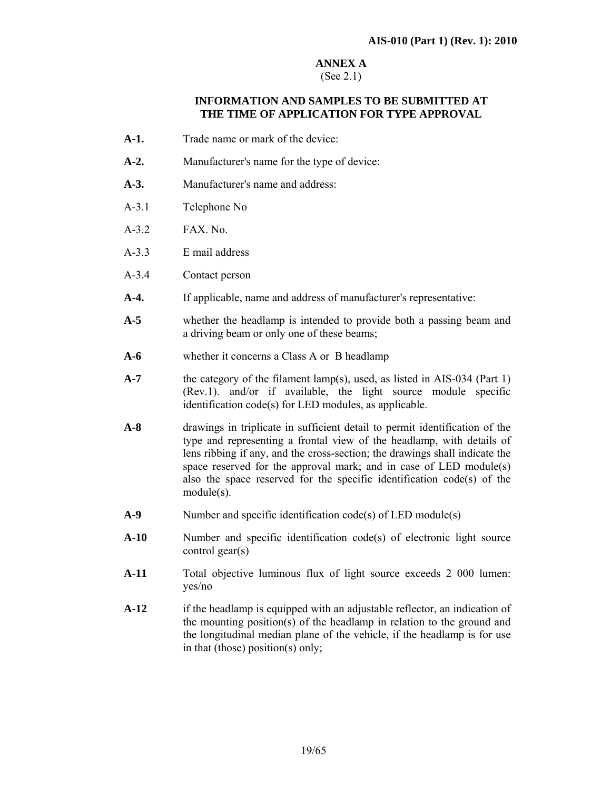# **ANNEX A**

# (See 2.1)

#### **INFORMATION AND SAMPLES TO BE SUBMITTED AT THE TIME OF APPLICATION FOR TYPE APPROVAL**

- **A-1.** Trade name or mark of the device:
- **A-2.** Manufacturer's name for the type of device:
- **A-3.** Manufacturer's name and address:
- A-3.1 Telephone No
- A-3.2 FAX. No.
- A-3.3 E mail address
- A-3.4 Contact person
- **A-4.** If applicable, name and address of manufacturer's representative:
- **A-5** whether the headlamp is intended to provide both a passing beam and a driving beam or only one of these beams;
- **A-6** whether it concerns a Class A or B headlamp
- **A-7** the category of the filament lamp(s), used, as listed in AIS-034 (Part 1) (Rev.1). and/or if available, the light source module specific identification code(s) for LED modules, as applicable.
- **A-8** drawings in triplicate in sufficient detail to permit identification of the type and representing a frontal view of the headlamp, with details of lens ribbing if any, and the cross-section; the drawings shall indicate the space reserved for the approval mark; and in case of LED module(s) also the space reserved for the specific identification code(s) of the module(s).
- **A-9** Number and specific identification code(s) of LED module(s)
- **A-10** Number and specific identification code(s) of electronic light source control gear(s)
- **A-11** Total objective luminous flux of light source exceeds 2 000 lumen: yes/no
- **A-12** if the headlamp is equipped with an adjustable reflector, an indication of the mounting position(s) of the headlamp in relation to the ground and the longitudinal median plane of the vehicle, if the headlamp is for use in that (those) position(s) only;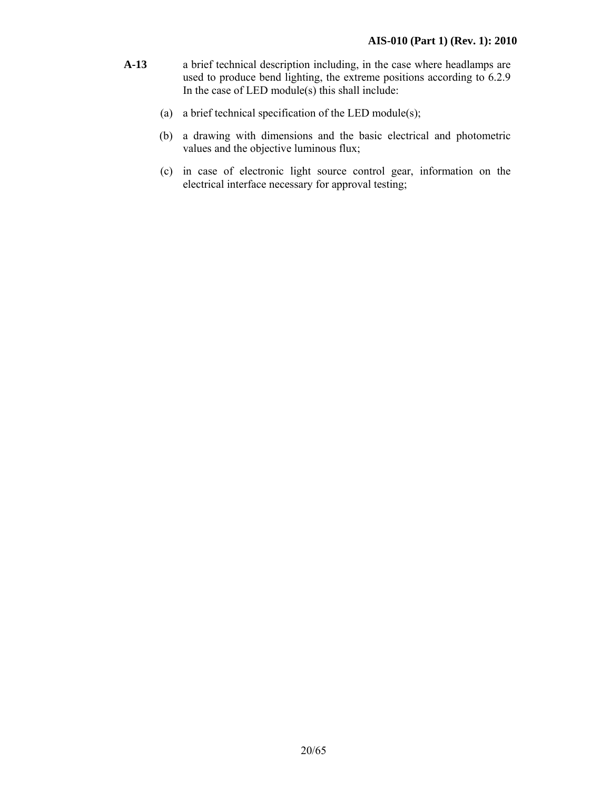- **A-13** a brief technical description including, in the case where headlamps are used to produce bend lighting, the extreme positions according to 6.2.9 In the case of LED module(s) this shall include:
	- (a) a brief technical specification of the LED module(s);
	- (b) a drawing with dimensions and the basic electrical and photometric values and the objective luminous flux;
	- (c) in case of electronic light source control gear, information on the electrical interface necessary for approval testing;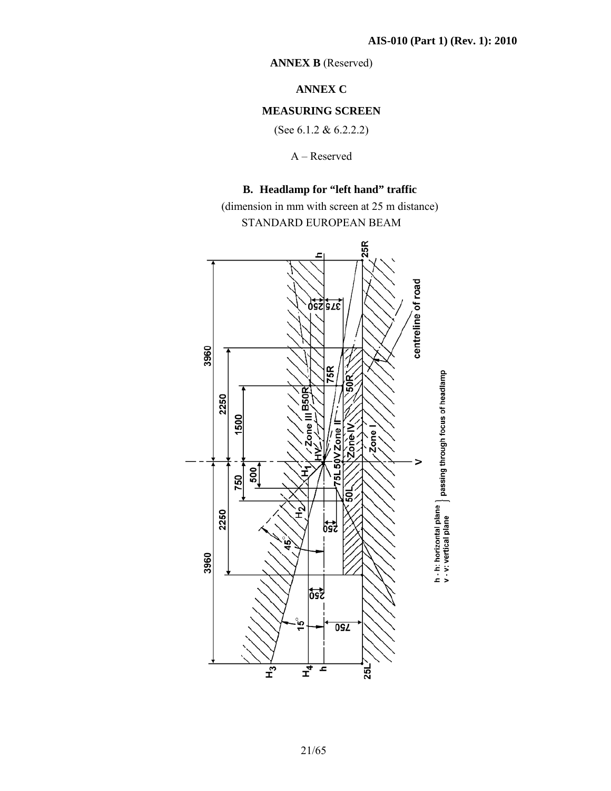**ANNEX B** (Reserved)

**ANNEX C** 

#### **MEASURING SCREEN**

(See 6.1.2 & 6.2.2.2)

A – Reserved

# **B. Headlamp for "left hand" traffic**

(dimension in mm with screen at 25 m distance) STANDARD EUROPEAN BEAM

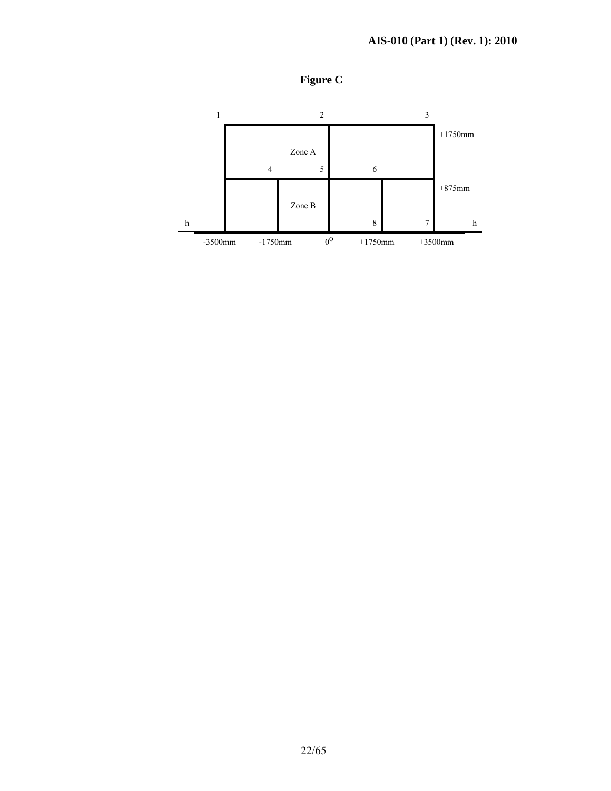

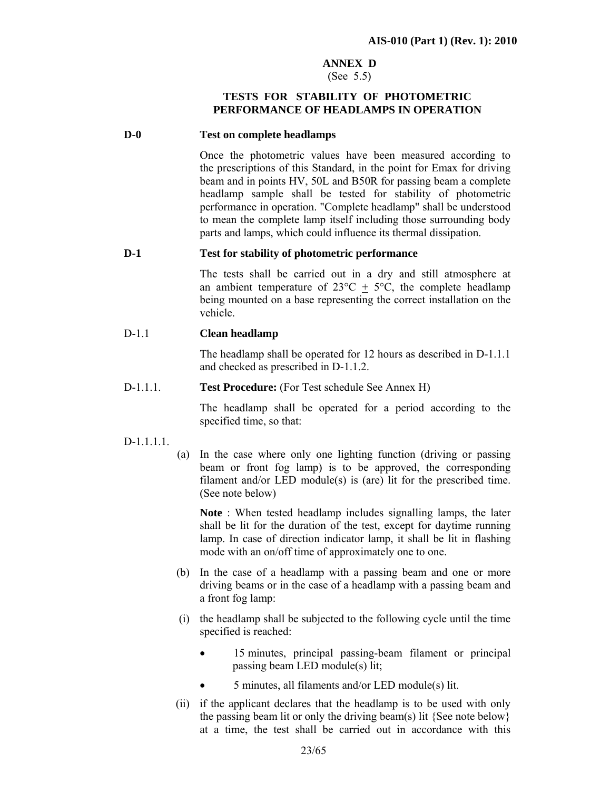#### **ANNEX D**

#### (See 5.5)

#### **TESTS FOR STABILITY OF PHOTOMETRIC PERFORMANCE OF HEADLAMPS IN OPERATION**

#### **D-0 Test on complete headlamps**

Once the photometric values have been measured according to the prescriptions of this Standard, in the point for Emax for driving beam and in points HV, 50L and B50R for passing beam a complete headlamp sample shall be tested for stability of photometric performance in operation. "Complete headlamp" shall be understood to mean the complete lamp itself including those surrounding body parts and lamps, which could influence its thermal dissipation.

#### **D-1 Test for stability of photometric performance**

The tests shall be carried out in a dry and still atmosphere at an ambient temperature of  $23^{\circ}\text{C} + 5^{\circ}\text{C}$ , the complete headlamp being mounted on a base representing the correct installation on the vehicle.

#### D-1.1 **Clean headlamp**

 The headlamp shall be operated for 12 hours as described in D-1.1.1 and checked as prescribed in D-1.1.2.

D-1.1.1. **Test Procedure:** (For Test schedule See Annex H)

 The headlamp shall be operated for a period according to the specified time, so that:

#### $D-1$  1.1.1

(a) In the case where only one lighting function (driving or passing beam or front fog lamp) is to be approved, the corresponding filament and/or LED module(s) is (are) lit for the prescribed time. (See note below)

**Note** : When tested headlamp includes signalling lamps, the later shall be lit for the duration of the test, except for daytime running lamp. In case of direction indicator lamp, it shall be lit in flashing mode with an on/off time of approximately one to one.

- (b) In the case of a headlamp with a passing beam and one or more driving beams or in the case of a headlamp with a passing beam and a front fog lamp:
- (i) the headlamp shall be subjected to the following cycle until the time specified is reached:
	- 15 minutes, principal passing-beam filament or principal passing beam LED module(s) lit;
	- 5 minutes, all filaments and/or LED module(s) lit.
- (ii) if the applicant declares that the headlamp is to be used with only the passing beam lit or only the driving beam(s) lit {See note below} at a time, the test shall be carried out in accordance with this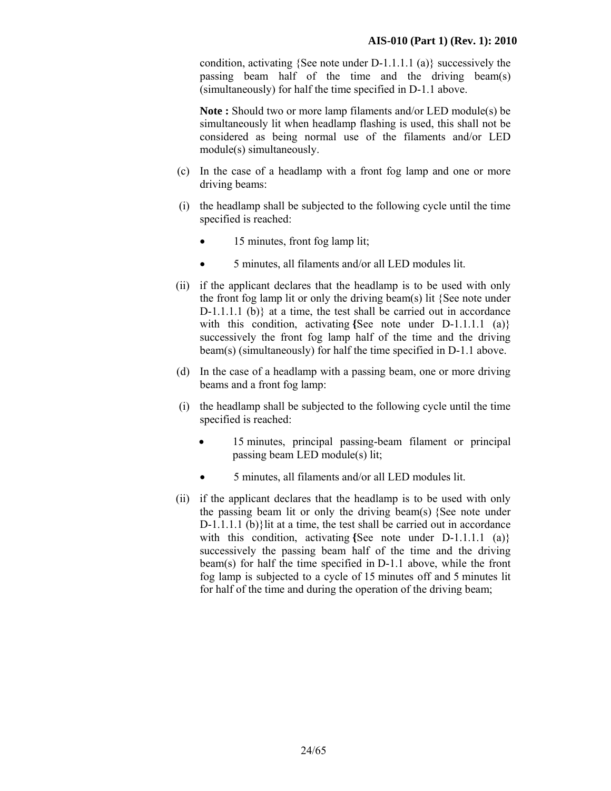condition, activating {See note under D-1.1.1.1 (a)} successively the passing beam half of the time and the driving beam(s) (simultaneously) for half the time specified in D-1.1 above.

**Note :** Should two or more lamp filaments and/or LED module(s) be simultaneously lit when headlamp flashing is used, this shall not be considered as being normal use of the filaments and/or LED module(s) simultaneously.

- (c) In the case of a headlamp with a front fog lamp and one or more driving beams:
- (i) the headlamp shall be subjected to the following cycle until the time specified is reached:
	- 15 minutes, front fog lamp lit;
	- 5 minutes, all filaments and/or all LED modules lit.
- (ii) if the applicant declares that the headlamp is to be used with only the front fog lamp lit or only the driving beam(s) lit {See note under D-1.1.1.1 (b)} at a time, the test shall be carried out in accordance with this condition, activating {See note under D-1.1.1.1 (a)} successively the front fog lamp half of the time and the driving beam(s) (simultaneously) for half the time specified in D-1.1 above.
- (d) In the case of a headlamp with a passing beam, one or more driving beams and a front fog lamp:
- (i) the headlamp shall be subjected to the following cycle until the time specified is reached:
	- 15 minutes, principal passing-beam filament or principal passing beam LED module(s) lit;
	- 5 minutes, all filaments and/or all LED modules lit.
- (ii) if the applicant declares that the headlamp is to be used with only the passing beam lit or only the driving beam(s) {See note under D-1.1.1.1 (b)}lit at a time, the test shall be carried out in accordance with this condition, activating {See note under D-1.1.1.1 (a)} successively the passing beam half of the time and the driving beam(s) for half the time specified in D-1.1 above, while the front fog lamp is subjected to a cycle of 15 minutes off and 5 minutes lit for half of the time and during the operation of the driving beam;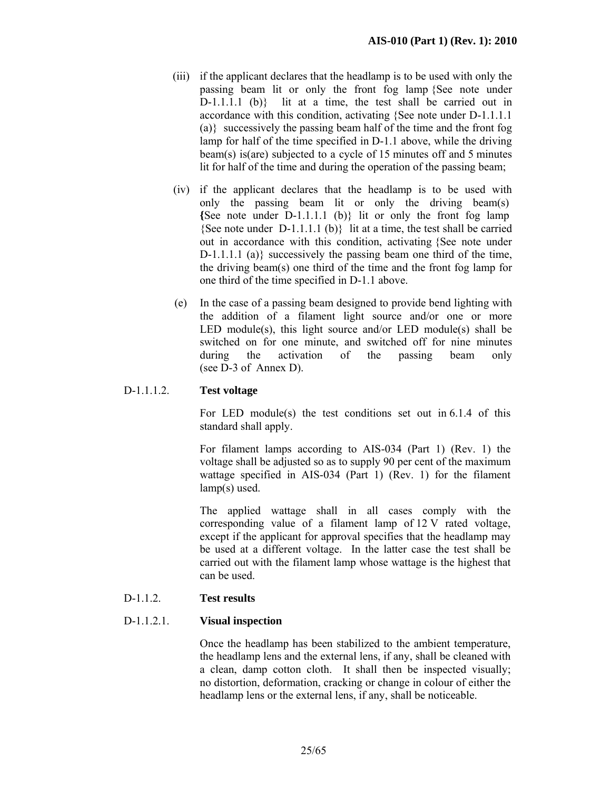- (iii) if the applicant declares that the headlamp is to be used with only the passing beam lit or only the front fog lamp {See note under D-1.1.1.1 (b)}lit at a time, the test shall be carried out in accordance with this condition, activating {See note under D-1.1.1.1 (a)}successively the passing beam half of the time and the front fog lamp for half of the time specified in D-1.1 above, while the driving beam(s) is(are) subjected to a cycle of 15 minutes off and 5 minutes lit for half of the time and during the operation of the passing beam;
- (iv) if the applicant declares that the headlamp is to be used with only the passing beam lit or only the driving beam(s) **{**See note under D-1.1.1.1 (b)} lit or only the front fog lamp {See note under D-1.1.1.1 (b)}lit at a time, the test shall be carried out in accordance with this condition, activating {See note under  $D-1.1.1.1$  (a)} successively the passing beam one third of the time, the driving beam(s) one third of the time and the front fog lamp for one third of the time specified in D-1.1 above.
- (e) In the case of a passing beam designed to provide bend lighting with the addition of a filament light source and/or one or more LED module(s), this light source and/or LED module(s) shall be switched on for one minute, and switched off for nine minutes during the activation of the passing beam only (see D-3 of Annex D).

#### D-1.1.1.2. **Test voltage**

 For LED module(s) the test conditions set out in 6.1.4 of this standard shall apply.

 For filament lamps according to AIS-034 (Part 1) (Rev. 1) the voltage shall be adjusted so as to supply 90 per cent of the maximum wattage specified in AIS-034 (Part 1) (Rev. 1) for the filament lamp(s) used.

 The applied wattage shall in all cases comply with the corresponding value of a filament lamp of 12 V rated voltage, except if the applicant for approval specifies that the headlamp may be used at a different voltage. In the latter case the test shall be carried out with the filament lamp whose wattage is the highest that can be used.

#### D-1.1.2. **Test results**

#### D-1.1.2.1. **Visual inspection**

Once the headlamp has been stabilized to the ambient temperature, the headlamp lens and the external lens, if any, shall be cleaned with a clean, damp cotton cloth. It shall then be inspected visually; no distortion, deformation, cracking or change in colour of either the headlamp lens or the external lens, if any, shall be noticeable.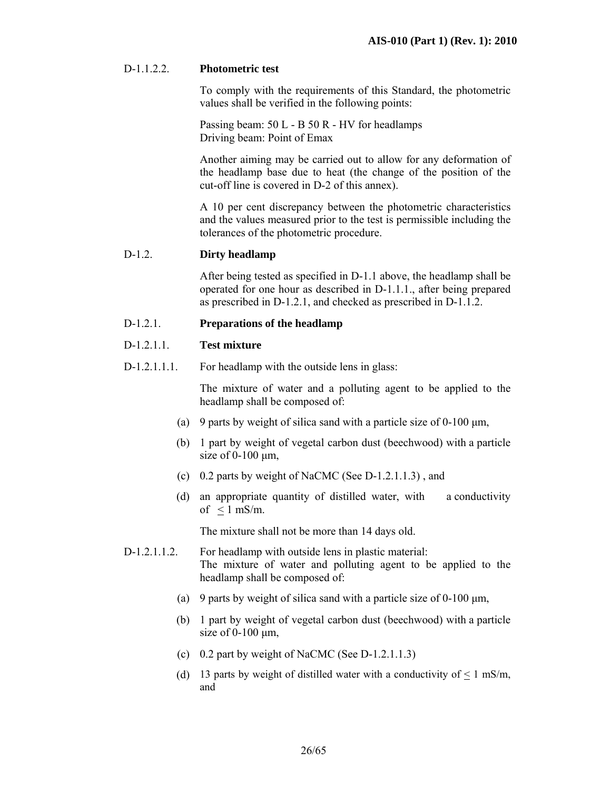#### D-1.1.2.2. **Photometric test**

 To comply with the requirements of this Standard, the photometric values shall be verified in the following points:

 Passing beam: 50 L - B 50 R - HV for headlamps Driving beam: Point of Emax

 Another aiming may be carried out to allow for any deformation of the headlamp base due to heat (the change of the position of the cut-off line is covered in D-2 of this annex).

 A 10 per cent discrepancy between the photometric characteristics and the values measured prior to the test is permissible including the tolerances of the photometric procedure.

#### D-1.2. **Dirty headlamp**

 After being tested as specified in D-1.1 above, the headlamp shall be operated for one hour as described in D-1.1.1., after being prepared as prescribed in D-1.2.1, and checked as prescribed in D-1.1.2.

#### D-1.2.1. **Preparations of the headlamp**

#### D-1.2.1.1. **Test mixture**

D-1.2.1.1.1. For headlamp with the outside lens in glass:

The mixture of water and a polluting agent to be applied to the headlamp shall be composed of:

- (a) 9 parts by weight of silica sand with a particle size of  $0-100 \mu m$ ,
- (b) 1 part by weight of vegetal carbon dust (beechwood) with a particle size of  $0-100 \mu m$ ,
- (c) 0.2 parts by weight of NaCMC (See  $D-1.2.1.1.3$ ), and
- (d) an appropriate quantity of distilled water, with a conductivity of  $\leq 1$  mS/m.

The mixture shall not be more than 14 days old.

- D-1.2.1.1.2. For headlamp with outside lens in plastic material: The mixture of water and polluting agent to be applied to the headlamp shall be composed of:
	- (a) 9 parts by weight of silica sand with a particle size of  $0-100 \text{ µm}$ ,
	- (b) 1 part by weight of vegetal carbon dust (beechwood) with a particle size of  $0-100 \mu m$ ,
	- (c) 0.2 part by weight of NaCMC (See D-1.2.1.1.3)
	- (d) 13 parts by weight of distilled water with a conductivity of  $\leq 1$  mS/m, and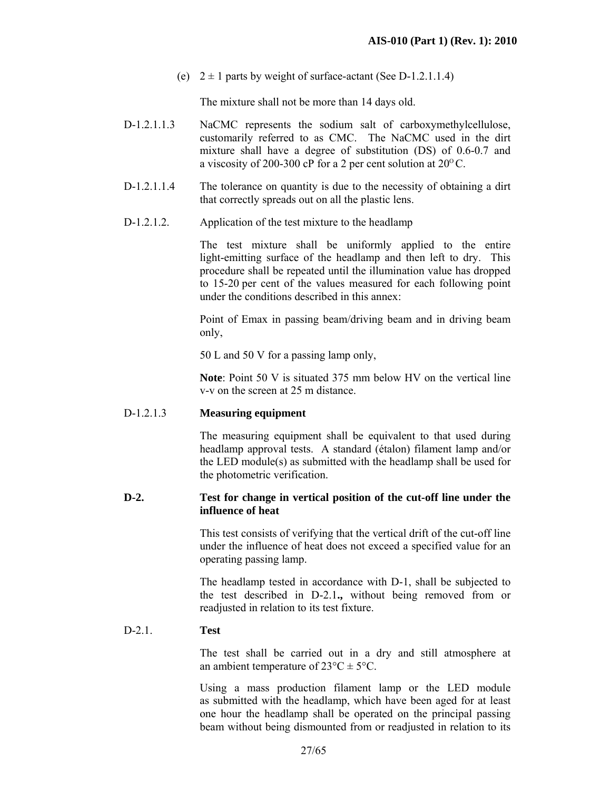(e)  $2 \pm 1$  parts by weight of surface-actant (See D-1.2.1.1.4)

The mixture shall not be more than 14 days old.

- D-1.2.1.1.3 NaCMC represents the sodium salt of carboxymethylcellulose, customarily referred to as CMC. The NaCMC used in the dirt mixture shall have a degree of substitution (DS) of 0.6-0.7 and a viscosity of 200-300 cP for a 2 per cent solution at  $20^{\circ}$ C.
- D-1.2.1.1.4 The tolerance on quantity is due to the necessity of obtaining a dirt that correctly spreads out on all the plastic lens.
- D-1.2.1.2. Application of the test mixture to the headlamp

 The test mixture shall be uniformly applied to the entire light-emitting surface of the headlamp and then left to dry. This procedure shall be repeated until the illumination value has dropped to 15-20 per cent of the values measured for each following point under the conditions described in this annex:

 Point of Emax in passing beam/driving beam and in driving beam only,

50 L and 50 V for a passing lamp only,

**Note**: Point 50 V is situated 375 mm below HV on the vertical line v-v on the screen at 25 m distance.

#### D-1.2.1.3 **Measuring equipment**

 The measuring equipment shall be equivalent to that used during headlamp approval tests. A standard (étalon) filament lamp and/or the LED module(s) as submitted with the headlamp shall be used for the photometric verification.

#### **D-2. Test for change in vertical position of the cut-off line under the influence of heat**

This test consists of verifying that the vertical drift of the cut-off line under the influence of heat does not exceed a specified value for an operating passing lamp.

The headlamp tested in accordance with D-1, shall be subjected to the test described in D-2.1**.,** without being removed from or readjusted in relation to its test fixture.

#### D-2.1. **Test**

The test shall be carried out in a dry and still atmosphere at an ambient temperature of  $23^{\circ}C \pm 5^{\circ}C$ .

Using a mass production filament lamp or the LED module as submitted with the headlamp, which have been aged for at least one hour the headlamp shall be operated on the principal passing beam without being dismounted from or readjusted in relation to its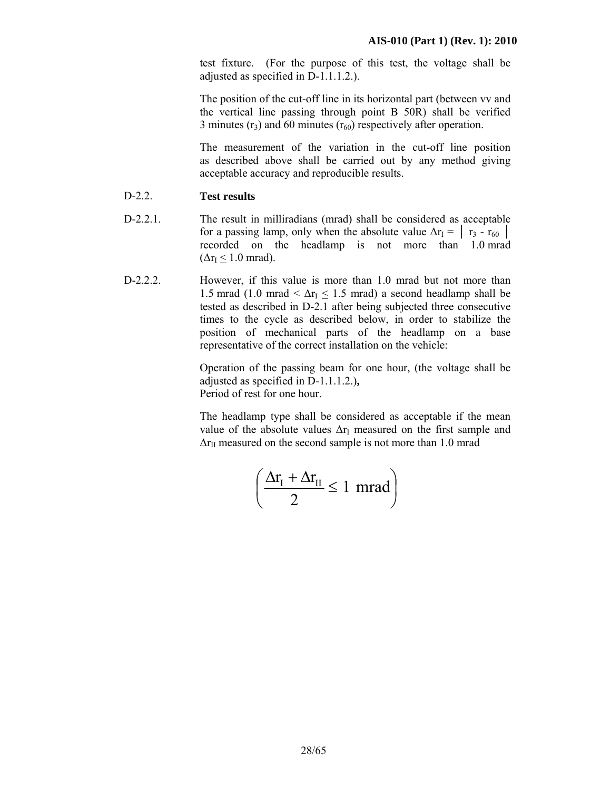test fixture. (For the purpose of this test, the voltage shall be adjusted as specified in D-1.1.1.2.).

The position of the cut-off line in its horizontal part (between vv and the vertical line passing through point B 50R) shall be verified 3 minutes ( $r_3$ ) and 60 minutes ( $r_{60}$ ) respectively after operation.

The measurement of the variation in the cut-off line position as described above shall be carried out by any method giving acceptable accuracy and reproducible results.

- D-2.2. **Test results**
- D-2.2.1. The result in milliradians (mrad) shall be considered as acceptable for a passing lamp, only when the absolute value  $\Delta r_1 = \begin{bmatrix} r_3 - r_{60} \end{bmatrix}$ recorded on the headlamp is not more than 1.0 mrad  $(\Delta r_I \leq 1.0$  mrad).
- D-2.2.2. However, if this value is more than 1.0 mrad but not more than 1.5 mrad (1.0 mrad <  $\Delta r_I$  < 1.5 mrad) a second headlamp shall be tested as described in D-2.1 after being subjected three consecutive times to the cycle as described below, in order to stabilize the position of mechanical parts of the headlamp on a base representative of the correct installation on the vehicle:

Operation of the passing beam for one hour, (the voltage shall be adjusted as specified in D-1.1.1.2.)**,** Period of rest for one hour.

The headlamp type shall be considered as acceptable if the mean value of the absolute values  $\Delta r_I$  measured on the first sample and  $\Delta r_{II}$  measured on the second sample is not more than 1.0 mrad

$$
\left(\frac{\Delta r_{\rm I}+\Delta r_{\rm II}}{2}\leq 1~{\rm mrad}\right)
$$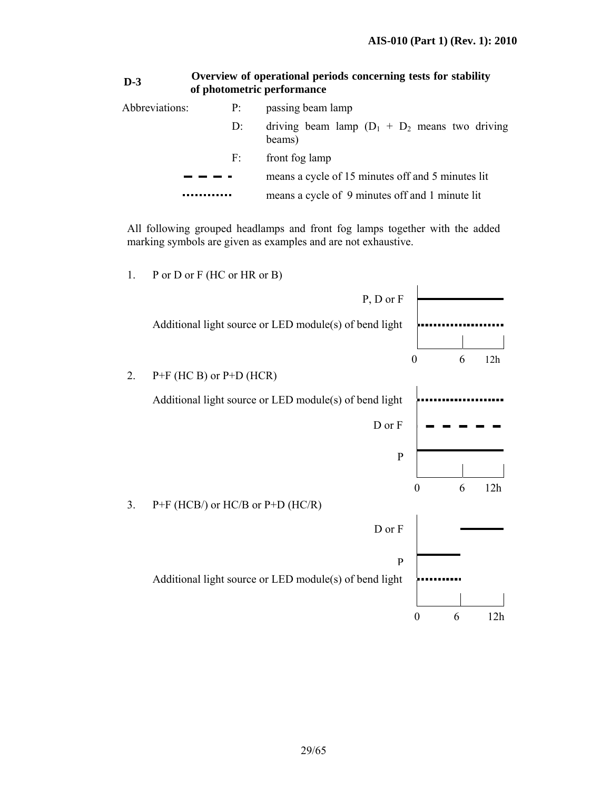| $D-3$          | of photometric performance | Overview of operational periods concerning tests for stability |
|----------------|----------------------------|----------------------------------------------------------------|
| Abbreviations: | P <sub>i</sub>             | passing beam lamp                                              |
|                | $D$ :                      | driving beam lamp $(D_1 + D_2)$ means two driving<br>beams)    |
|                | F:                         | front fog lamp                                                 |
|                |                            | means a cycle of 15 minutes off and 5 minutes lit              |
|                |                            | means a cycle of 9 minutes off and 1 minute lit                |

All following grouped headlamps and front fog lamps together with the added marking symbols are given as examples and are not exhaustive.

1. P or D or F (HC or HR or B)

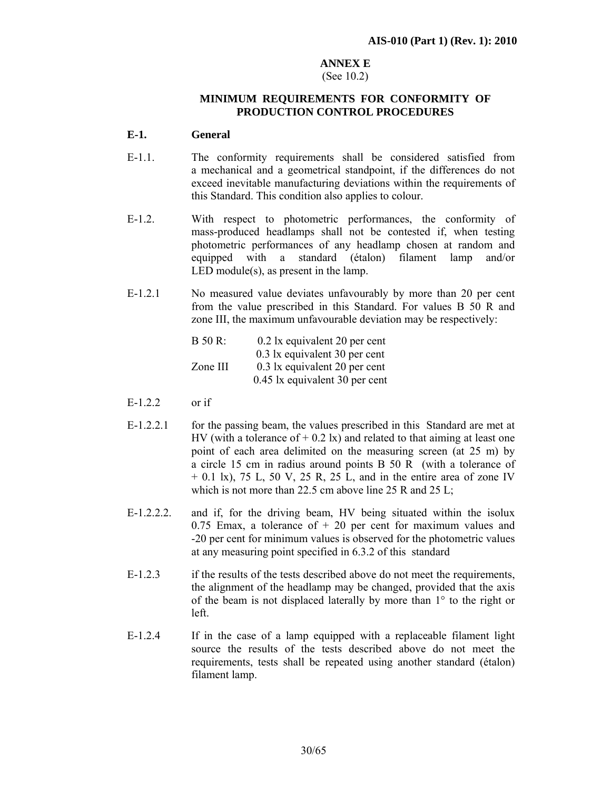# **ANNEX E**

#### (See 10.2)

#### **MINIMUM REQUIREMENTS FOR CONFORMITY OF PRODUCTION CONTROL PROCEDURES**

#### **E-1. General**

- E-1.1. The conformity requirements shall be considered satisfied from a mechanical and a geometrical standpoint, if the differences do not exceed inevitable manufacturing deviations within the requirements of this Standard. This condition also applies to colour.
- E-1.2. With respect to photometric performances, the conformity of mass-produced headlamps shall not be contested if, when testing photometric performances of any headlamp chosen at random and equipped with a standard (étalon) filament lamp and/or LED module(s), as present in the lamp.
- E-1.2.1 No measured value deviates unfavourably by more than 20 per cent from the value prescribed in this Standard. For values B 50 R and zone III, the maximum unfavourable deviation may be respectively:

| $B$ 50 R: | 0.2 lx equivalent 20 per cent  |
|-----------|--------------------------------|
|           | 0.3 lx equivalent 30 per cent  |
| Zone III  | 0.3 lx equivalent 20 per cent  |
|           | 0.45 lx equivalent 30 per cent |

- E-1.2.2 or if
- E-1.2.2.1 for the passing beam, the values prescribed in this Standard are met at HV (with a tolerance of  $+$  0.2 lx) and related to that aiming at least one point of each area delimited on the measuring screen (at 25 m) by a circle 15 cm in radius around points B 50 R (with a tolerance of  $+$  0.1 lx), 75 L, 50 V, 25 R, 25 L, and in the entire area of zone IV which is not more than 22.5 cm above line 25 R and 25 L;
- E-1.2.2.2. and if, for the driving beam, HV being situated within the isolux 0.75 Emax, a tolerance of  $+20$  per cent for maximum values and -20 per cent for minimum values is observed for the photometric values at any measuring point specified in 6.3.2 of this standard
- E-1.2.3 if the results of the tests described above do not meet the requirements, the alignment of the headlamp may be changed, provided that the axis of the beam is not displaced laterally by more than 1° to the right or left.
- E-1.2.4 If in the case of a lamp equipped with a replaceable filament light source the results of the tests described above do not meet the requirements, tests shall be repeated using another standard (étalon) filament lamp.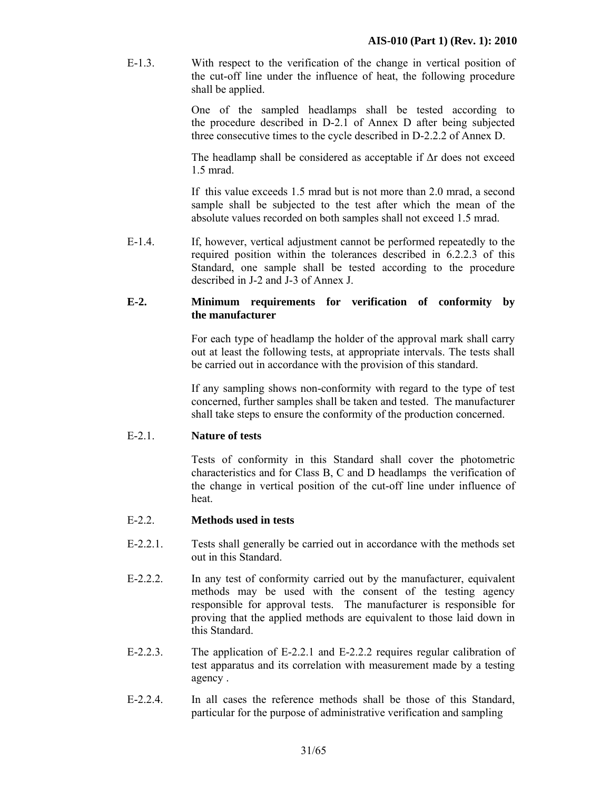E-1.3. With respect to the verification of the change in vertical position of the cut-off line under the influence of heat, the following procedure shall be applied.

> One of the sampled headlamps shall be tested according to the procedure described in D-2.1 of Annex D after being subjected three consecutive times to the cycle described in D-2.2.2 of Annex D.

> The headlamp shall be considered as acceptable if ∆r does not exceed 1.5 mrad.

> If this value exceeds 1.5 mrad but is not more than 2.0 mrad, a second sample shall be subjected to the test after which the mean of the absolute values recorded on both samples shall not exceed 1.5 mrad.

E-1.4. If, however, vertical adjustment cannot be performed repeatedly to the required position within the tolerances described in 6.2.2.3 of this Standard, one sample shall be tested according to the procedure described in J-2 and J-3 of Annex J.

#### **E-2. Minimum requirements for verification of conformity by the manufacturer**

For each type of headlamp the holder of the approval mark shall carry out at least the following tests, at appropriate intervals. The tests shall be carried out in accordance with the provision of this standard.

If any sampling shows non-conformity with regard to the type of test concerned, further samples shall be taken and tested. The manufacturer shall take steps to ensure the conformity of the production concerned.

#### E-2.1. **Nature of tests**

 Tests of conformity in this Standard shall cover the photometric characteristics and for Class B, C and D headlamps the verification of the change in vertical position of the cut-off line under influence of heat.

#### E-2.2. **Methods used in tests**

- E-2.2.1. Tests shall generally be carried out in accordance with the methods set out in this Standard.
- E-2.2.2. In any test of conformity carried out by the manufacturer, equivalent methods may be used with the consent of the testing agency responsible for approval tests. The manufacturer is responsible for proving that the applied methods are equivalent to those laid down in this Standard.
- E-2.2.3. The application of E-2.2.1 and E-2.2.2 requires regular calibration of test apparatus and its correlation with measurement made by a testing agency .
- E-2.2.4. In all cases the reference methods shall be those of this Standard, particular for the purpose of administrative verification and sampling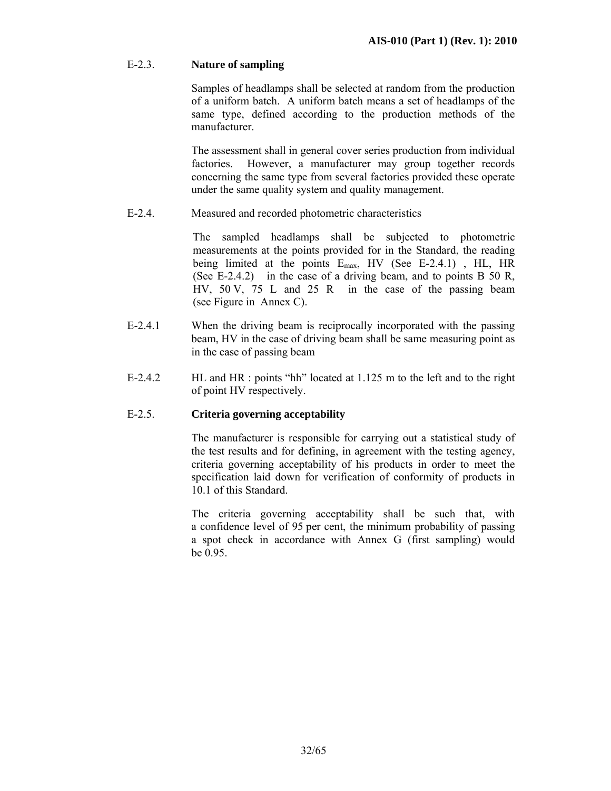#### E-2.3. **Nature of sampling**

 Samples of headlamps shall be selected at random from the production of a uniform batch. A uniform batch means a set of headlamps of the same type, defined according to the production methods of the manufacturer.

 The assessment shall in general cover series production from individual factories. However, a manufacturer may group together records concerning the same type from several factories provided these operate under the same quality system and quality management.

E-2.4. Measured and recorded photometric characteristics

 The sampled headlamps shall be subjected to photometric measurements at the points provided for in the Standard, the reading being limited at the points  $E_{\text{max}}$ , HV (See E-2.4.1), HL, HR (See E-2.4.2) in the case of a driving beam, and to points B 50 R, HV, 50 V, 75 L and 25 R in the case of the passing beam (see Figure in Annex C).

- E-2.4.1 When the driving beam is reciprocally incorporated with the passing beam, HV in the case of driving beam shall be same measuring point as in the case of passing beam
- E-2.4.2 HL and HR : points "hh" located at 1.125 m to the left and to the right of point HV respectively.

#### E-2.5. **Criteria governing acceptability**

The manufacturer is responsible for carrying out a statistical study of the test results and for defining, in agreement with the testing agency, criteria governing acceptability of his products in order to meet the specification laid down for verification of conformity of products in 10.1 of this Standard.

The criteria governing acceptability shall be such that, with a confidence level of 95 per cent, the minimum probability of passing a spot check in accordance with Annex G (first sampling) would be 0.95.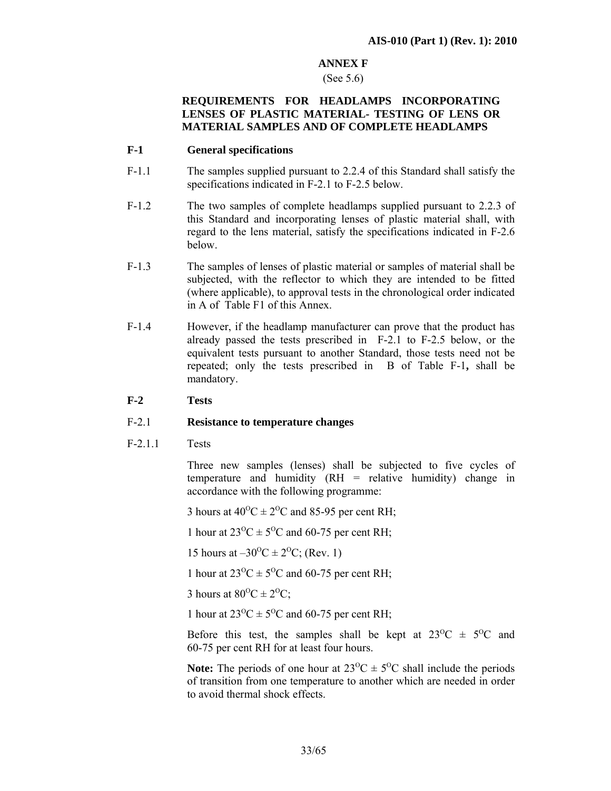#### **ANNEX F**

#### (See 5.6)

#### **REQUIREMENTS FOR HEADLAMPS INCORPORATING LENSES OF PLASTIC MATERIAL- TESTING OF LENS OR MATERIAL SAMPLES AND OF COMPLETE HEADLAMPS**

#### **F-1 General specifications**

- F-1.1 The samples supplied pursuant to 2.2.4 of this Standard shall satisfy the specifications indicated in F-2.1 to F-2.5 below.
- F-1.2 The two samples of complete headlamps supplied pursuant to 2.2.3 of this Standard and incorporating lenses of plastic material shall, with regard to the lens material, satisfy the specifications indicated in F-2.6 below.
- F-1.3 The samples of lenses of plastic material or samples of material shall be subjected, with the reflector to which they are intended to be fitted (where applicable), to approval tests in the chronological order indicated in A of Table F1 of this Annex.
- F-1.4 However, if the headlamp manufacturer can prove that the product has already passed the tests prescribed in F-2.1 to F-2.5 below, or the equivalent tests pursuant to another Standard, those tests need not be repeated; only the tests prescribed in B of Table F-1**,** shall be mandatory.

#### **F-2 Tests**

#### F-2.1 **Resistance to temperature changes**

F-2.1.1 Tests

Three new samples (lenses) shall be subjected to five cycles of temperature and humidity (RH = relative humidity) change in accordance with the following programme:

3 hours at  $40^{\circ}$ C  $\pm 2^{\circ}$ C and 85-95 per cent RH;

1 hour at  $23^{\circ}\text{C} \pm 5^{\circ}\text{C}$  and 60-75 per cent RH;

15 hours at  $-30^{\circ}C \pm 2^{\circ}C$ ; (Rev. 1)

1 hour at  $23^{\circ}\text{C} \pm 5^{\circ}\text{C}$  and 60-75 per cent RH;

3 hours at  $80^{\circ}$ C  $\pm 2^{\circ}$ C;

1 hour at  $23^{\circ}\text{C} \pm 5^{\circ}\text{C}$  and 60-75 per cent RH;

Before this test, the samples shall be kept at  $23^{\circ}\text{C} \pm 5^{\circ}\text{C}$  and 60-75 per cent RH for at least four hours.

**Note:** The periods of one hour at  $23^{\circ}\text{C} \pm 5^{\circ}\text{C}$  shall include the periods of transition from one temperature to another which are needed in order to avoid thermal shock effects.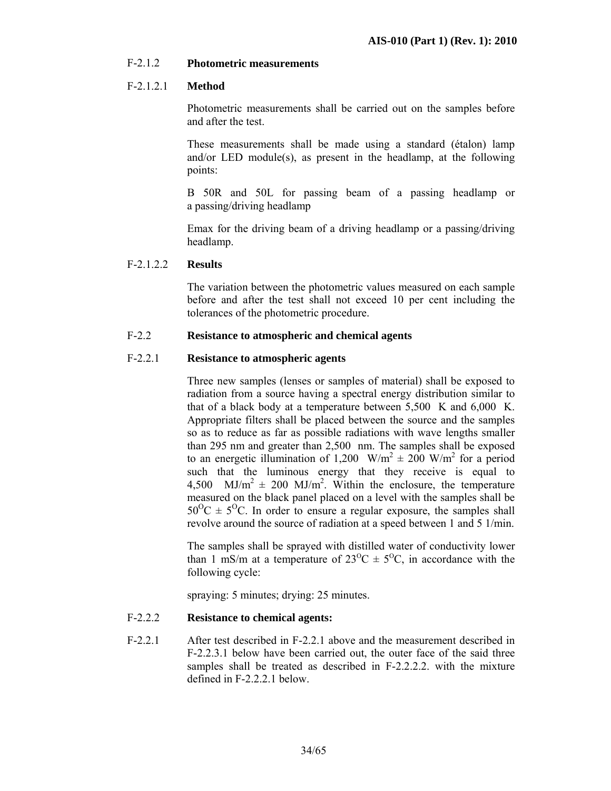#### F-2.1.2 **Photometric measurements**

#### F-2.1.2.1 **Method**

 Photometric measurements shall be carried out on the samples before and after the test.

These measurements shall be made using a standard (étalon) lamp and/or LED module(s), as present in the headlamp, at the following points:

 B 50R and 50L for passing beam of a passing headlamp or a passing/driving headlamp

 Emax for the driving beam of a driving headlamp or a passing/driving headlamp.

#### F-2.1.2.2 **Results**

 The variation between the photometric values measured on each sample before and after the test shall not exceed 10 per cent including the tolerances of the photometric procedure.

#### F-2.2 **Resistance to atmospheric and chemical agents**

#### F-2.2.1 **Resistance to atmospheric agents**

 Three new samples (lenses or samples of material) shall be exposed to radiation from a source having a spectral energy distribution similar to that of a black body at a temperature between 5,500 K and 6,000 K. Appropriate filters shall be placed between the source and the samples so as to reduce as far as possible radiations with wave lengths smaller than 295 nm and greater than 2,500 nm. The samples shall be exposed to an energetic illumination of 1,200 W/m<sup>2</sup>  $\pm$  200 W/m<sup>2</sup> for a period such that the luminous energy that they receive is equal to 4,500 MJ/m<sup>2</sup>  $\pm$  200 MJ/m<sup>2</sup>. Within the enclosure, the temperature measured on the black panel placed on a level with the samples shall be  $50^{\circ}\text{C} \pm 5^{\circ}\text{C}$ . In order to ensure a regular exposure, the samples shall revolve around the source of radiation at a speed between 1 and 5 1/min.

The samples shall be sprayed with distilled water of conductivity lower than 1 mS/m at a temperature of  $23^{\circ}\text{C} \pm 5^{\circ}\text{C}$ , in accordance with the following cycle:

spraying: 5 minutes; drying: 25 minutes.

#### F-2.2.2 **Resistance to chemical agents:**

F-2.2.1 After test described in F-2.2.1 above and the measurement described in F-2.2.3.1 below have been carried out, the outer face of the said three samples shall be treated as described in F-2.2.2.2. with the mixture defined in F-2.2.2.1 below.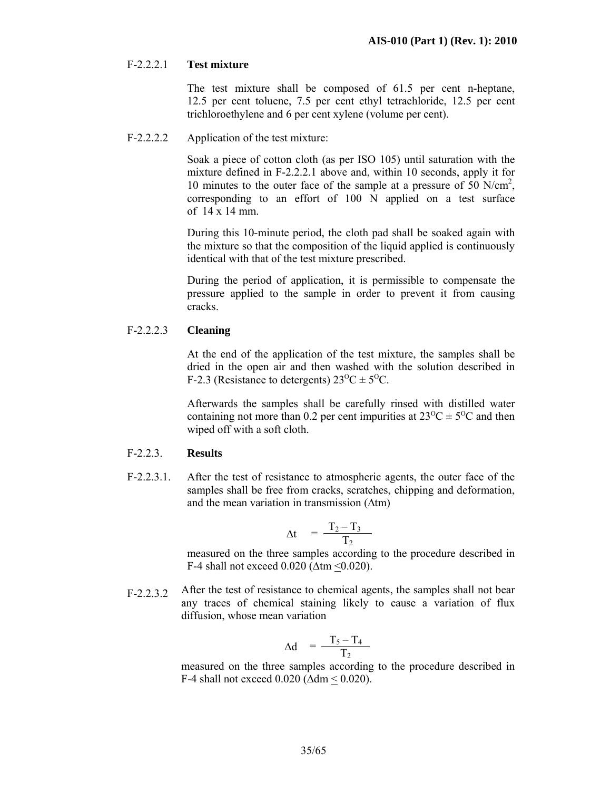#### F-2.2.2.1 **Test mixture**

 The test mixture shall be composed of 61.5 per cent n-heptane, 12.5 per cent toluene, 7.5 per cent ethyl tetrachloride, 12.5 per cent trichloroethylene and 6 per cent xylene (volume per cent).

F-2.2.2.2 Application of the test mixture:

Soak a piece of cotton cloth (as per ISO 105) until saturation with the mixture defined in F-2.2.2.1 above and, within 10 seconds, apply it for 10 minutes to the outer face of the sample at a pressure of  $50$  N/cm<sup>2</sup>, corresponding to an effort of 100 N applied on a test surface of 14 x 14 mm.

During this 10-minute period, the cloth pad shall be soaked again with the mixture so that the composition of the liquid applied is continuously identical with that of the test mixture prescribed.

During the period of application, it is permissible to compensate the pressure applied to the sample in order to prevent it from causing cracks.

#### F-2.2.2.3 **Cleaning**

At the end of the application of the test mixture, the samples shall be dried in the open air and then washed with the solution described in F-2.3 (Resistance to detergents)  $23^{\circ}\text{C} \pm 5^{\circ}\text{C}$ .

Afterwards the samples shall be carefully rinsed with distilled water containing not more than 0.2 per cent impurities at  $23^{\circ}C \pm 5^{\circ}C$  and then wiped off with a soft cloth.

#### F-2.2.3. **Results**

F-2.2.3.1. After the test of resistance to atmospheric agents, the outer face of the samples shall be free from cracks, scratches, chipping and deformation, and the mean variation in transmission (∆tm)

$$
\Delta t = \frac{T_2 - T_3}{T_2}
$$

measured on the three samples according to the procedure described in F-4 shall not exceed 0.020 (∆tm <0.020).

F-2.2.3.2 After the test of resistance to chemical agents, the samples shall not bear any traces of chemical staining likely to cause a variation of flux diffusion, whose mean variation

$$
\Delta d = \frac{T_5 - T_4}{T_2}
$$

measured on the three samples according to the procedure described in F-4 shall not exceed 0.020 (∆dm < 0.020).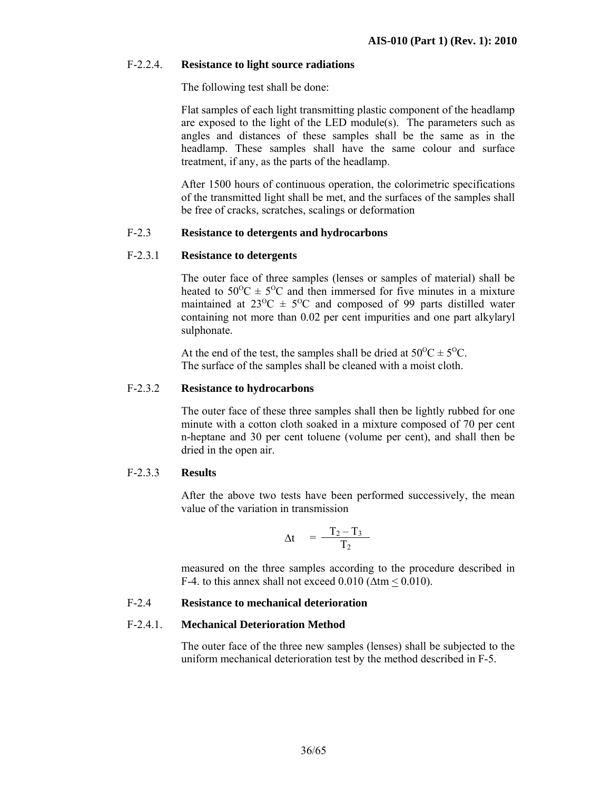#### F-2.2.4. **Resistance to light source radiations**

The following test shall be done:

Flat samples of each light transmitting plastic component of the headlamp are exposed to the light of the LED module(s). The parameters such as angles and distances of these samples shall be the same as in the headlamp. These samples shall have the same colour and surface treatment, if any, as the parts of the headlamp.

After 1500 hours of continuous operation, the colorimetric specifications of the transmitted light shall be met, and the surfaces of the samples shall be free of cracks, scratches, scalings or deformation

#### F-2.3 **Resistance to detergents and hydrocarbons**

#### F-2.3.1 **Resistance to detergents**

 The outer face of three samples (lenses or samples of material) shall be heated to  $50^{\circ}\text{C} \pm 5^{\circ}\text{C}$  and then immersed for five minutes in a mixture maintained at  $23^{\circ}\text{C} \pm 5^{\circ}\text{C}$  and composed of 99 parts distilled water containing not more than 0.02 per cent impurities and one part alkylaryl sulphonate.

At the end of the test, the samples shall be dried at  $50^{\circ}C \pm 5^{\circ}C$ . The surface of the samples shall be cleaned with a moist cloth.

#### F-2.3.2 **Resistance to hydrocarbons**

 The outer face of these three samples shall then be lightly rubbed for one minute with a cotton cloth soaked in a mixture composed of 70 per cent n-heptane and 30 per cent toluene (volume per cent), and shall then be dried in the open air.

#### F-2.3.3 **Results**

After the above two tests have been performed successively, the mean value of the variation in transmission

$$
\Delta t = \frac{T_2 - T_3}{T_2}
$$

 measured on the three samples according to the procedure described in F-4. to this annex shall not exceed 0.010 ( $\Delta$ tm  $\leq$  0.010).

#### F-2.4 **Resistance to mechanical deterioration**

#### F-2.4.1. **Mechanical Deterioration Method**

The outer face of the three new samples (lenses) shall be subjected to the uniform mechanical deterioration test by the method described in F-5.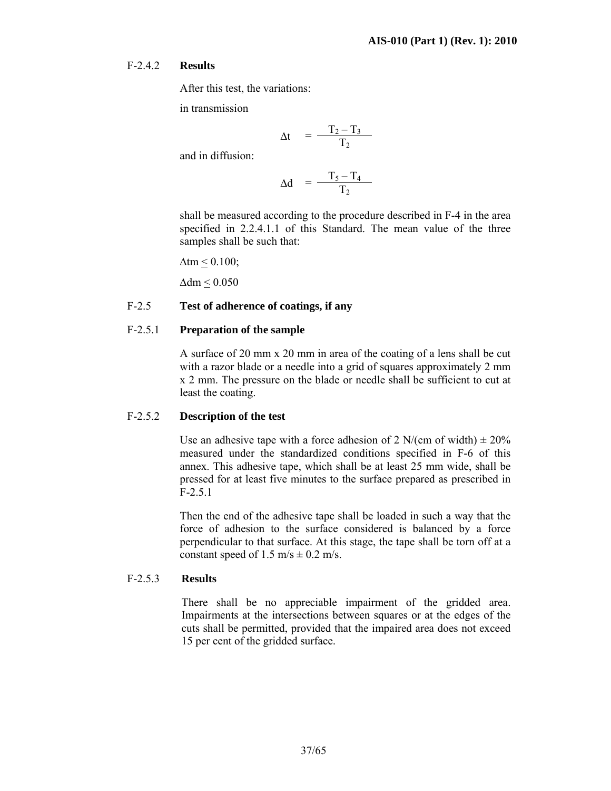#### F-2.4.2 **Results**

After this test, the variations:

in transmission

$$
\Delta t = \frac{T_2 - T_3}{T_2}
$$

and in diffusion:

$$
\Delta d = \frac{T_5 - T_4}{T_2}
$$

shall be measured according to the procedure described in F-4 in the area specified in 2.2.4.1.1 of this Standard. The mean value of the three samples shall be such that:

 $\Delta$ tm  $\leq$  0.100;

∆dm < 0.050

#### F-2.5 **Test of adherence of coatings, if any**

#### F-2.5.1 **Preparation of the sample**

 A surface of 20 mm x 20 mm in area of the coating of a lens shall be cut with a razor blade or a needle into a grid of squares approximately 2 mm x 2 mm. The pressure on the blade or needle shall be sufficient to cut at least the coating.

#### F-2.5.2 **Description of the test**

Use an adhesive tape with a force adhesion of 2 N/(cm of width)  $\pm 20\%$ measured under the standardized conditions specified in F-6 of this annex. This adhesive tape, which shall be at least 25 mm wide, shall be pressed for at least five minutes to the surface prepared as prescribed in F-2.5.1

Then the end of the adhesive tape shall be loaded in such a way that the force of adhesion to the surface considered is balanced by a force perpendicular to that surface. At this stage, the tape shall be torn off at a constant speed of 1.5 m/s  $\pm$  0.2 m/s.

#### F-2.5.3 **Results**

There shall be no appreciable impairment of the gridded area. Impairments at the intersections between squares or at the edges of the cuts shall be permitted, provided that the impaired area does not exceed 15 per cent of the gridded surface.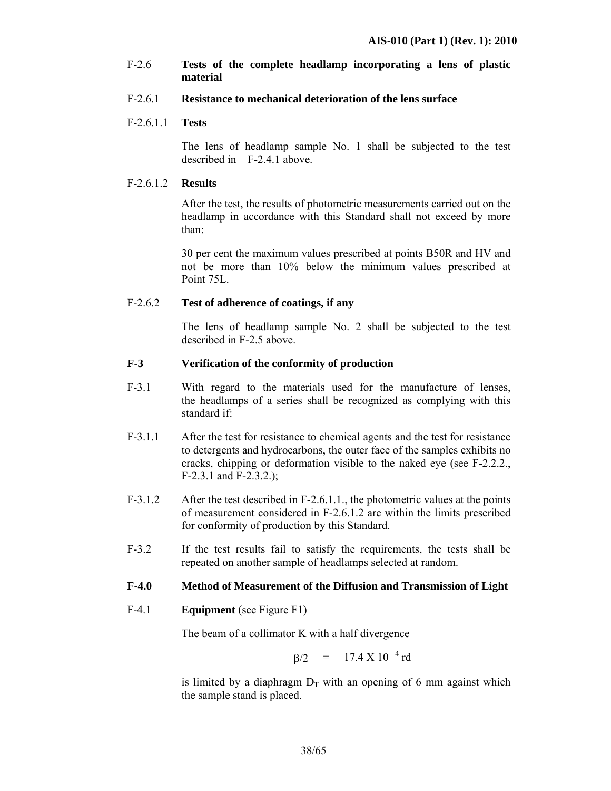#### F-2.6 **Tests of the complete headlamp incorporating a lens of plastic material**

#### F-2.6.1 **Resistance to mechanical deterioration of the lens surface**

#### F-2.6.1.1 **Tests**

 The lens of headlamp sample No. 1 shall be subjected to the test described in F-2.4.1 above.

#### F-2.6.1.2 **Results**

 After the test, the results of photometric measurements carried out on the headlamp in accordance with this Standard shall not exceed by more than:

 30 per cent the maximum values prescribed at points B50R and HV and not be more than 10% below the minimum values prescribed at Point 75L.

#### F-2.6.2 **Test of adherence of coatings, if any**

The lens of headlamp sample No. 2 shall be subjected to the test described in F-2.5 above.

#### **F-3 Verification of the conformity of production**

- F-3.1 With regard to the materials used for the manufacture of lenses, the headlamps of a series shall be recognized as complying with this standard if:
- F-3.1.1 After the test for resistance to chemical agents and the test for resistance to detergents and hydrocarbons, the outer face of the samples exhibits no cracks, chipping or deformation visible to the naked eye (see F-2.2.2., F-2.3.1 and F-2.3.2.);
- F-3.1.2 After the test described in F-2.6.1.1., the photometric values at the points of measurement considered in F-2.6.1.2 are within the limits prescribed for conformity of production by this Standard.
- F-3.2 If the test results fail to satisfy the requirements, the tests shall be repeated on another sample of headlamps selected at random.

#### **F-4.0 Method of Measurement of the Diffusion and Transmission of Light**

F-4.1 **Equipment** (see Figure F1)

The beam of a collimator K with a half divergence

$$
\beta/2 = 17.4 \text{ X } 10^{-4} \text{ rd}
$$

is limited by a diaphragm  $D<sub>T</sub>$  with an opening of 6 mm against which the sample stand is placed.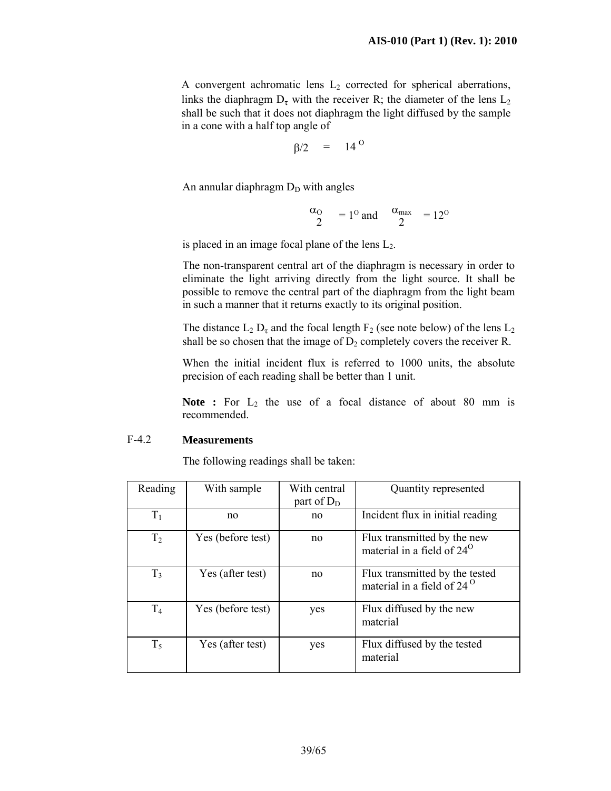A convergent achromatic lens  $L_2$  corrected for spherical aberrations, links the diaphragm  $D_{\tau}$  with the receiver R; the diameter of the lens  $L_2$ shall be such that it does not diaphragm the light diffused by the sample in a cone with a half top angle of

$$
\beta/2 = 14^{\circ}
$$

An annular diaphragm  $D<sub>D</sub>$  with angles

$$
\frac{\alpha_{\text{O}}}{2} = 1^{\text{O}} \text{ and } \frac{\alpha_{\text{max}}}{2} = 12^{\text{O}}
$$

is placed in an image focal plane of the lens  $L_2$ .

 The non-transparent central art of the diaphragm is necessary in order to eliminate the light arriving directly from the light source. It shall be possible to remove the central part of the diaphragm from the light beam in such a manner that it returns exactly to its original position.

The distance  $L_2 D_{\tau}$  and the focal length  $F_2$  (see note below) of the lens  $L_2$ shall be so chosen that the image of  $D_2$  completely covers the receiver R.

 When the initial incident flux is referred to 1000 units, the absolute precision of each reading shall be better than 1 unit.

**Note :** For  $L_2$  the use of a focal distance of about 80 mm is recommended.

#### F-4.2 **Measurements**

The following readings shall be taken:

| Reading        | With sample       | With central<br>part of $D_D$ | Quantity represented                                                  |
|----------------|-------------------|-------------------------------|-----------------------------------------------------------------------|
| $T_1$          | no                | no                            | Incident flux in initial reading                                      |
| T <sub>2</sub> | Yes (before test) | no                            | Flux transmitted by the new<br>material in a field of $24^\circ$      |
| T <sub>3</sub> | Yes (after test)  | no                            | Flux transmitted by the tested<br>material in a field of $24^{\circ}$ |
| T <sub>4</sub> | Yes (before test) | yes                           | Flux diffused by the new<br>material                                  |
| $T_5$          | Yes (after test)  | yes                           | Flux diffused by the tested<br>material                               |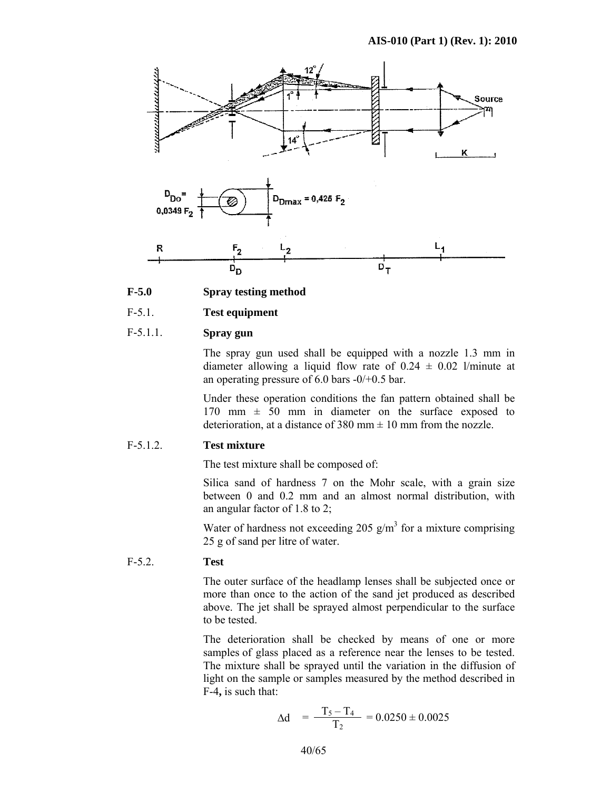

#### **F-5.0 Spray testing method**

#### F-5.1. **Test equipment**

#### F-5.1.1. **Spray gun**

 The spray gun used shall be equipped with a nozzle 1.3 mm in diameter allowing a liquid flow rate of  $0.24 \pm 0.02$  l/minute at an operating pressure of 6.0 bars -0/+0.5 bar.

 Under these operation conditions the fan pattern obtained shall be 170 mm  $\pm$  50 mm in diameter on the surface exposed to deterioration, at a distance of 380 mm  $\pm$  10 mm from the nozzle.

#### F-5.1.2. **Test mixture**

The test mixture shall be composed of:

 Silica sand of hardness 7 on the Mohr scale, with a grain size between 0 and 0.2 mm and an almost normal distribution, with an angular factor of 1.8 to 2;

Water of hardness not exceeding 205  $g/m<sup>3</sup>$  for a mixture comprising 25 g of sand per litre of water.

#### F-5.2. **Test**

The outer surface of the headlamp lenses shall be subjected once or more than once to the action of the sand jet produced as described above. The jet shall be sprayed almost perpendicular to the surface to be tested.

The deterioration shall be checked by means of one or more samples of glass placed as a reference near the lenses to be tested. The mixture shall be sprayed until the variation in the diffusion of light on the sample or samples measured by the method described in F-4**,** is such that:

$$
\Delta d = \frac{T_5 - T_4}{T_2} = 0.0250 \pm 0.0025
$$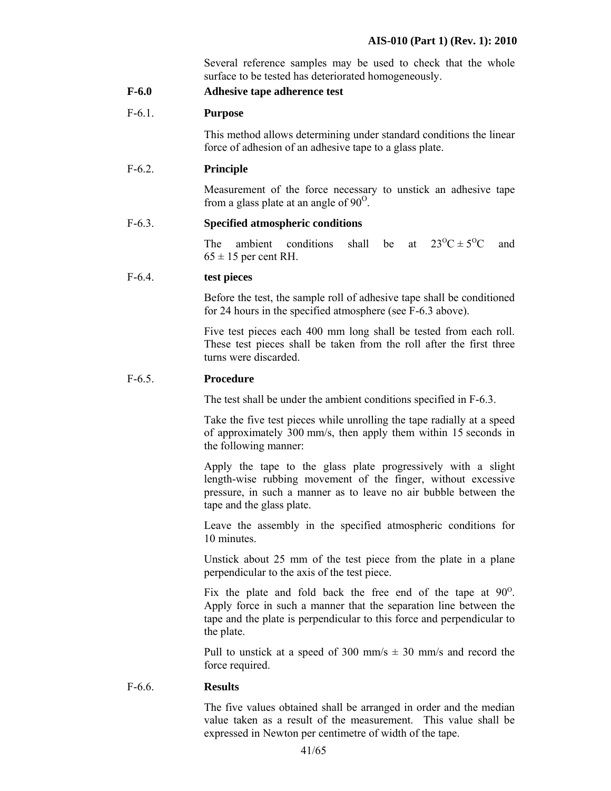Several reference samples may be used to check that the whole surface to be tested has deteriorated homogeneously.

**F-6.0 Adhesive tape adherence test** 

#### F-6.1. **Purpose**

 This method allows determining under standard conditions the linear force of adhesion of an adhesive tape to a glass plate.

#### F-6.2. **Principle**

 Measurement of the force necessary to unstick an adhesive tape from a glass plate at an angle of  $90^\circ$ .

#### F-6.3. **Specified atmospheric conditions**

The ambient conditions shall be at  $23^{\circ}C \pm 5^{\circ}C$  and  $65 \pm 15$  per cent RH.

#### F-6.4. **test pieces**

 Before the test, the sample roll of adhesive tape shall be conditioned for 24 hours in the specified atmosphere (see F-6.3 above).

 Five test pieces each 400 mm long shall be tested from each roll. These test pieces shall be taken from the roll after the first three turns were discarded.

#### F-6.5. **Procedure**

The test shall be under the ambient conditions specified in F-6.3.

Take the five test pieces while unrolling the tape radially at a speed of approximately 300 mm/s, then apply them within 15 seconds in the following manner:

Apply the tape to the glass plate progressively with a slight length-wise rubbing movement of the finger, without excessive pressure, in such a manner as to leave no air bubble between the tape and the glass plate.

Leave the assembly in the specified atmospheric conditions for 10 minutes.

Unstick about 25 mm of the test piece from the plate in a plane perpendicular to the axis of the test piece.

Fix the plate and fold back the free end of the tape at  $90^\circ$ . Apply force in such a manner that the separation line between the tape and the plate is perpendicular to this force and perpendicular to the plate.

Pull to unstick at a speed of 300 mm/s  $\pm$  30 mm/s and record the force required.

#### F-6.6. **Results**

The five values obtained shall be arranged in order and the median value taken as a result of the measurement. This value shall be expressed in Newton per centimetre of width of the tape.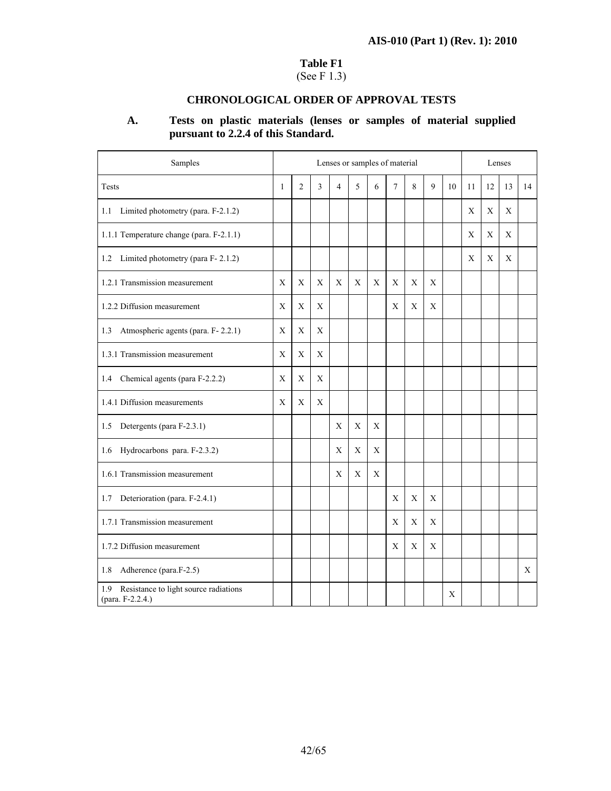#### **Table F1**

# (See F 1.3)

#### **CHRONOLOGICAL ORDER OF APPROVAL TESTS**

# **A. Tests on plastic materials (lenses or samples of material supplied pursuant to 2.2.4 of this Standard.**

| Samples                                                          |              | Lenses or samples of material |                |                |   |             |        |             |   |    |             | Lenses      |    |    |  |
|------------------------------------------------------------------|--------------|-------------------------------|----------------|----------------|---|-------------|--------|-------------|---|----|-------------|-------------|----|----|--|
| <b>Tests</b>                                                     | $\mathbf{1}$ | 2                             | $\overline{3}$ | $\overline{4}$ | 5 | 6           | $\tau$ | 8           | 9 | 10 | 11          | 12          | 13 | 14 |  |
| 1.1 Limited photometry (para. F-2.1.2)                           |              |                               |                |                |   |             |        |             |   |    | X           | X           | X  |    |  |
| 1.1.1 Temperature change (para. F-2.1.1)                         |              |                               |                |                |   |             |        |             |   |    | $\mathbf X$ | $\mathbf X$ | X  |    |  |
| 1.2 Limited photometry (para F-2.1.2)                            |              |                               |                |                |   |             |        |             |   |    | X           | $\mathbf X$ | X  |    |  |
| 1.2.1 Transmission measurement                                   | X            | X                             | X              | X              | X | X           | X      | X           | X |    |             |             |    |    |  |
| 1.2.2 Diffusion measurement                                      | X            | X                             | Χ              |                |   |             | X      | $\mathbf X$ | X |    |             |             |    |    |  |
| Atmospheric agents (para. F-2.2.1)<br>1.3                        | X            | X                             | X              |                |   |             |        |             |   |    |             |             |    |    |  |
| 1.3.1 Transmission measurement                                   | X            | X                             | X              |                |   |             |        |             |   |    |             |             |    |    |  |
| Chemical agents (para F-2.2.2)<br>1.4                            | Χ            | X                             | X              |                |   |             |        |             |   |    |             |             |    |    |  |
| 1.4.1 Diffusion measurements                                     | X            | X                             | X              |                |   |             |        |             |   |    |             |             |    |    |  |
| Detergents (para F-2.3.1)<br>1.5                                 |              |                               |                | X              | X | X           |        |             |   |    |             |             |    |    |  |
| Hydrocarbons para. F-2.3.2)<br>1.6                               |              |                               |                | X              | X | X           |        |             |   |    |             |             |    |    |  |
| 1.6.1 Transmission measurement                                   |              |                               |                | X              | X | $\mathbf X$ |        |             |   |    |             |             |    |    |  |
| Deterioration (para. F-2.4.1)<br>1.7                             |              |                               |                |                |   |             | X      | X           | X |    |             |             |    |    |  |
| 1.7.1 Transmission measurement                                   |              |                               |                |                |   |             | X      | X           | X |    |             |             |    |    |  |
| 1.7.2 Diffusion measurement                                      |              |                               |                |                |   |             | X      | X           | X |    |             |             |    |    |  |
| Adherence (para.F-2.5)<br>1.8                                    |              |                               |                |                |   |             |        |             |   |    |             |             |    | X  |  |
| Resistance to light source radiations<br>1.9<br>(para. F-2.2.4.) |              |                               |                |                |   |             |        |             |   | X  |             |             |    |    |  |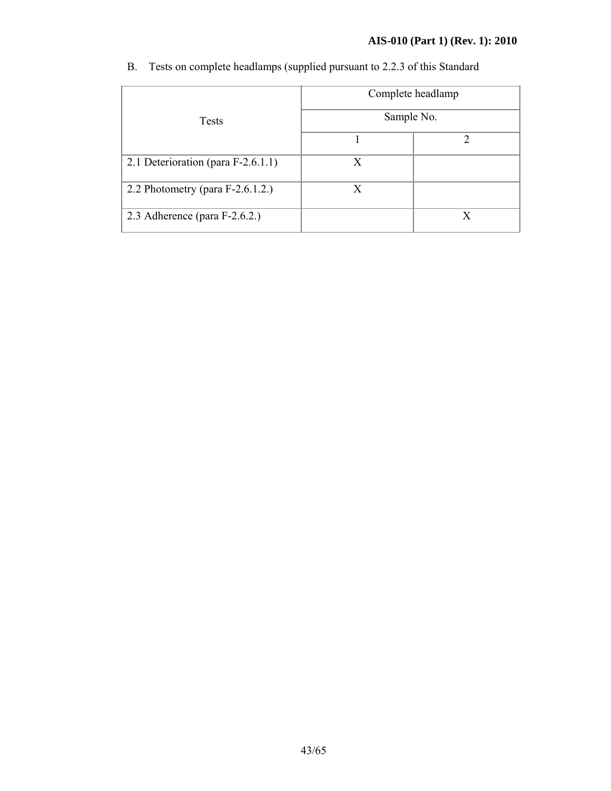# **AIS-010 (Part 1) (Rev. 1): 2010**

|                                     | Complete headlamp<br>Sample No. |  |
|-------------------------------------|---------------------------------|--|
| <b>Tests</b>                        |                                 |  |
|                                     |                                 |  |
| 2.1 Deterioration (para F-2.6.1.1)  | X                               |  |
| 2.2 Photometry (para $F-2.6.1.2$ .) | X                               |  |
| 2.3 Adherence (para $F-2.6.2$ .)    |                                 |  |

B. Tests on complete headlamps (supplied pursuant to 2.2.3 of this Standard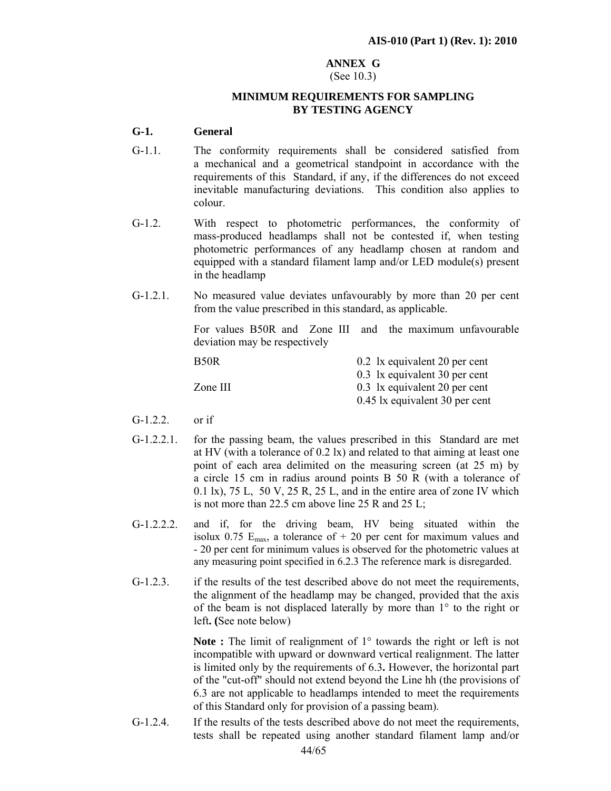#### **ANNEX G**

#### (See 10.3)

#### **MINIMUM REQUIREMENTS FOR SAMPLING BY TESTING AGENCY**

#### **G-1. General**

- G-1.1. The conformity requirements shall be considered satisfied from a mechanical and a geometrical standpoint in accordance with the requirements of this Standard, if any, if the differences do not exceed inevitable manufacturing deviations. This condition also applies to colour.
- G-1.2. With respect to photometric performances, the conformity of mass-produced headlamps shall not be contested if, when testing photometric performances of any headlamp chosen at random and equipped with a standard filament lamp and/or LED module(s) present in the headlamp
- G-1.2.1. No measured value deviates unfavourably by more than 20 per cent from the value prescribed in this standard, as applicable.

For values B50R and Zone III and the maximum unfavourable deviation may be respectively

| B <sub>50</sub> R | 0.2 1x equivalent 20 per cent  |
|-------------------|--------------------------------|
|                   | 0.3 1x equivalent 30 per cent  |
| Zone III          | 0.3 lx equivalent 20 per cent  |
|                   | 0.45 lx equivalent 30 per cent |

- $G-1.2.2$  or if
- G-1.2.2.1. for the passing beam, the values prescribed in this Standard are met at HV (with a tolerance of 0.2 lx) and related to that aiming at least one point of each area delimited on the measuring screen (at 25 m) by a circle 15 cm in radius around points B 50 R (with a tolerance of 0.1 lx), 75 L, 50 V, 25 R, 25 L, and in the entire area of zone IV which is not more than 22.5 cm above line 25 R and 25 L;
- G-1.2.2.2. and if, for the driving beam, HV being situated within the isolux 0.75  $E_{\text{max}}$ , a tolerance of + 20 per cent for maximum values and - 20 per cent for minimum values is observed for the photometric values at any measuring point specified in 6.2.3 The reference mark is disregarded.
- G-1.2.3. if the results of the test described above do not meet the requirements, the alignment of the headlamp may be changed, provided that the axis of the beam is not displaced laterally by more than 1° to the right or left**. (**See note below)

**Note :** The limit of realignment of 1<sup>°</sup> towards the right or left is not incompatible with upward or downward vertical realignment. The latter is limited only by the requirements of 6.3**.** However, the horizontal part of the "cut-off" should not extend beyond the Line hh (the provisions of 6.3 are not applicable to headlamps intended to meet the requirements of this Standard only for provision of a passing beam).

G-1.2.4. If the results of the tests described above do not meet the requirements, tests shall be repeated using another standard filament lamp and/or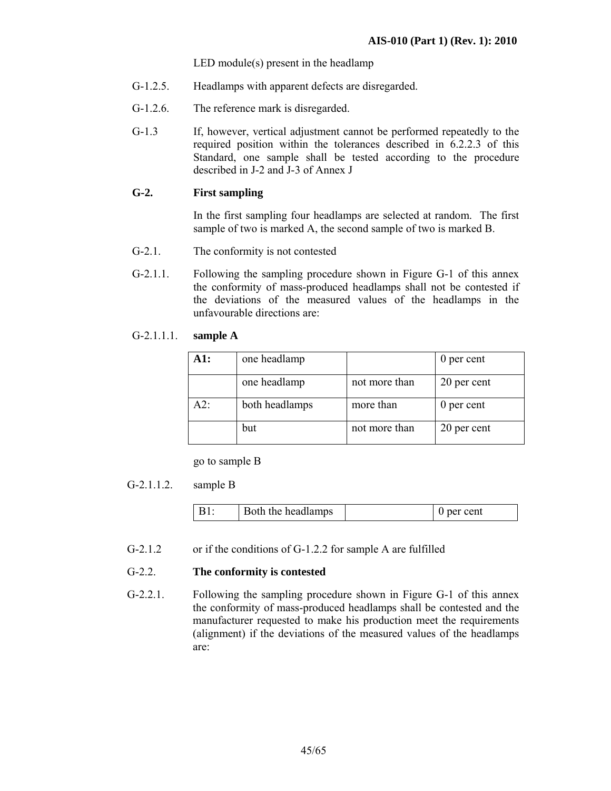LED module(s) present in the headlamp

- G-1.2.5. Headlamps with apparent defects are disregarded.
- G-1.2.6. The reference mark is disregarded.
- G-1.3 If, however, vertical adjustment cannot be performed repeatedly to the required position within the tolerances described in 6.2.2.3 of this Standard, one sample shall be tested according to the procedure described in J-2 and J-3 of Annex J

#### **G-2. First sampling**

In the first sampling four headlamps are selected at random. The first sample of two is marked A, the second sample of two is marked B.

- G-2.1. The conformity is not contested
- G-2.1.1. Following the sampling procedure shown in Figure G-1 of this annex the conformity of mass-produced headlamps shall not be contested if the deviations of the measured values of the headlamps in the unfavourable directions are:

#### G-2.1.1.1. **sample A**

| A1: | one headlamp   |               | 0 per cent  |
|-----|----------------|---------------|-------------|
|     | one headlamp   | not more than | 20 per cent |
| A2: | both headlamps | more than     | 0 per cent  |
|     | but            | not more than | 20 per cent |

go to sample B

#### G-2.1.1.2. sample B

| oth the headlamps<br>ent |
|--------------------------|
|--------------------------|

G-2.1.2 or if the conditions of G-1.2.2 for sample A are fulfilled

#### G-2.2. **The conformity is contested**

G-2.2.1. Following the sampling procedure shown in Figure G-1 of this annex the conformity of mass-produced headlamps shall be contested and the manufacturer requested to make his production meet the requirements (alignment) if the deviations of the measured values of the headlamps are: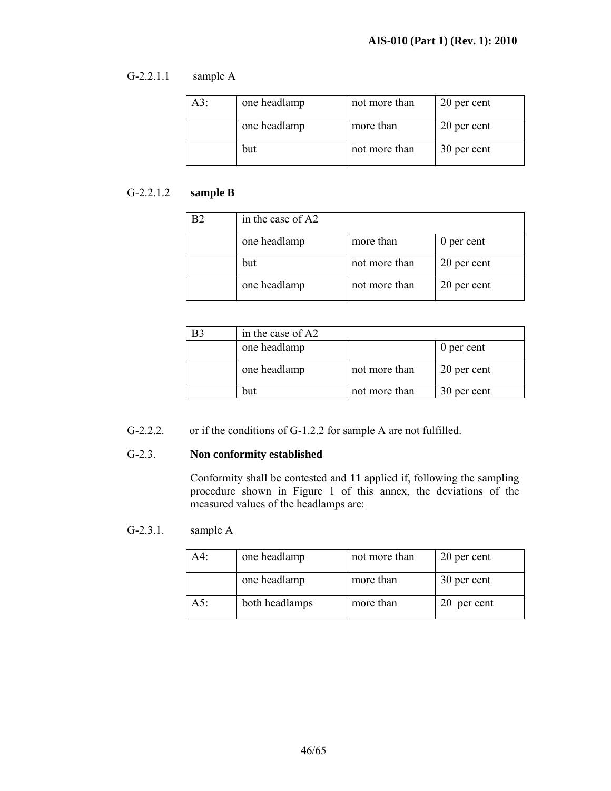#### G-2.2.1.1 sample A

| A3: | one headlamp | not more than | 20 per cent |
|-----|--------------|---------------|-------------|
|     | one headlamp | more than     | 20 per cent |
|     | but          | not more than | 30 per cent |

# G-2.2.1.2 **sample B**

| in the case of A2 |               |             |
|-------------------|---------------|-------------|
| one headlamp      | more than     | 0 per cent  |
| but               | not more than | 20 per cent |
| one headlamp      | not more than | 20 per cent |

| B <sub>3</sub> | in the case of A2 |               |             |
|----------------|-------------------|---------------|-------------|
|                | one headlamp      |               | 0 per cent  |
|                | one headlamp      | not more than | 20 per cent |
|                | but               | not more than | 30 per cent |

# G-2.2.2. or if the conditions of G-1.2.2 for sample A are not fulfilled.

#### G-2.3. **Non conformity established**

 Conformity shall be contested and **11** applied if, following the sampling procedure shown in Figure 1 of this annex, the deviations of the measured values of the headlamps are:

#### G-2.3.1. sample A

| A4: | one headlamp   | not more than | 20 per cent |
|-----|----------------|---------------|-------------|
|     | one headlamp   | more than     | 30 per cent |
| A5: | both headlamps | more than     | 20 per cent |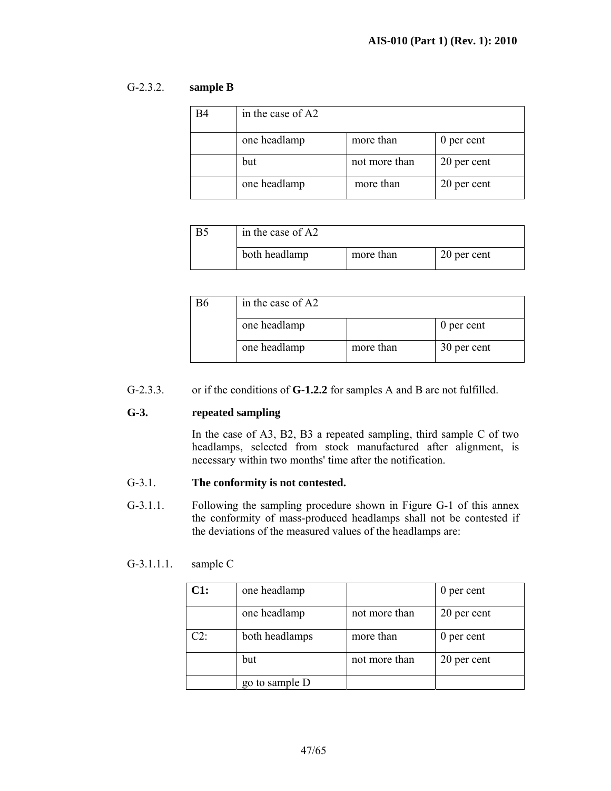#### G-2.3.2. **sample B**

| <b>B4</b> | in the case of A2 |               |             |
|-----------|-------------------|---------------|-------------|
|           | one headlamp      | more than     | 0 per cent  |
|           | but               | not more than | 20 per cent |
|           | one headlamp      | more than     | 20 per cent |

| in the case of A2 |           |             |
|-------------------|-----------|-------------|
| both headlamp     | more than | 20 per cent |

| in the case of A2 |           |             |
|-------------------|-----------|-------------|
| one headlamp      |           | 0 per cent  |
| one headlamp      | more than | 30 per cent |

#### G-2.3.3. or if the conditions of **G-1.2.2** for samples A and B are not fulfilled.

#### **G-3. repeated sampling**

In the case of A3, B2, B3 a repeated sampling, third sample C of two headlamps, selected from stock manufactured after alignment, is necessary within two months' time after the notification.

#### G-3.1. **The conformity is not contested.**

G-3.1.1. Following the sampling procedure shown in Figure G-1 of this annex the conformity of mass-produced headlamps shall not be contested if the deviations of the measured values of the headlamps are:

#### G-3.1.1.1. sample C

| C1:    | one headlamp   |               | 0 per cent  |
|--------|----------------|---------------|-------------|
|        | one headlamp   | not more than | 20 per cent |
| $C2$ : | both headlamps | more than     | 0 per cent  |
|        | but            | not more than | 20 per cent |
|        | go to sample D |               |             |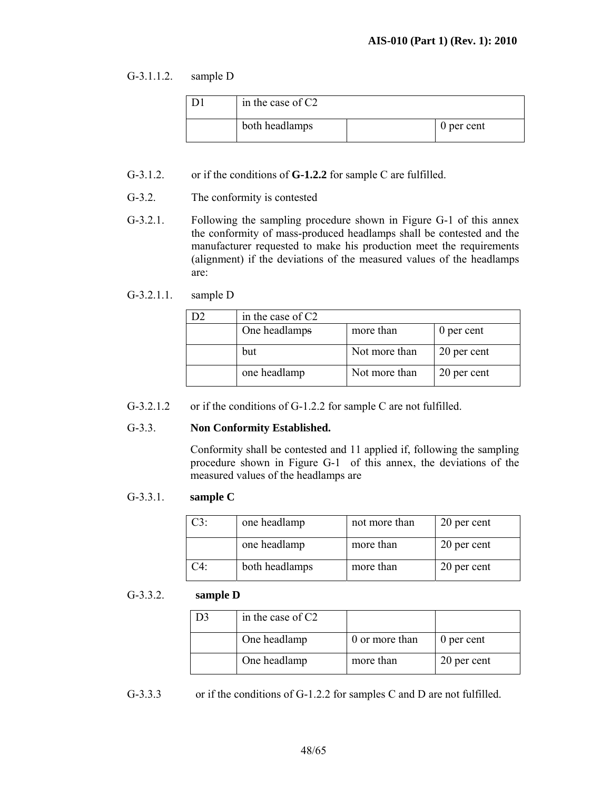#### G-3.1.1.2. sample D

| in the case of $C2$ |            |
|---------------------|------------|
| both headlamps      | 0 per cent |

- G-3.1.2. or if the conditions of **G-1.2.2** for sample C are fulfilled.
- G-3.2. The conformity is contested
- G-3.2.1. Following the sampling procedure shown in Figure G-1 of this annex the conformity of mass-produced headlamps shall be contested and the manufacturer requested to make his production meet the requirements (alignment) if the deviations of the measured values of the headlamps are:

#### G-3.2.1.1. sample D

| in the case of C2 |               |             |
|-------------------|---------------|-------------|
| One headlamps     | more than     | 0 per cent  |
| but               | Not more than | 20 per cent |
| one headlamp      | Not more than | 20 per cent |

G-3.2.1.2 or if the conditions of G-1.2.2 for sample C are not fulfilled.

#### G-3.3. **Non Conformity Established.**

 Conformity shall be contested and 11 applied if, following the sampling procedure shown in Figure G-1 of this annex, the deviations of the measured values of the headlamps are

#### G-3.3.1. **sample C**

| $C3$ : | one headlamp   | not more than | 20 per cent |  |
|--------|----------------|---------------|-------------|--|
|        | one headlamp   | more than     | 20 per cent |  |
| $C4$ . | both headlamps | more than     | 20 per cent |  |

#### G-3.3.2. **sample D**

| in the case of $C2$ |                |             |
|---------------------|----------------|-------------|
| One headlamp        | 0 or more than | 0 per cent  |
| One headlamp        | more than      | 20 per cent |

G-3.3.3 or if the conditions of G-1.2.2 for samples C and D are not fulfilled.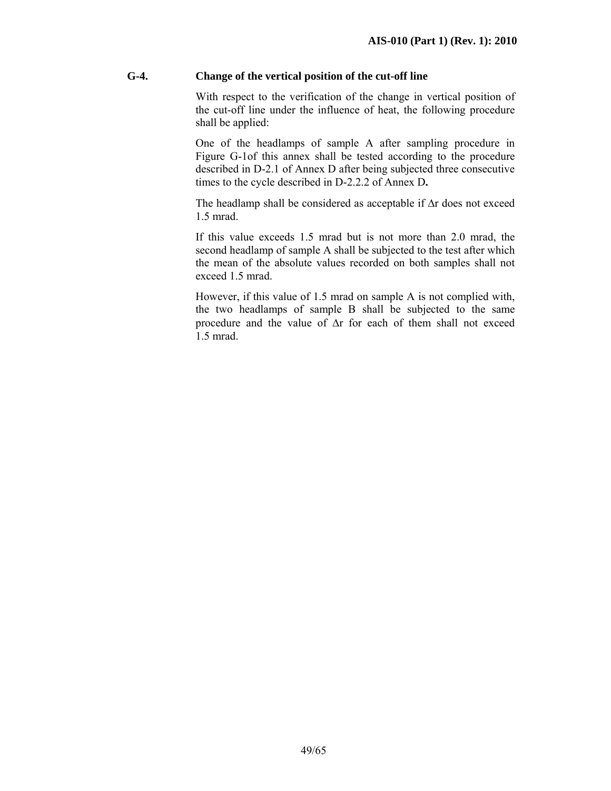#### **G-4. Change of the vertical position of the cut-off line**

 With respect to the verification of the change in vertical position of the cut-off line under the influence of heat, the following procedure shall be applied:

 One of the headlamps of sample A after sampling procedure in Figure G-1of this annex shall be tested according to the procedure described in D-2.1 of Annex D after being subjected three consecutive times to the cycle described in D-2.2.2 of Annex D**.** 

The headlamp shall be considered as acceptable if ∆r does not exceed 1.5 mrad.

 If this value exceeds 1.5 mrad but is not more than 2.0 mrad, the second headlamp of sample A shall be subjected to the test after which the mean of the absolute values recorded on both samples shall not exceed 1.5 mrad.

However, if this value of 1.5 mrad on sample A is not complied with, the two headlamps of sample B shall be subjected to the same procedure and the value of ∆r for each of them shall not exceed 1.5 mrad.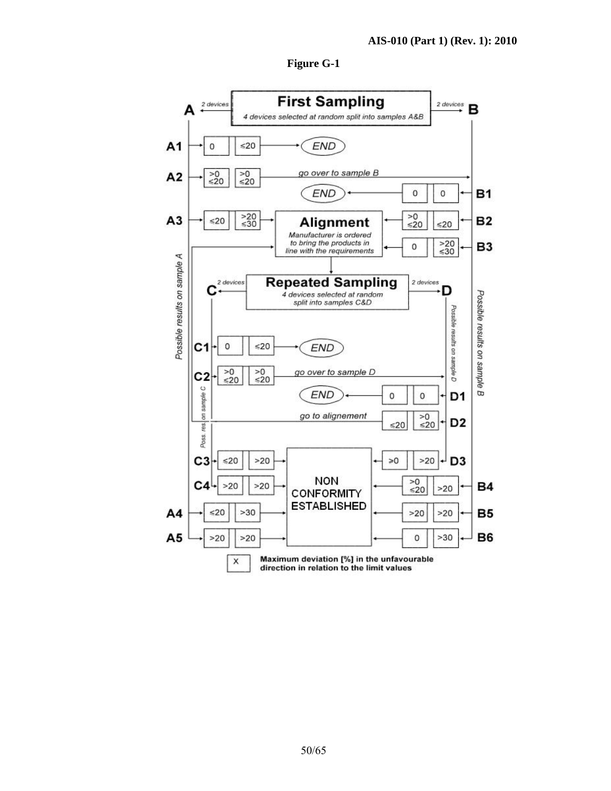

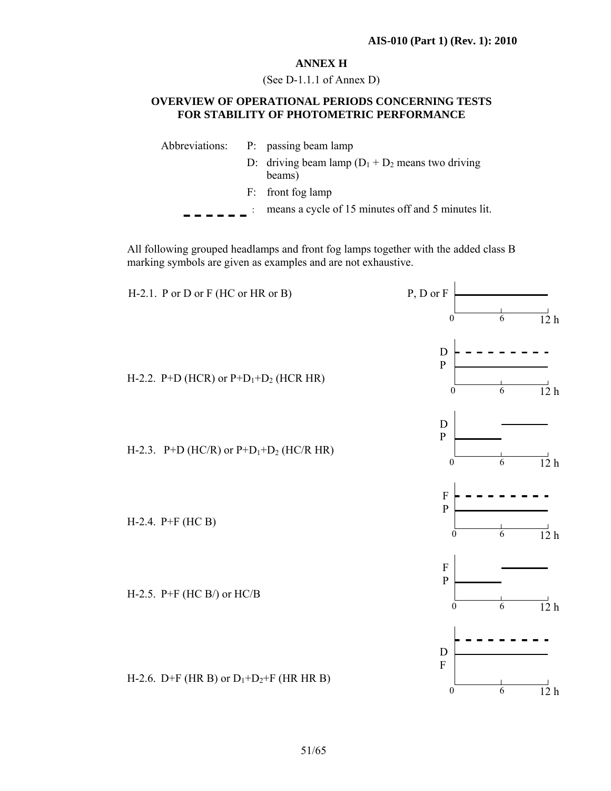#### **ANNEX H**

(See D-1.1.1 of Annex D)

#### **OVERVIEW OF OPERATIONAL PERIODS CONCERNING TESTS FOR STABILITY OF PHOTOMETRIC PERFORMANCE**

|  | Abbreviations: P: passing beam lamp                            |
|--|----------------------------------------------------------------|
|  | D: driving beam lamp $(D_1 + D_2)$ means two driving<br>beams) |
|  | F: front fog lamp                                              |
|  | means a cycle of 15 minutes off and 5 minutes lit.             |
|  |                                                                |

All following grouped headlamps and front fog lamps together with the added class B marking symbols are given as examples and are not exhaustive.

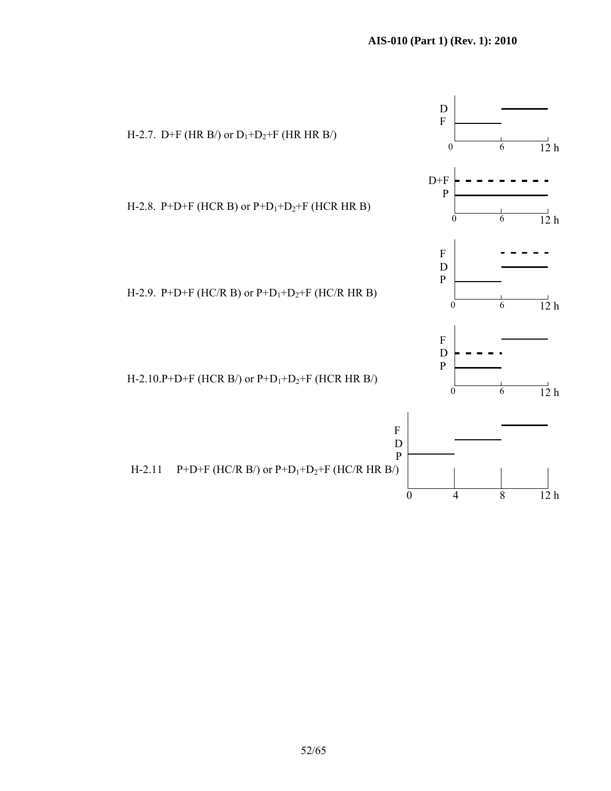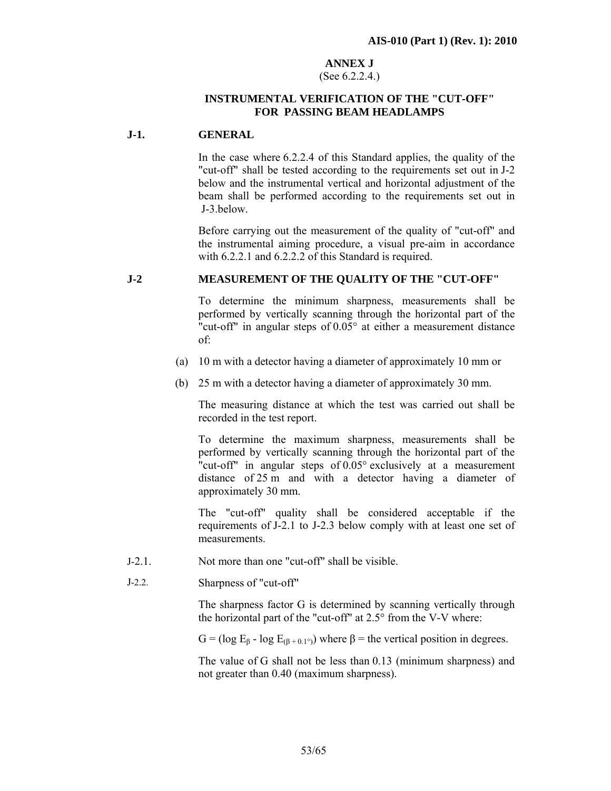#### **ANNEX J**  (See 6.2.2.4.)

#### **INSTRUMENTAL VERIFICATION OF THE "CUT-OFF" FOR PASSING BEAM HEADLAMPS**

#### **J-1. GENERAL**

In the case where 6.2.2.4 of this Standard applies, the quality of the "cut-off" shall be tested according to the requirements set out in J-2 below and the instrumental vertical and horizontal adjustment of the beam shall be performed according to the requirements set out in J-3.below.

Before carrying out the measurement of the quality of "cut-off" and the instrumental aiming procedure, a visual pre-aim in accordance with 6.2.2.1 and 6.2.2.2 of this Standard is required.

#### **J-2 MEASUREMENT OF THE QUALITY OF THE "CUT-OFF"**

To determine the minimum sharpness, measurements shall be performed by vertically scanning through the horizontal part of the "cut-off" in angular steps of 0.05° at either a measurement distance of:

- (a) 10 m with a detector having a diameter of approximately 10 mm or
- (b) 25 m with a detector having a diameter of approximately 30 mm.

The measuring distance at which the test was carried out shall be recorded in the test report.

To determine the maximum sharpness, measurements shall be performed by vertically scanning through the horizontal part of the "cut-off" in angular steps of 0.05° exclusively at a measurement distance of 25 m and with a detector having a diameter of approximately 30 mm.

The "cut-off" quality shall be considered acceptable if the requirements of J-2.1 to J-2.3 below comply with at least one set of measurements.

- J-2.1. Not more than one "cut-off" shall be visible.
- J-2.2. Sharpness of "cut-off"

The sharpness factor G is determined by scanning vertically through the horizontal part of the "cut-off" at 2.5° from the V-V where:

G = (log  $E_8$  - log  $E_{(8+0.1^{\circ})}$ ) where  $\beta$  = the vertical position in degrees.

The value of G shall not be less than 0.13 (minimum sharpness) and not greater than 0.40 (maximum sharpness).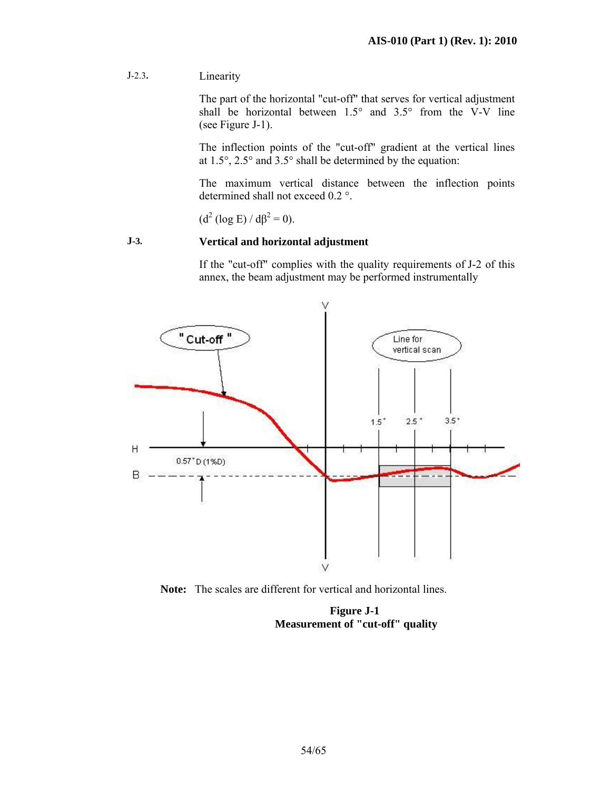J-2.3**.** Linearity

The part of the horizontal "cut-off" that serves for vertical adjustment shall be horizontal between 1.5° and 3.5° from the V-V line (see Figure J-1).

The inflection points of the "cut-off" gradient at the vertical lines at 1.5°, 2.5° and 3.5° shall be determined by the equation:

The maximum vertical distance between the inflection points determined shall not exceed 0.2 °.

 $(d^2 (\log E) / d\beta^2 = 0).$ 

#### **J-3. Vertical and horizontal adjustment**

If the "cut-off" complies with the quality requirements of J-2 of this annex, the beam adjustment may be performed instrumentally



**Note:** The scales are different for vertical and horizontal lines.

**Figure J-1 Measurement of "cut-off" quality**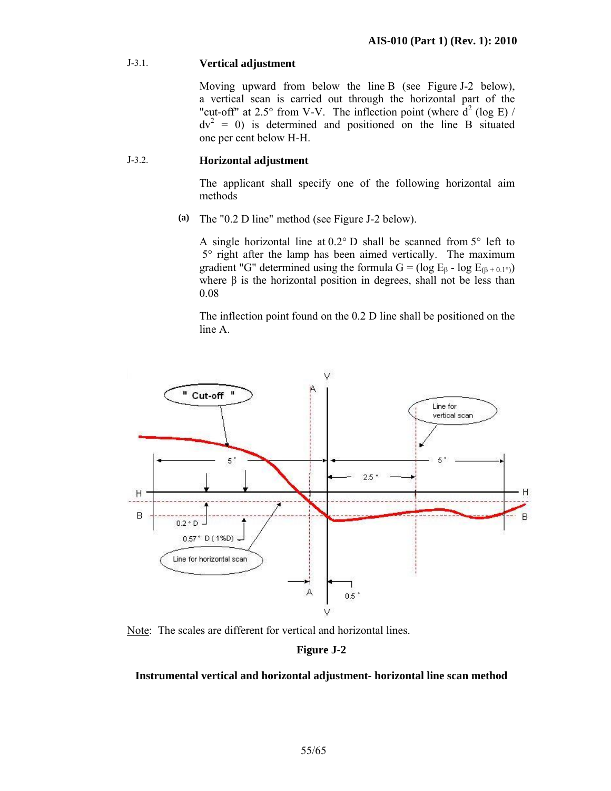#### J-3.1. **Vertical adjustment**

Moving upward from below the line B (see Figure J-2 below), a vertical scan is carried out through the horizontal part of the "cut-off" at 2.5° from V-V. The inflection point (where  $d^2$  (log E) /  $dv<sup>2</sup> = 0$ ) is determined and positioned on the line B situated one per cent below H-H.

#### J-3.2. **Horizontal adjustment**

The applicant shall specify one of the following horizontal aim methods

**(a)** The "0.2 D line" method (see Figure J-2 below).

A single horizontal line at  $0.2^{\circ}$  D shall be scanned from  $5^{\circ}$  left to 5° right after the lamp has been aimed vertically. The maximum gradient "G" determined using the formula G = (log  $E_6$  - log  $E_{(6+0.1°)}$ ) where  $\beta$  is the horizontal position in degrees, shall not be less than 0.08

The inflection point found on the 0.2 D line shall be positioned on the line A.



Note: The scales are different for vertical and horizontal lines.

#### **Figure J-2**

#### **Instrumental vertical and horizontal adjustment- horizontal line scan method**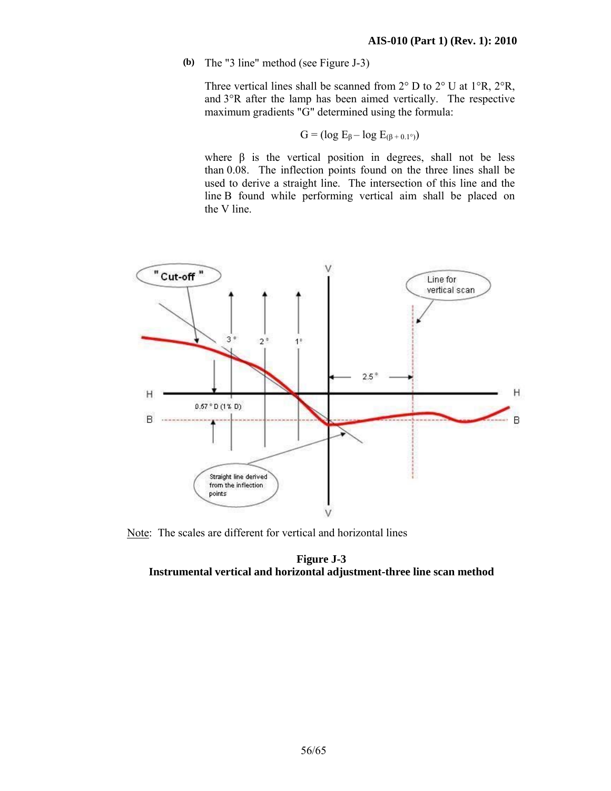**(b)** The "3 line" method (see Figure J-3)

Three vertical lines shall be scanned from 2° D to 2° U at 1°R, 2°R, and 3°R after the lamp has been aimed vertically. The respective maximum gradients "G" determined using the formula:

$$
G = (\log E_{\beta} - \log E_{(\beta + 0.1^{\circ})})
$$

where  $\beta$  is the vertical position in degrees, shall not be less than 0.08. The inflection points found on the three lines shall be used to derive a straight line. The intersection of this line and the line B found while performing vertical aim shall be placed on the V line.



Note: The scales are different for vertical and horizontal lines

#### **Figure J-3 Instrumental vertical and horizontal adjustment-three line scan method**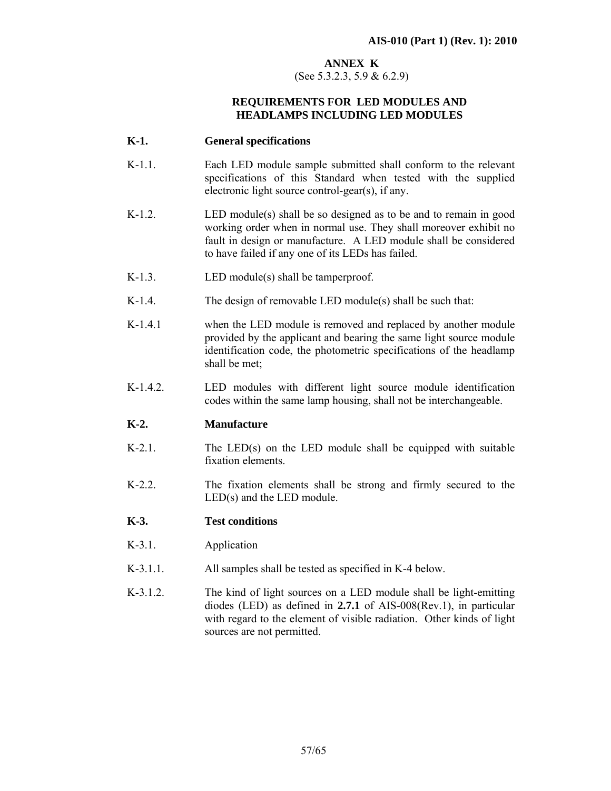#### **ANNEX K**

(See 5.3.2.3, 5.9 & 6.2.9)

#### **REQUIREMENTS FOR LED MODULES AND HEADLAMPS INCLUDING LED MODULES**

#### **K-1. General specifications**

- K-1.1. Each LED module sample submitted shall conform to the relevant specifications of this Standard when tested with the supplied electronic light source control-gear(s), if any.
- K-1.2. **LED** module(s) shall be so designed as to be and to remain in good working order when in normal use. They shall moreover exhibit no fault in design or manufacture. A LED module shall be considered to have failed if any one of its LEDs has failed.
- K-1.3. **LED** module(s) shall be tamperproof.
- K-1.4. The design of removable LED module(s) shall be such that:
- K-1.4.1 when the LED module is removed and replaced by another module provided by the applicant and bearing the same light source module identification code, the photometric specifications of the headlamp shall be met;
- K-1.4.2. LED modules with different light source module identification codes within the same lamp housing, shall not be interchangeable.

#### **K-2. Manufacture**

- $K-2.1$ . The LED(s) on the LED module shall be equipped with suitable fixation elements.
- K-2.2. The fixation elements shall be strong and firmly secured to the LED(s) and the LED module.

#### **K-3. Test conditions**

- K-3.1. Application
- K-3.1.1. All samples shall be tested as specified in K-4 below.
- K-3.1.2. The kind of light sources on a LED module shall be light-emitting diodes (LED) as defined in **2.7.1** of AIS-008(Rev.1), in particular with regard to the element of visible radiation. Other kinds of light sources are not permitted.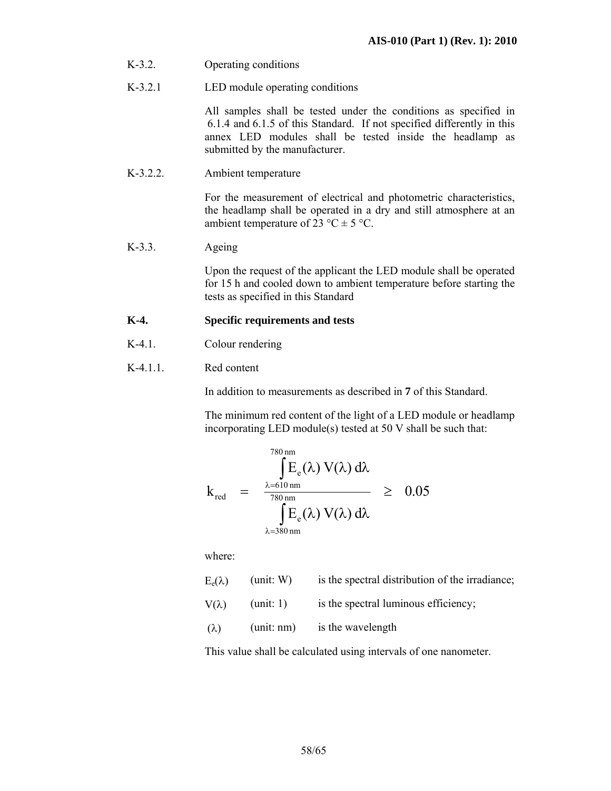- K-3.2. Operating conditions
- K-3.2.1 LED module operating conditions

 All samples shall be tested under the conditions as specified in 6.1.4 and 6.1.5 of this Standard. If not specified differently in this annex LED modules shall be tested inside the headlamp as submitted by the manufacturer.

K-3.2.2. Ambient temperature

 For the measurement of electrical and photometric characteristics, the headlamp shall be operated in a dry and still atmosphere at an ambient temperature of 23 °C  $\pm$  5 °C.

K-3.3. Ageing

 Upon the request of the applicant the LED module shall be operated for 15 h and cooled down to ambient temperature before starting the tests as specified in this Standard

#### **K-4. Specific requirements and tests**

- K-4.1. Colour rendering
- K-4.1.1. Red content

In addition to measurements as described in **7** of this Standard.

The minimum red content of the light of a LED module or headlamp incorporating LED module(s) tested at 50 V shall be such that:

$$
k_{\text{red}} = \frac{\int_{\lambda=610 \text{ nm}}^{780 \text{ nm}} E_e(\lambda) V(\lambda) d\lambda}{\int_{\lambda=380 \text{ nm}}^{80 \text{ nm}} \sum_{\lambda=380 \text{ nm}}^{780 \text{ nm}}}
$$
  $\geq 0.05$ 

where:

| $E_e(\lambda)$ | (unit: W)  | is the spectral distribution of the irradiance; |
|----------------|------------|-------------------------------------------------|
| $V(\lambda)$   | (unit: 1)  | is the spectral luminous efficiency;            |
| $(\lambda)$    | (unit: nm) | is the wavelength                               |

This value shall be calculated using intervals of one nanometer.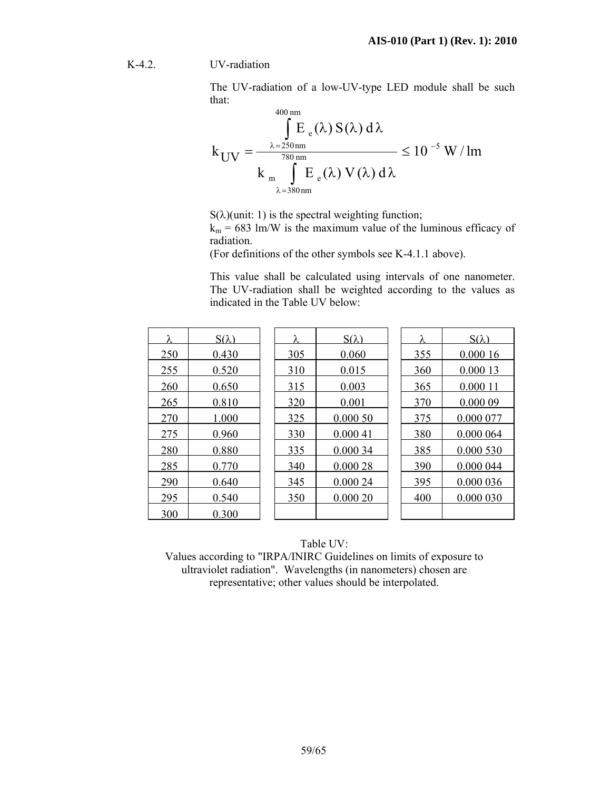#### K-4.2. UV-radiation

The UV-radiation of a low-UV-type LED module shall be such that:  $400$ 

$$
k_{UV} = \frac{\int_{\lambda=250\,\mathrm{nm}}^{400\,\mathrm{nm}} E_e(\lambda) S(\lambda) d\lambda}{k_{\mathrm{m}} \int_{\lambda=380\,\mathrm{nm}}^{780\,\mathrm{nm}} E_e(\lambda) V(\lambda) d\lambda} \le 10^{-5} \mathrm{W/m}
$$

 $S(\lambda)$ (unit: 1) is the spectral weighting function;

 $k_m$  = 683 lm/W is the maximum value of the luminous efficacy of radiation.

(For definitions of the other symbols see K-4.1.1 above).

This value shall be calculated using intervals of one nanometer. The UV-radiation shall be weighted according to the values as indicated in the Table UV below:

| λ   | $S(\lambda)$ | λ   | $S(\lambda)$ | λ   | $S(\lambda)$ |
|-----|--------------|-----|--------------|-----|--------------|
| 250 | 0.430        | 305 | 0.060        | 355 | 0.00016      |
| 255 | 0.520        | 310 | 0.015        | 360 | 0.000 13     |
| 260 | 0.650        | 315 | 0.003        | 365 | 0.000 11     |
| 265 | 0.810        | 320 | 0.001        | 370 | 0.00009      |
| 270 | 1.000        | 325 | 0.00050      | 375 | 0.000 077    |
| 275 | 0.960        | 330 | 0.00041      | 380 | 0.000 064    |
| 280 | 0.880        | 335 | 0.000 34     | 385 | 0.000 530    |
| 285 | 0.770        | 340 | 0.00028      | 390 | 0.000 044    |
| 290 | 0.640        | 345 | 0.000 24     | 395 | 0.000 036    |
| 295 | 0.540        | 350 | 0.00020      | 400 | 0.000 030    |
| 300 | 0.300        |     |              |     |              |

#### Table UV:

Values according to "IRPA/INIRC Guidelines on limits of exposure to ultraviolet radiation". Wavelengths (in nanometers) chosen are representative; other values should be interpolated.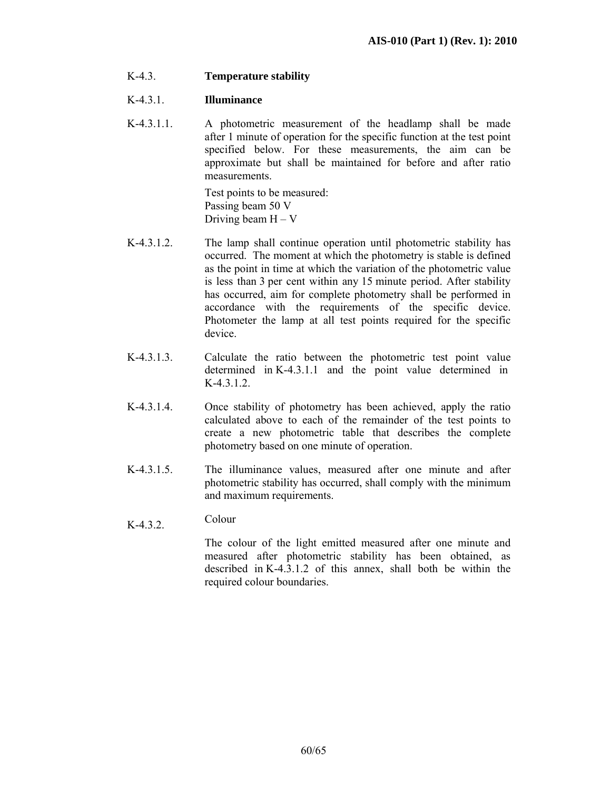K-4.3. **Temperature stability** 

#### K-4.3.1. **Illuminance**

K-4.3.1.1. A photometric measurement of the headlamp shall be made after 1 minute of operation for the specific function at the test point specified below. For these measurements, the aim can be approximate but shall be maintained for before and after ratio measurements.

> Test points to be measured: Passing beam 50 V Driving beam  $H - V$

- K-4.3.1.2. The lamp shall continue operation until photometric stability has occurred. The moment at which the photometry is stable is defined as the point in time at which the variation of the photometric value is less than 3 per cent within any 15 minute period. After stability has occurred, aim for complete photometry shall be performed in accordance with the requirements of the specific device. Photometer the lamp at all test points required for the specific device.
- K-4.3.1.3. Calculate the ratio between the photometric test point value determined in K-4.3.1.1 and the point value determined in  $K-4.3.1.2.$
- K-4.3.1.4. Once stability of photometry has been achieved, apply the ratio calculated above to each of the remainder of the test points to create a new photometric table that describes the complete photometry based on one minute of operation.
- K-4.3.1.5. The illuminance values, measured after one minute and after photometric stability has occurred, shall comply with the minimum and maximum requirements.
- $K-4.3.2$  Colour

The colour of the light emitted measured after one minute and measured after photometric stability has been obtained, as described in K-4.3.1.2 of this annex, shall both be within the required colour boundaries.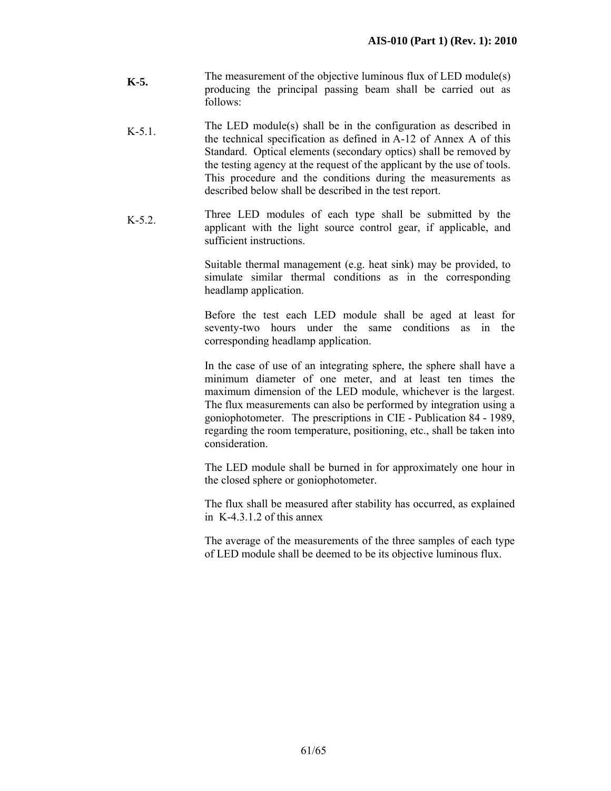- **K-5.** The measurement of the objective luminous flux of LED module(s) producing the principal passing beam shall be carried out as follows:
- K-5.1. The LED module(s) shall be in the configuration as described in the technical specification as defined in A-12 of Annex A of this Standard. Optical elements (secondary optics) shall be removed by the testing agency at the request of the applicant by the use of tools. This procedure and the conditions during the measurements as described below shall be described in the test report.
- K-5.2. Three LED modules of each type shall be submitted by the applicant with the light source control gear, if applicable, and sufficient instructions.

Suitable thermal management (e.g. heat sink) may be provided, to simulate similar thermal conditions as in the corresponding headlamp application.

Before the test each LED module shall be aged at least for seventy-two hours under the same conditions as in the corresponding headlamp application.

In the case of use of an integrating sphere, the sphere shall have a minimum diameter of one meter, and at least ten times the maximum dimension of the LED module, whichever is the largest. The flux measurements can also be performed by integration using a goniophotometer. The prescriptions in CIE - Publication 84 - 1989, regarding the room temperature, positioning, etc., shall be taken into consideration.

The LED module shall be burned in for approximately one hour in the closed sphere or goniophotometer.

The flux shall be measured after stability has occurred, as explained in K-4.3.1.2 of this annex

The average of the measurements of the three samples of each type of LED module shall be deemed to be its objective luminous flux.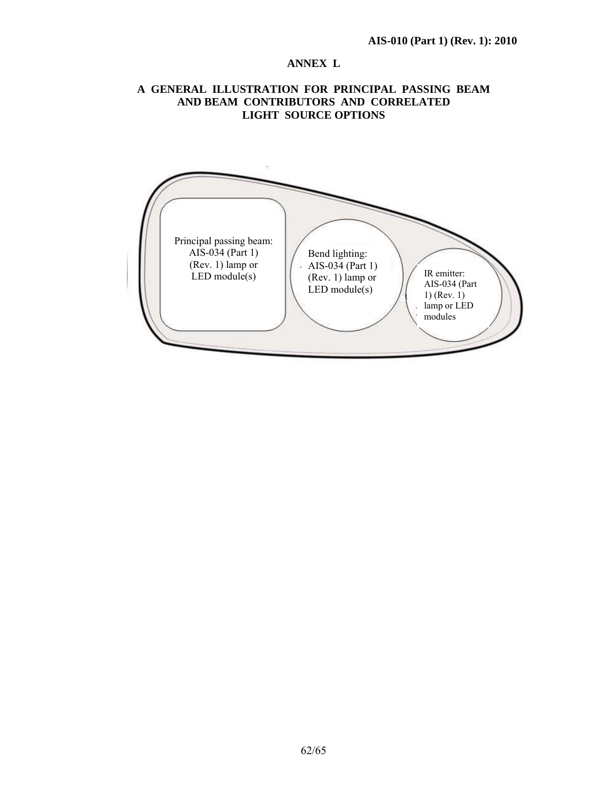#### **ANNEX L**

#### **A GENERAL ILLUSTRATION FOR PRINCIPAL PASSING BEAM AND BEAM CONTRIBUTORS AND CORRELATED LIGHT SOURCE OPTIONS**

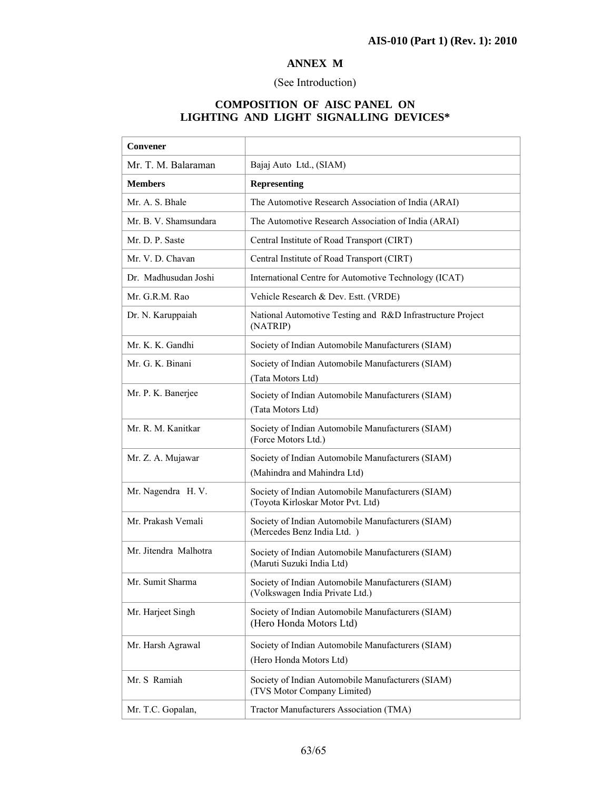# **ANNEX M**

#### (See Introduction)

#### **COMPOSITION OF AISC PANEL ON LIGHTING AND LIGHT SIGNALLING DEVICES\***

| Convener              |                                                                                        |
|-----------------------|----------------------------------------------------------------------------------------|
| Mr. T. M. Balaraman   | Bajaj Auto Ltd., (SIAM)                                                                |
| <b>Members</b>        | <b>Representing</b>                                                                    |
| Mr. A. S. Bhale       | The Automotive Research Association of India (ARAI)                                    |
| Mr. B. V. Shamsundara | The Automotive Research Association of India (ARAI)                                    |
| Mr. D. P. Saste       | Central Institute of Road Transport (CIRT)                                             |
| Mr. V. D. Chavan      | Central Institute of Road Transport (CIRT)                                             |
| Dr. Madhusudan Joshi  | International Centre for Automotive Technology (ICAT)                                  |
| Mr. G.R.M. Rao        | Vehicle Research & Dev. Estt. (VRDE)                                                   |
| Dr. N. Karuppaiah     | National Automotive Testing and R&D Infrastructure Project<br>(NATRIP)                 |
| Mr. K. K. Gandhi      | Society of Indian Automobile Manufacturers (SIAM)                                      |
| Mr. G. K. Binani      | Society of Indian Automobile Manufacturers (SIAM)<br>(Tata Motors Ltd)                 |
| Mr. P. K. Banerjee    | Society of Indian Automobile Manufacturers (SIAM)<br>(Tata Motors Ltd)                 |
| Mr. R. M. Kanitkar    | Society of Indian Automobile Manufacturers (SIAM)<br>(Force Motors Ltd.)               |
| Mr. Z. A. Mujawar     | Society of Indian Automobile Manufacturers (SIAM)<br>(Mahindra and Mahindra Ltd)       |
| Mr. Nagendra H. V.    | Society of Indian Automobile Manufacturers (SIAM)<br>(Toyota Kirloskar Motor Pvt. Ltd) |
| Mr. Prakash Vemali    | Society of Indian Automobile Manufacturers (SIAM)<br>(Mercedes Benz India Ltd.)        |
| Mr. Jitendra Malhotra | Society of Indian Automobile Manufacturers (SIAM)<br>(Maruti Suzuki India Ltd)         |
| Mr. Sumit Sharma      | Society of Indian Automobile Manufacturers (SIAM)<br>(Volkswagen India Private Ltd.)   |
| Mr. Harjeet Singh     | Society of Indian Automobile Manufacturers (SIAM)<br>(Hero Honda Motors Ltd)           |
| Mr. Harsh Agrawal     | Society of Indian Automobile Manufacturers (SIAM)<br>(Hero Honda Motors Ltd)           |
| Mr. S Ramiah          | Society of Indian Automobile Manufacturers (SIAM)<br>(TVS Motor Company Limited)       |
| Mr. T.C. Gopalan,     | Tractor Manufacturers Association (TMA)                                                |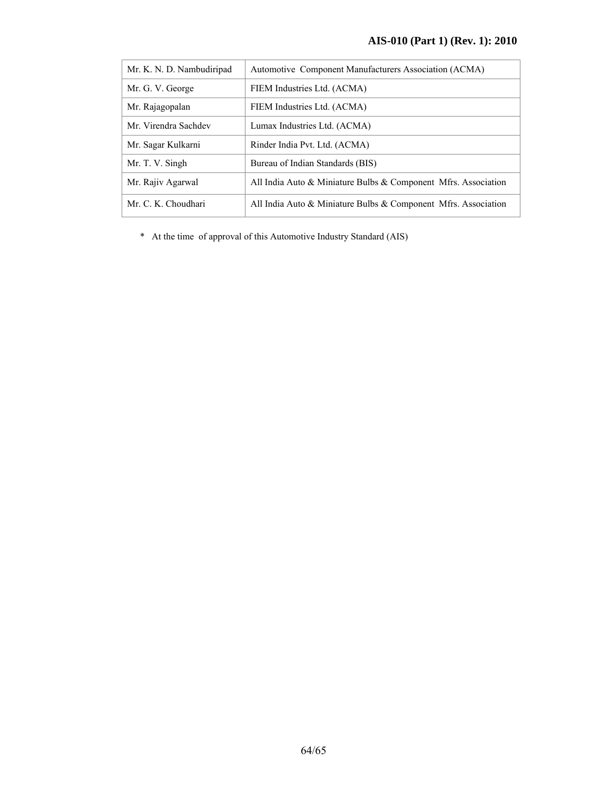| Mr. K. N. D. Nambudiripad | Automotive Component Manufacturers Association (ACMA)                |
|---------------------------|----------------------------------------------------------------------|
| Mr. G. V. George          | FIEM Industries Ltd. (ACMA)                                          |
| Mr. Rajagopalan           | FIEM Industries Ltd. (ACMA)                                          |
| Mr. Virendra Sachdev      | Lumax Industries Ltd. (ACMA)                                         |
| Mr. Sagar Kulkarni        | Rinder India Pvt. Ltd. (ACMA)                                        |
| Mr. T. V. Singh           | Bureau of Indian Standards (BIS)                                     |
| Mr. Rajiv Agarwal         | All India Auto $\&$ Miniature Bulbs $\&$ Component Mfrs. Association |
| Mr. C. K. Choudhari       | All India Auto $\&$ Miniature Bulbs $\&$ Component Mfrs. Association |

\* At the time of approval of this Automotive Industry Standard (AIS)